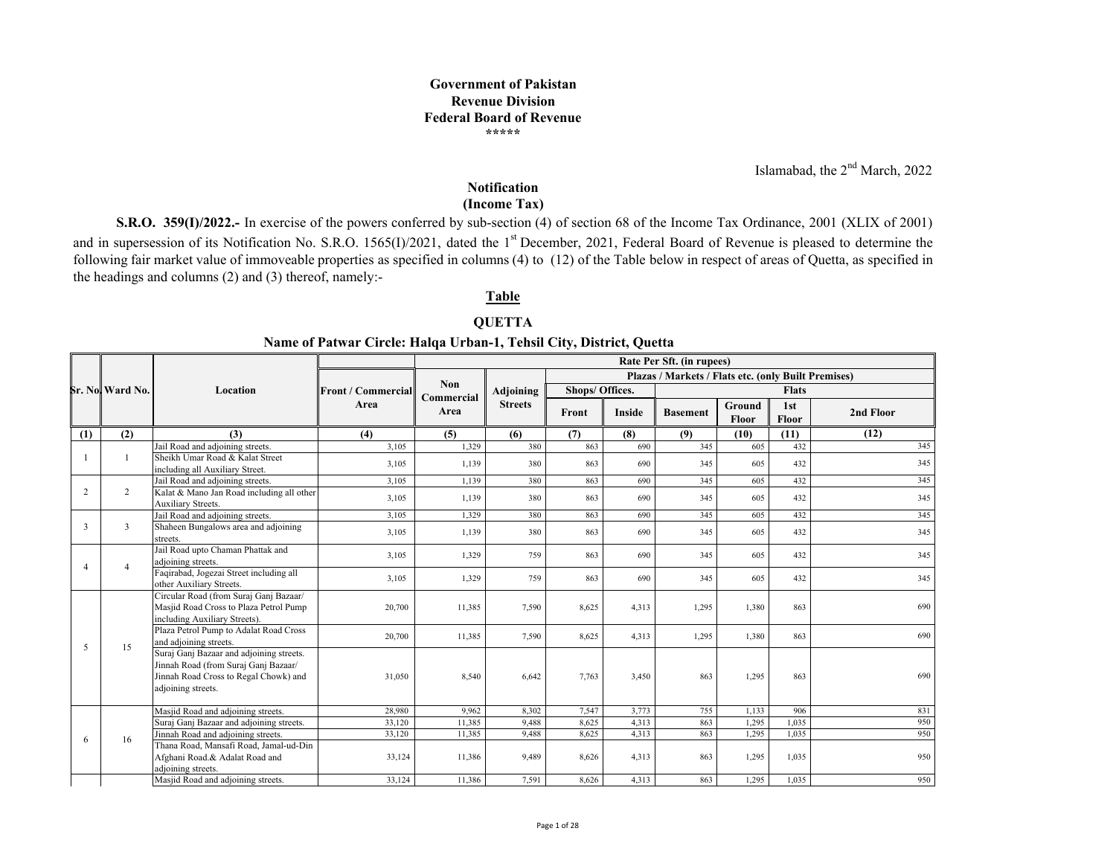**Government of PakistanRevenue Division Federal Board of Revenue\*\*\*\*\***

Islamabad, the  $2<sup>nd</sup>$  March, 2022

#### **Notification(Income Tax)**

**S.R.O. 359(I)/2022.**- In exercise of the powers conferred by sub-section (4) of section 68 of the Income Tax Ordinance, 2001 (XLIX of 2001) and in supersession of its Notification No. S.R.O. 1565(I)/2021, dated the 1<sup>st</sup> December, 2021, Federal Board of Revenue is pleased to determine the following fair market value of immoveable properties as specified in columns (4) to (12) of the Table below in respec<sup>t</sup> of areas of Quetta, as specified in the headings and columns (2) and (3) thereof, namely:-

#### **Table**

#### **QUETTA**

#### **Name of Patwar Circle: Halqa Urban-1, Tehsil City, District, Quetta**

|                |                         |                                                                                                                                                 |                           |                    |                |                 |               | Rate Per Sft. (in rupees)                                  |                        |              |           |
|----------------|-------------------------|-------------------------------------------------------------------------------------------------------------------------------------------------|---------------------------|--------------------|----------------|-----------------|---------------|------------------------------------------------------------|------------------------|--------------|-----------|
|                |                         |                                                                                                                                                 |                           |                    |                |                 |               | <b>Plazas / Markets / Flats etc. (only Built Premises)</b> |                        |              |           |
|                | <b>Sr. Nol Ward No.</b> | Location                                                                                                                                        | <b>Front / Commercial</b> | <b>Non</b>         | Adjoining      | Shops/ Offices. |               |                                                            |                        | <b>Flats</b> |           |
|                |                         |                                                                                                                                                 | Area                      | Commercial<br>Area | <b>Streets</b> | Front           | <b>Inside</b> | <b>Basement</b>                                            | Ground<br><b>Floor</b> | 1st<br>Floor | 2nd Floor |
| (1)            | (2)                     | (3)                                                                                                                                             | (4)                       | (5)                | (6)            | (7)             | (8)           | (9)                                                        | (10)                   | (11)         | (12)      |
|                |                         | Jail Road and adioining streets.                                                                                                                | 3,105                     | 1,329              | 380            | 863             | 690           | 345                                                        | 605                    | 432          | 345       |
|                | 1                       | Sheikh Umar Road & Kalat Street<br>including all Auxiliary Street.                                                                              | 3,105                     | 1,139              | 380            | 863             | 690           | 345                                                        | 605                    | 432          | 345       |
|                |                         | Jail Road and adjoining streets.                                                                                                                | 3,105                     | 1,139              | 380            | 863             | 690           | 345                                                        | 605                    | 432          | 345       |
| 2              | $\overline{c}$          | Kalat & Mano Jan Road including all other<br>Auxiliary Streets.                                                                                 | 3,105                     | 1,139              | 380            | 863             | 690           | 345                                                        | 605                    | 432          | 345       |
|                |                         | Jail Road and adjoining streets.                                                                                                                | 3,105                     | 1,329              | 380            | 863             | 690           | 345                                                        | 605                    | 432          | 345       |
| 3              | 3                       | Shaheen Bungalows area and adjoining<br>streets.                                                                                                | 3,105                     | 1,139              | 380            | 863             | 690           | 345                                                        | 605                    | 432          | 345       |
| $\overline{4}$ | $\overline{4}$          | Jail Road upto Chaman Phattak and<br>adjoining streets.                                                                                         | 3,105                     | 1,329              | 759            | 863             | 690           | 345                                                        | 605                    | 432          | 345       |
|                |                         | Faqirabad, Jogezai Street including all<br>other Auxiliary Streets.                                                                             | 3,105                     | 1,329              | 759            | 863             | 690           | 345                                                        | 605                    | 432          | 345       |
|                |                         | Circular Road (from Suraj Ganj Bazaar/<br>Masjid Road Cross to Plaza Petrol Pump<br>including Auxiliary Streets).                               | 20,700                    | 11,385             | 7,590          | 8,625           | 4,313         | 1,295                                                      | 1,380                  | 863          | 690       |
| 5              | 15                      | Plaza Petrol Pump to Adalat Road Cross<br>and adjoining streets.                                                                                | 20,700                    | 11,385             | 7,590          | 8,625           | 4,313         | 1,295                                                      | 1,380                  | 863          | 690       |
|                |                         | Suraj Ganj Bazaar and adjoining streets.<br>Jinnah Road (from Suraj Ganj Bazaar/<br>Jinnah Road Cross to Regal Chowk) and<br>adjoining streets. | 31,050                    | 8,540              | 6,642          | 7,763           | 3,450         | 863                                                        | 1,295                  | 863          | 690       |
|                |                         | Masjid Road and adjoining streets.                                                                                                              | 28,980                    | 9,962              | 8,302          | 7,547           | 3,773         | 755                                                        | 1,133                  | 906          | 831       |
|                |                         | Suraj Ganj Bazaar and adjoining streets.                                                                                                        | 33,120                    | 11,385             | 9,488          | 8,625           | 4,313         | 863                                                        | 1,295                  | 1,035        | 950       |
|                | 16                      | Jinnah Road and adjoining streets.                                                                                                              | 33,120                    | 11,385             | 9,488          | 8,625           | 4,313         | 863                                                        | 1,295                  | 1,035        | 950       |
| -6             |                         | Thana Road, Mansafi Road, Jamal-ud-Din<br>Afghani Road.& Adalat Road and<br>adjoining streets.                                                  | 33,124                    | 11,386             | 9.489          | 8,626           | 4,313         | 863                                                        | 1,295                  | 1,035        | 950       |
|                |                         | Masjid Road and adjoining streets.                                                                                                              | 33,124                    | 11,386             | 7,591          | 8,626           | 4,313         | 863                                                        | 1,295                  | 1,035        | 950       |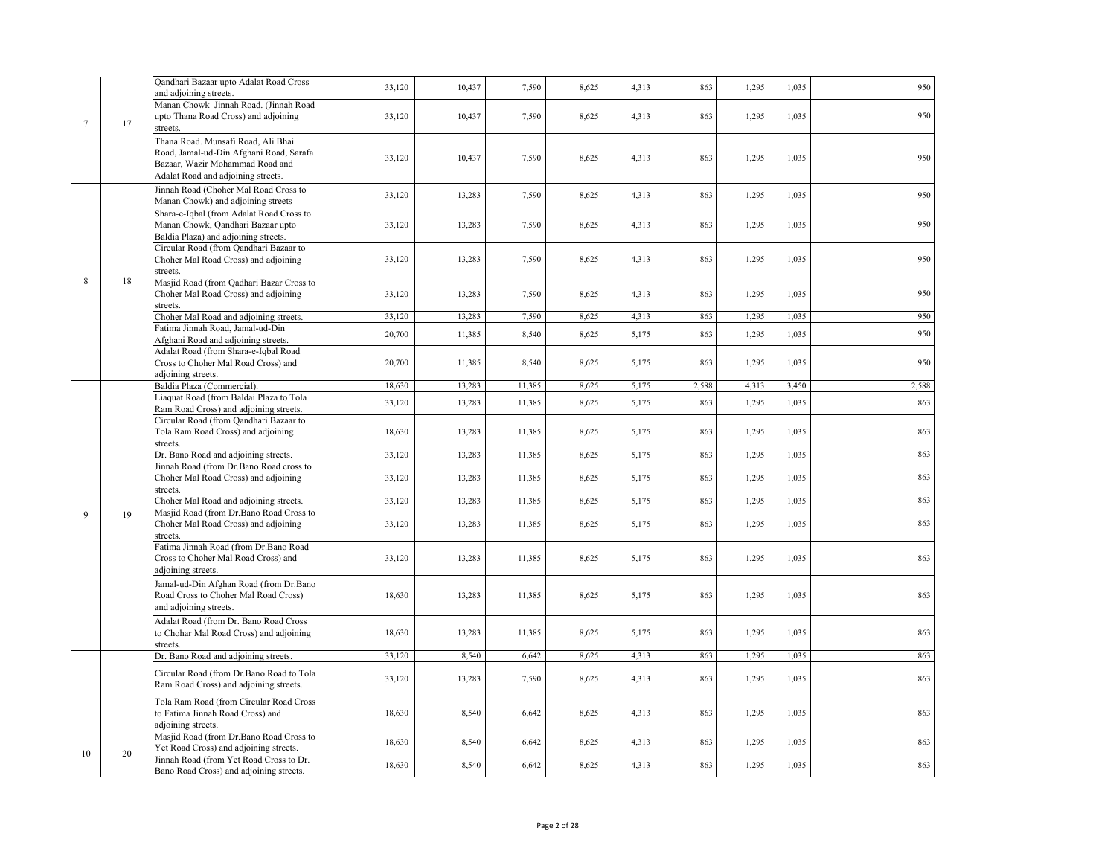|             |    | Qandhari Bazaar upto Adalat Road Cross<br>and adjoining streets.                                                                                       | 33,120 | 10,437 | 7,590  | 8,625 | 4,313 | 863   | 1,295 | 1,035 | 950   |
|-------------|----|--------------------------------------------------------------------------------------------------------------------------------------------------------|--------|--------|--------|-------|-------|-------|-------|-------|-------|
| $\tau$      | 17 | Manan Chowk Jinnah Road. (Jinnah Road<br>upto Thana Road Cross) and adjoining<br>streets.                                                              | 33,120 | 10,437 | 7,590  | 8,625 | 4,313 | 863   | 1,295 | 1,035 | 950   |
|             |    | Thana Road. Munsafi Road, Ali Bhai<br>Road, Jamal-ud-Din Afghani Road, Sarafa<br>Bazaar, Wazir Mohammad Road and<br>Adalat Road and adjoining streets. | 33,120 | 10,437 | 7,590  | 8,625 | 4,313 | 863   | 1,295 | 1,035 | 950   |
|             |    | Jinnah Road (Choher Mal Road Cross to<br>Manan Chowk) and adjoining streets                                                                            | 33,120 | 13,283 | 7,590  | 8,625 | 4,313 | 863   | 1,295 | 1,035 | 950   |
|             |    | Shara-e-Iqbal (from Adalat Road Cross to<br>Manan Chowk, Qandhari Bazaar upto<br>Baldia Plaza) and adjoining streets.                                  | 33,120 | 13,283 | 7,590  | 8,625 | 4,313 | 863   | 1,295 | 1.035 | 950   |
|             |    | Circular Road (from Qandhari Bazaar to<br>Choher Mal Road Cross) and adjoining<br>streets.                                                             | 33,120 | 13,283 | 7,590  | 8,625 | 4,313 | 863   | 1,295 | 1,035 | 950   |
| 8           | 18 | Masjid Road (from Qadhari Bazar Cross to<br>Choher Mal Road Cross) and adjoining<br>streets.                                                           | 33,120 | 13,283 | 7,590  | 8,625 | 4,313 | 863   | 1,295 | 1,035 | 950   |
|             |    | Choher Mal Road and adjoining streets.                                                                                                                 | 33,120 | 13,283 | 7,590  | 8,625 | 4,313 | 863   | 1,295 | 1,035 | 950   |
|             |    | Fatima Jinnah Road, Jamal-ud-Din<br>Afghani Road and adjoining streets.                                                                                | 20,700 | 11,385 | 8,540  | 8,625 | 5,175 | 863   | 1,295 | 1,035 | 950   |
|             |    | Adalat Road (from Shara-e-Iqbal Road<br>Cross to Choher Mal Road Cross) and<br>adjoining streets.                                                      | 20,700 | 11,385 | 8,540  | 8,625 | 5,175 | 863   | 1,295 | 1,035 | 950   |
|             |    | Baldia Plaza (Commercial).                                                                                                                             | 18,630 | 13,283 | 11,385 | 8,625 | 5,175 | 2,588 | 4,313 | 3,450 | 2,588 |
|             |    | Liaquat Road (from Baldai Plaza to Tola                                                                                                                |        |        |        |       |       |       |       |       |       |
|             |    | Ram Road Cross) and adjoining streets.                                                                                                                 | 33,120 | 13,283 | 11,385 | 8,625 | 5,175 | 863   | 1,295 | 1,035 | 863   |
|             |    | Circular Road (from Qandhari Bazaar to<br>Tola Ram Road Cross) and adjoining<br>streets.                                                               | 18,630 | 13,283 | 11,385 | 8,625 | 5,175 | 863   | 1,295 | 1,035 | 863   |
|             |    | Dr. Bano Road and adjoining streets.                                                                                                                   | 33,120 | 13,283 | 11,385 | 8,625 | 5,175 | 863   | 1,295 | 1,035 | 863   |
|             |    | Jinnah Road (from Dr.Bano Road cross to<br>Choher Mal Road Cross) and adjoining<br>streets.                                                            | 33,120 | 13,283 | 11,385 | 8,625 | 5,175 | 863   | 1,295 | 1,035 | 863   |
|             |    | Choher Mal Road and adjoining streets.                                                                                                                 | 33,120 | 13,283 | 11,385 | 8,625 | 5,175 | 863   | 1,295 | 1,035 | 863   |
| $\mathbf Q$ | 19 | Masjid Road (from Dr.Bano Road Cross to<br>Choher Mal Road Cross) and adjoining<br>streets.                                                            | 33,120 | 13,283 | 11,385 | 8,625 | 5,175 | 863   | 1,295 | 1,035 | 863   |
|             |    | Fatima Jinnah Road (from Dr.Bano Road<br>Cross to Choher Mal Road Cross) and<br>adjoining streets.                                                     | 33,120 | 13,283 | 11,385 | 8,625 | 5,175 | 863   | 1,295 | 1,035 | 863   |
|             |    | Jamal-ud-Din Afghan Road (from Dr.Bano<br>Road Cross to Choher Mal Road Cross)<br>and adjoining streets.                                               | 18,630 | 13,283 | 11,385 | 8,625 | 5,175 | 863   | 1,295 | 1,035 | 863   |
|             |    | Adalat Road (from Dr. Bano Road Cross<br>to Chohar Mal Road Cross) and adjoining<br>streets.                                                           | 18,630 | 13,283 | 11,385 | 8,625 | 5,175 | 863   | 1,295 | 1,035 | 863   |
|             |    | Dr. Bano Road and adjoining streets.                                                                                                                   | 33,120 | 8,540  | 6,642  | 8,625 | 4,313 | 863   | 1,295 | 1,035 | 863   |
|             |    | Circular Road (from Dr.Bano Road to Tola<br>Ram Road Cross) and adjoining streets.                                                                     | 33,120 | 13,283 | 7,590  | 8,625 | 4,313 | 863   | 1,295 | 1,035 | 863   |
|             |    | Tola Ram Road (from Circular Road Cross<br>to Fatima Jinnah Road Cross) and<br>adjoining streets.                                                      | 18,630 | 8,540  | 6,642  | 8,625 | 4,313 | 863   | 1,295 | 1,035 | 863   |
| 10          | 20 | Masjid Road (from Dr.Bano Road Cross to<br>Yet Road Cross) and adjoining streets.                                                                      | 18,630 | 8,540  | 6,642  | 8,625 | 4,313 | 863   | 1,295 | 1,035 | 863   |
|             |    | Jinnah Road (from Yet Road Cross to Dr.<br>Bano Road Cross) and adjoining streets.                                                                     | 18,630 | 8,540  | 6,642  | 8,625 | 4,313 | 863   | 1,295 | 1,035 | 863   |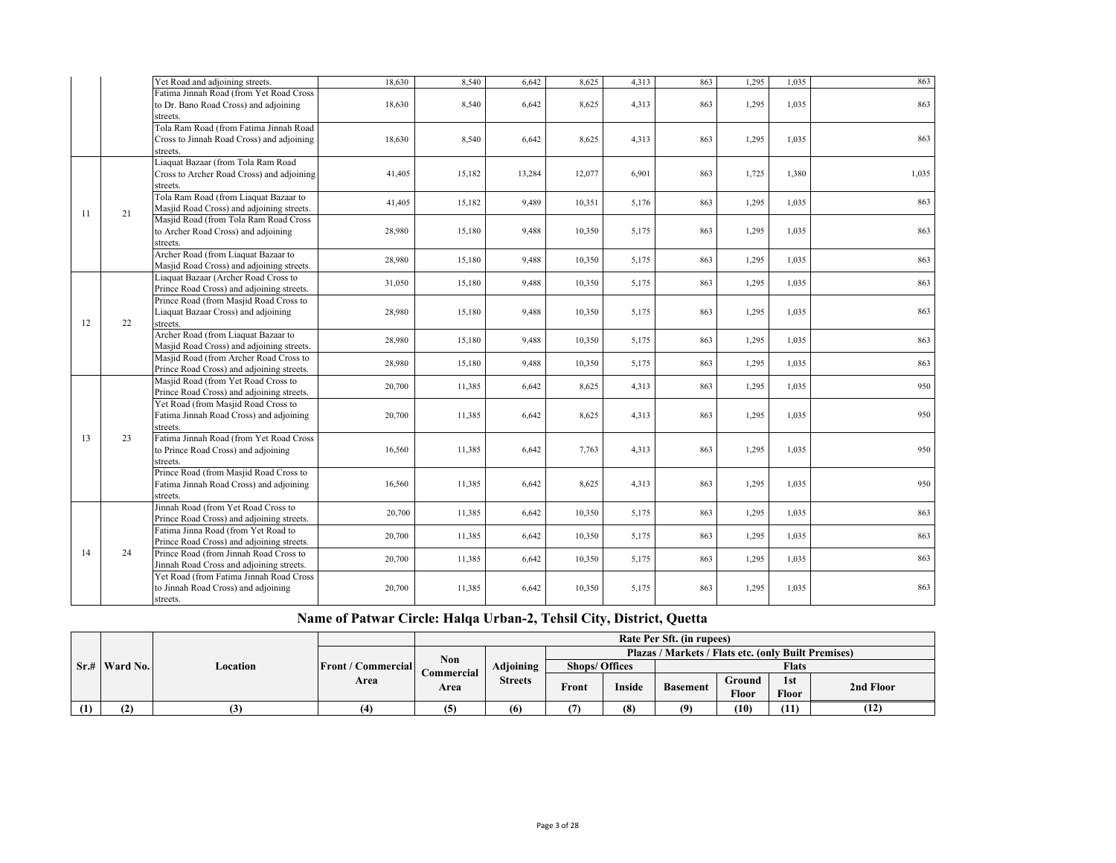|    |    | Yet Road and adjoining streets.                                                  | 18.630 | 8,540  | 6,642  | 8,625  | 4,313 | 863 | 1,295 | 1.035 | 863   |
|----|----|----------------------------------------------------------------------------------|--------|--------|--------|--------|-------|-----|-------|-------|-------|
|    |    | Fatima Jinnah Road (from Yet Road Cross                                          |        |        |        |        |       |     |       |       |       |
|    |    | to Dr. Bano Road Cross) and adjoining                                            | 18,630 | 8,540  | 6,642  | 8,625  | 4,313 | 863 | 1,295 | 1,035 | 863   |
|    |    | streets.                                                                         |        |        |        |        |       |     |       |       |       |
|    |    | Tola Ram Road (from Fatima Jinnah Road                                           |        |        |        |        |       |     |       |       |       |
|    |    | Cross to Jinnah Road Cross) and adjoining                                        | 18,630 | 8,540  | 6,642  | 8,625  | 4,313 | 863 | 1.295 | 1.035 | 863   |
|    |    | streets.                                                                         |        |        |        |        |       |     |       |       |       |
|    |    | Liaquat Bazaar (from Tola Ram Road                                               |        |        |        |        |       |     |       |       |       |
|    |    | Cross to Archer Road Cross) and adjoining                                        | 41,405 | 15,182 | 13,284 | 12,077 | 6,901 | 863 | 1,725 | 1,380 | 1,035 |
|    |    | streets.                                                                         |        |        |        |        |       |     |       |       |       |
|    |    | Tola Ram Road (from Liaquat Bazaar to                                            | 41,405 | 15,182 | 9,489  | 10,351 | 5,176 | 863 | 1.295 | 1.035 | 863   |
| 11 | 21 | Masjid Road Cross) and adjoining streets.                                        |        |        |        |        |       |     |       |       |       |
|    |    | Masjid Road (from Tola Ram Road Cross                                            |        |        |        |        |       |     |       |       |       |
|    |    | to Archer Road Cross) and adjoining                                              | 28,980 | 15,180 | 9,488  | 10,350 | 5,175 | 863 | 1,295 | 1,035 | 863   |
|    |    | streets.                                                                         |        |        |        |        |       |     |       |       |       |
|    |    | Archer Road (from Liaquat Bazaar to                                              | 28,980 | 15,180 | 9,488  | 10,350 | 5,175 | 863 | 1,295 | 1,035 | 863   |
|    |    | Masjid Road Cross) and adjoining streets.                                        |        |        |        |        |       |     |       |       |       |
|    |    | Liaquat Bazaar (Archer Road Cross to                                             | 31,050 | 15,180 | 9,488  | 10,350 | 5,175 | 863 | 1,295 | 1,035 | 863   |
|    |    | Prince Road Cross) and adjoining streets.                                        |        |        |        |        |       |     |       |       |       |
|    |    | Prince Road (from Masjid Road Cross to                                           |        |        |        |        |       |     |       |       |       |
|    |    | Liaquat Bazaar Cross) and adjoining                                              | 28,980 | 15,180 | 9,488  | 10,350 | 5,175 | 863 | 1,295 | 1,035 | 863   |
| 12 | 22 | streets.                                                                         |        |        |        |        |       |     |       |       |       |
|    |    | Archer Road (from Liaquat Bazaar to                                              | 28,980 | 15,180 | 9,488  | 10,350 | 5,175 | 863 | 1.295 | 1,035 | 863   |
|    |    | Masjid Road Cross) and adjoining streets.                                        |        |        |        |        |       |     |       |       |       |
|    |    | Masjid Road (from Archer Road Cross to                                           | 28,980 | 15,180 | 9,488  | 10,350 | 5,175 | 863 | 1,295 | 1,035 | 863   |
|    |    | Prince Road Cross) and adjoining streets.                                        |        |        |        |        |       |     |       |       |       |
|    |    | Masjid Road (from Yet Road Cross to                                              | 20,700 | 11,385 | 6,642  | 8,625  | 4,313 | 863 | 1,295 | 1,035 | 950   |
|    |    | Prince Road Cross) and adjoining streets.                                        |        |        |        |        |       |     |       |       |       |
|    |    | Yet Road (from Masjid Road Cross to                                              |        |        |        |        |       |     |       |       |       |
|    |    | Fatima Jinnah Road Cross) and adjoining                                          | 20,700 | 11,385 | 6,642  | 8,625  | 4,313 | 863 | 1,295 | 1,035 | 950   |
|    |    | streets.                                                                         |        |        |        |        |       |     |       |       |       |
| 13 | 23 | Fatima Jinnah Road (from Yet Road Cross                                          |        |        |        |        |       |     |       |       |       |
|    |    | to Prince Road Cross) and adjoining                                              | 16,560 | 11,385 | 6,642  | 7,763  | 4,313 | 863 | 1,295 | 1,035 | 950   |
|    |    | streets.<br>Prince Road (from Masjid Road Cross to                               |        |        |        |        |       |     |       |       |       |
|    |    |                                                                                  |        |        |        |        |       |     |       |       |       |
|    |    | Fatima Jinnah Road Cross) and adjoining                                          | 16,560 | 11,385 | 6,642  | 8,625  | 4,313 | 863 | 1,295 | 1,035 | 950   |
|    |    | streets.<br>Jinnah Road (from Yet Road Cross to                                  |        |        |        |        |       |     |       |       |       |
|    |    |                                                                                  | 20,700 | 11,385 | 6,642  | 10,350 | 5,175 | 863 | 1,295 | 1,035 | 863   |
|    |    | Prince Road Cross) and adjoining streets.<br>Fatima Jinna Road (from Yet Road to |        |        |        |        |       |     |       |       |       |
|    |    | Prince Road Cross) and adjoining streets.                                        | 20,700 | 11,385 | 6,642  | 10.350 | 5.175 | 863 | 1.295 | 1.035 | 863   |
| 14 | 24 | Prince Road (from Jinnah Road Cross to                                           |        |        |        |        |       |     |       |       |       |
|    |    | Jinnah Road Cross and adjoining streets.                                         | 20,700 | 11,385 | 6,642  | 10,350 | 5,175 | 863 | 1,295 | 1,035 | 863   |
|    |    | Yet Road (from Fatima Jinnah Road Cross                                          |        |        |        |        |       |     |       |       |       |
|    |    | to Jinnah Road Cross) and adjoining                                              | 20,700 | 11,385 | 6,642  | 10,350 | 5,175 | 863 | 1,295 | 1,035 | 863   |
|    |    | streets.                                                                         |        |        |        |        |       |     |       |       |       |
|    |    |                                                                                  |        |        |        |        |       |     |       |       |       |

## **Name of Patwar Circle: Halqa Urban-2, Tehsil City, District, Quetta**

|                      |          |                                   |                   |                |                       |               | Rate Per Sft. (in rupees)                           |        |              |           |
|----------------------|----------|-----------------------------------|-------------------|----------------|-----------------------|---------------|-----------------------------------------------------|--------|--------------|-----------|
|                      |          |                                   | <b>Non</b>        |                |                       |               | Plazas / Markets / Flats etc. (only Built Premises) |        |              |           |
| <b>Sr.#</b> Ward No. | Location | <b>Front / Commercial</b><br>Area | <b>Commercial</b> | Adjoining      | <b>Shops/ Offices</b> |               |                                                     |        | <b>Flats</b> |           |
|                      |          |                                   | Area              | <b>Streets</b> | Front                 | <b>Inside</b> | <b>Basement</b>                                     | Ground | 1st          | 2nd Floor |
|                      |          |                                   |                   |                |                       |               |                                                     | Floor  | <b>Floor</b> |           |
| (2)<br>ـ ا           | (3)      |                                   |                   | (6)            |                       | (8)           | (9)                                                 | (10)   | (11)         | (12)      |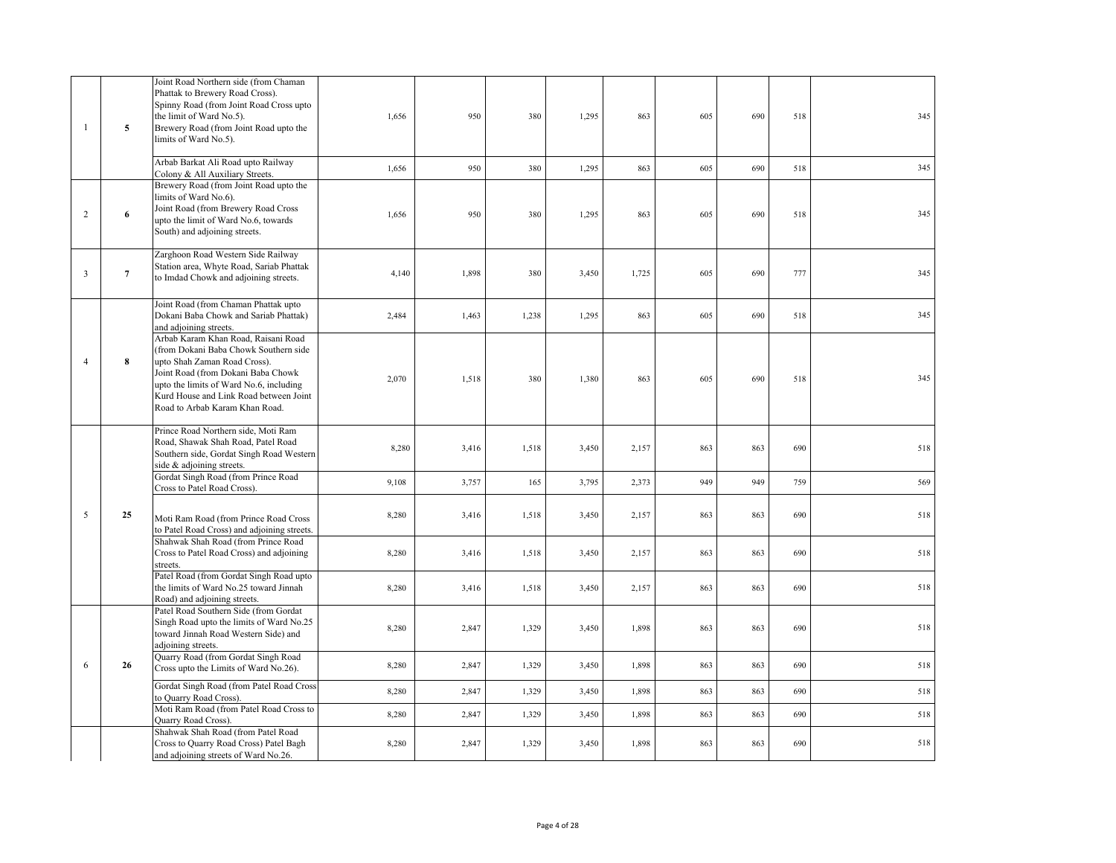| $\mathbf{1}$   | 5               | Joint Road Northern side (from Chaman<br>Phattak to Brewery Road Cross).<br>Spinny Road (from Joint Road Cross upto<br>the limit of Ward No.5).<br>Brewery Road (from Joint Road upto the<br>limits of Ward No.5).                                                        | 1,656 | 950   | 380   | 1,295 | 863   | 605 | 690 | 518 | 345 |
|----------------|-----------------|---------------------------------------------------------------------------------------------------------------------------------------------------------------------------------------------------------------------------------------------------------------------------|-------|-------|-------|-------|-------|-----|-----|-----|-----|
|                |                 | Arbab Barkat Ali Road upto Railway<br>Colony & All Auxiliary Streets.                                                                                                                                                                                                     | 1,656 | 950   | 380   | 1,295 | 863   | 605 | 690 | 518 | 345 |
| 2              | 6               | Brewery Road (from Joint Road upto the<br>limits of Ward No.6).<br>Joint Road (from Brewery Road Cross<br>upto the limit of Ward No.6, towards<br>South) and adjoining streets.                                                                                           | 1,656 | 950   | 380   | 1,295 | 863   | 605 | 690 | 518 | 345 |
| $\overline{3}$ | $7\overline{ }$ | Zarghoon Road Western Side Railway<br>Station area, Whyte Road, Sariab Phattak<br>to Imdad Chowk and adjoining streets.                                                                                                                                                   | 4,140 | 1,898 | 380   | 3,450 | 1,725 | 605 | 690 | 777 | 345 |
|                |                 | Joint Road (from Chaman Phattak upto<br>Dokani Baba Chowk and Sariab Phattak)<br>and adjoining streets.                                                                                                                                                                   | 2,484 | 1,463 | 1,238 | 1,295 | 863   | 605 | 690 | 518 | 345 |
| 4              | 8               | Arbab Karam Khan Road, Raisani Road<br>(from Dokani Baba Chowk Southern side<br>upto Shah Zaman Road Cross).<br>Joint Road (from Dokani Baba Chowk<br>upto the limits of Ward No.6, including<br>Kurd House and Link Road between Joint<br>Road to Arbab Karam Khan Road. | 2,070 | 1,518 | 380   | 1,380 | 863   | 605 | 690 | 518 | 345 |
|                |                 | Prince Road Northern side, Moti Ram<br>Road, Shawak Shah Road, Patel Road<br>Southern side, Gordat Singh Road Western<br>side & adjoining streets.                                                                                                                        | 8,280 | 3,416 | 1,518 | 3,450 | 2,157 | 863 | 863 | 690 | 518 |
|                |                 | Gordat Singh Road (from Prince Road<br>Cross to Patel Road Cross).                                                                                                                                                                                                        | 9,108 | 3,757 | 165   | 3,795 | 2,373 | 949 | 949 | 759 | 569 |
| 5              | 25              | Moti Ram Road (from Prince Road Cross<br>to Patel Road Cross) and adjoining streets.                                                                                                                                                                                      | 8,280 | 3,416 | 1,518 | 3,450 | 2,157 | 863 | 863 | 690 | 518 |
|                |                 | Shahwak Shah Road (from Prince Road<br>Cross to Patel Road Cross) and adjoining<br>streets.                                                                                                                                                                               | 8,280 | 3,416 | 1,518 | 3,450 | 2,157 | 863 | 863 | 690 | 518 |
|                |                 | Patel Road (from Gordat Singh Road upto<br>the limits of Ward No.25 toward Jinnah<br>Road) and adjoining streets.                                                                                                                                                         | 8,280 | 3,416 | 1,518 | 3,450 | 2,157 | 863 | 863 | 690 | 518 |
|                |                 | Patel Road Southern Side (from Gordat<br>Singh Road upto the limits of Ward No.25<br>toward Jinnah Road Western Side) and<br>adjoining streets.                                                                                                                           | 8,280 | 2,847 | 1,329 | 3,450 | 1,898 | 863 | 863 | 690 | 518 |
| 6              | 26              | Quarry Road (from Gordat Singh Road<br>Cross upto the Limits of Ward No.26).                                                                                                                                                                                              | 8,280 | 2,847 | 1,329 | 3,450 | 1,898 | 863 | 863 | 690 | 518 |
|                |                 | Gordat Singh Road (from Patel Road Cross<br>to Quarry Road Cross).<br>Moti Ram Road (from Patel Road Cross to                                                                                                                                                             | 8,280 | 2,847 | 1,329 | 3,450 | 1,898 | 863 | 863 | 690 | 518 |
|                |                 | Quarry Road Cross)                                                                                                                                                                                                                                                        | 8,280 | 2,847 | 1,329 | 3,450 | 1,898 | 863 | 863 | 690 | 518 |
|                |                 | Shahwak Shah Road (from Patel Road<br>Cross to Quarry Road Cross) Patel Bagh<br>and adjoining streets of Ward No.26.                                                                                                                                                      | 8,280 | 2,847 | 1,329 | 3,450 | 1,898 | 863 | 863 | 690 | 518 |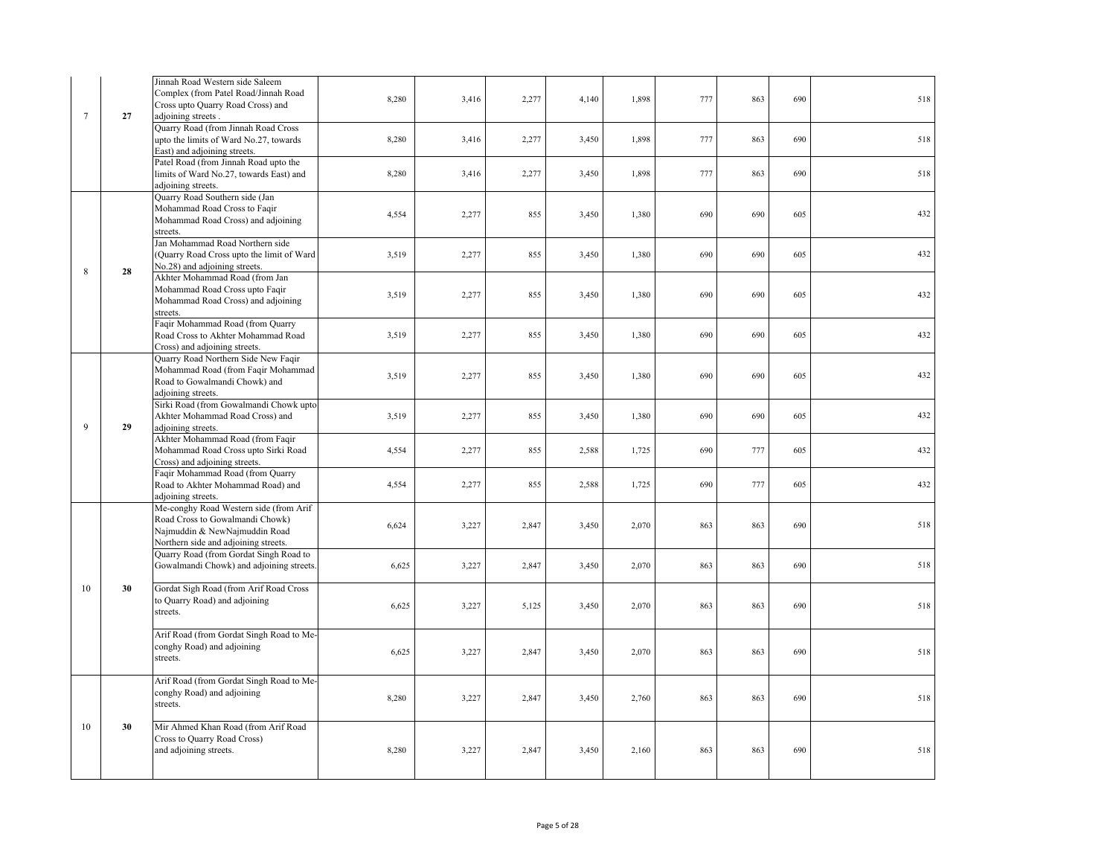| $\overline{7}$ | 27 | Jinnah Road Western side Saleem<br>Complex (from Patel Road/Jinnah Road<br>Cross upto Quarry Road Cross) and<br>adjoining streets.                 | 8,280 | 3,416 | 2,277 | 4,140 | 1,898 | 777 | 863 | 690 | 518 |
|----------------|----|----------------------------------------------------------------------------------------------------------------------------------------------------|-------|-------|-------|-------|-------|-----|-----|-----|-----|
|                |    | Quarry Road (from Jinnah Road Cross<br>upto the limits of Ward No.27, towards<br>East) and adjoining streets.                                      | 8,280 | 3,416 | 2,277 | 3,450 | 1,898 | 777 | 863 | 690 | 518 |
|                |    | Patel Road (from Jinnah Road upto the<br>limits of Ward No.27, towards East) and<br>adjoining streets.                                             | 8,280 | 3,416 | 2,277 | 3,450 | 1,898 | 777 | 863 | 690 | 518 |
|                |    | Quarry Road Southern side (Jan<br>Mohammad Road Cross to Faqir<br>Mohammad Road Cross) and adjoining<br>streets.                                   | 4,554 | 2,277 | 855   | 3,450 | 1,380 | 690 | 690 | 605 | 432 |
| 8              | 28 | Jan Mohammad Road Northern side<br>Quarry Road Cross upto the limit of Ward<br>No.28) and adjoining streets.                                       | 3,519 | 2,277 | 855   | 3,450 | 1,380 | 690 | 690 | 605 | 432 |
|                |    | Akhter Mohammad Road (from Jan<br>Mohammad Road Cross upto Faqir<br>Mohammad Road Cross) and adjoining<br>streets.                                 | 3,519 | 2,277 | 855   | 3,450 | 1,380 | 690 | 690 | 605 | 432 |
|                |    | Faqir Mohammad Road (from Quarry<br>Road Cross to Akhter Mohammad Road<br>Cross) and adjoining streets.                                            | 3,519 | 2,277 | 855   | 3,450 | 1,380 | 690 | 690 | 605 | 432 |
|                |    | Quarry Road Northern Side New Faqir<br>Mohammad Road (from Faqir Mohammad<br>Road to Gowalmandi Chowk) and<br>adjoining streets.                   | 3,519 | 2,277 | 855   | 3,450 | 1,380 | 690 | 690 | 605 | 432 |
| 9              | 29 | Sirki Road (from Gowalmandi Chowk upto<br>Akhter Mohammad Road Cross) and<br>adjoining streets.                                                    | 3,519 | 2,277 | 855   | 3,450 | 1,380 | 690 | 690 | 605 | 432 |
|                |    | Akhter Mohammad Road (from Faqir<br>Mohammad Road Cross upto Sirki Road<br>Cross) and adjoining streets.                                           | 4,554 | 2,277 | 855   | 2,588 | 1,725 | 690 | 777 | 605 | 432 |
|                |    | Faqir Mohammad Road (from Quarry<br>Road to Akhter Mohammad Road) and<br>adjoining streets.                                                        | 4,554 | 2,277 | 855   | 2,588 | 1,725 | 690 | 777 | 605 | 432 |
|                |    | Me-conghy Road Western side (from Arif<br>Road Cross to Gowalmandi Chowk)<br>Najmuddin & NewNajmuddin Road<br>Northern side and adjoining streets. | 6,624 | 3,227 | 2,847 | 3,450 | 2,070 | 863 | 863 | 690 | 518 |
|                |    | Quarry Road (from Gordat Singh Road to<br>Gowalmandi Chowk) and adjoining streets                                                                  | 6,625 | 3,227 | 2,847 | 3,450 | 2,070 | 863 | 863 | 690 | 518 |
| 10             | 30 | Gordat Sigh Road (from Arif Road Cross<br>o Quarry Road) and adjoining<br>streets.                                                                 | 6,625 | 3,227 | 5,125 | 3,450 | 2,070 | 863 | 863 | 690 | 518 |
|                |    | Arif Road (from Gordat Singh Road to Me-<br>conghy Road) and adjoining<br>streets.                                                                 | 6,625 | 3,227 | 2,847 | 3,450 | 2,070 | 863 | 863 | 690 | 518 |
|                |    | Arif Road (from Gordat Singh Road to Me-<br>conghy Road) and adjoining<br>streets.                                                                 | 8,280 | 3,227 | 2,847 | 3,450 | 2,760 | 863 | 863 | 690 | 518 |
| 10             | 30 | Mir Ahmed Khan Road (from Arif Road<br>Cross to Quarry Road Cross)<br>and adjoining streets.                                                       | 8,280 | 3,227 | 2,847 | 3,450 | 2,160 | 863 | 863 | 690 | 518 |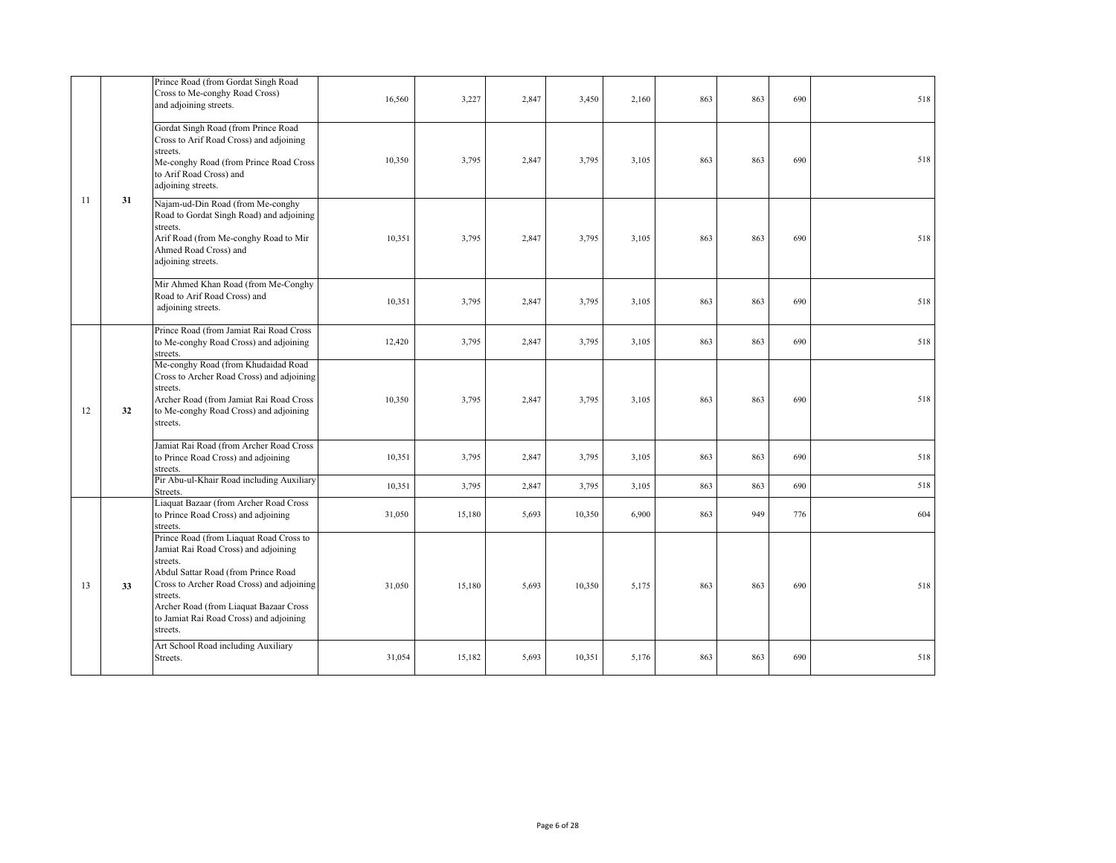|    |    | Prince Road (from Gordat Singh Road<br>Cross to Me-conghy Road Cross)<br>and adjoining streets.                                                                                                                                                                                              | 16,560 | 3,227  | 2,847 | 3,450  | 2,160 | 863 | 863 | 690 | 518 |
|----|----|----------------------------------------------------------------------------------------------------------------------------------------------------------------------------------------------------------------------------------------------------------------------------------------------|--------|--------|-------|--------|-------|-----|-----|-----|-----|
|    |    | Gordat Singh Road (from Prince Road<br>Cross to Arif Road Cross) and adjoining<br>streets.<br>Me-conghy Road (from Prince Road Cross<br>to Arif Road Cross) and<br>adjoining streets.                                                                                                        | 10,350 | 3,795  | 2,847 | 3,795  | 3,105 | 863 | 863 | 690 | 518 |
| 11 | 31 | Najam-ud-Din Road (from Me-conghy<br>Road to Gordat Singh Road) and adjoining<br>streets.<br>Arif Road (from Me-conghy Road to Mir<br>Ahmed Road Cross) and<br>adjoining streets.                                                                                                            | 10,351 | 3,795  | 2,847 | 3,795  | 3,105 | 863 | 863 | 690 | 518 |
|    |    | Mir Ahmed Khan Road (from Me-Conghy<br>Road to Arif Road Cross) and<br>adjoining streets.                                                                                                                                                                                                    | 10,351 | 3,795  | 2,847 | 3,795  | 3,105 | 863 | 863 | 690 | 518 |
|    |    | Prince Road (from Jamiat Rai Road Cross<br>to Me-conghy Road Cross) and adjoining<br>streets.                                                                                                                                                                                                | 12,420 | 3,795  | 2,847 | 3,795  | 3,105 | 863 | 863 | 690 | 518 |
| 12 | 32 | Me-conghy Road (from Khudaidad Road<br>Cross to Archer Road Cross) and adjoining<br>streets.<br>Archer Road (from Jamiat Rai Road Cross<br>to Me-conghy Road Cross) and adjoining<br>streets.                                                                                                | 10,350 | 3,795  | 2,847 | 3,795  | 3,105 | 863 | 863 | 690 | 518 |
|    |    | Jamiat Rai Road (from Archer Road Cross<br>to Prince Road Cross) and adjoining<br>streets.                                                                                                                                                                                                   | 10,351 | 3,795  | 2,847 | 3,795  | 3,105 | 863 | 863 | 690 | 518 |
|    |    | Pir Abu-ul-Khair Road including Auxiliary<br>Streets.                                                                                                                                                                                                                                        | 10,351 | 3,795  | 2,847 | 3,795  | 3,105 | 863 | 863 | 690 | 518 |
|    |    | Liaquat Bazaar (from Archer Road Cross<br>to Prince Road Cross) and adjoining<br>streets.                                                                                                                                                                                                    | 31,050 | 15,180 | 5,693 | 10,350 | 6,900 | 863 | 949 | 776 | 604 |
| 13 | 33 | Prince Road (from Liaquat Road Cross to<br>Jamiat Rai Road Cross) and adjoining<br>streets.<br>Abdul Sattar Road (from Prince Road<br>Cross to Archer Road Cross) and adjoining<br>streets.<br>Archer Road (from Liaquat Bazaar Cross<br>to Jamiat Rai Road Cross) and adjoining<br>streets. | 31,050 | 15,180 | 5.693 | 10,350 | 5,175 | 863 | 863 | 690 | 518 |
|    |    | Art School Road including Auxiliary<br>Streets.                                                                                                                                                                                                                                              | 31,054 | 15,182 | 5,693 | 10,351 | 5,176 | 863 | 863 | 690 | 518 |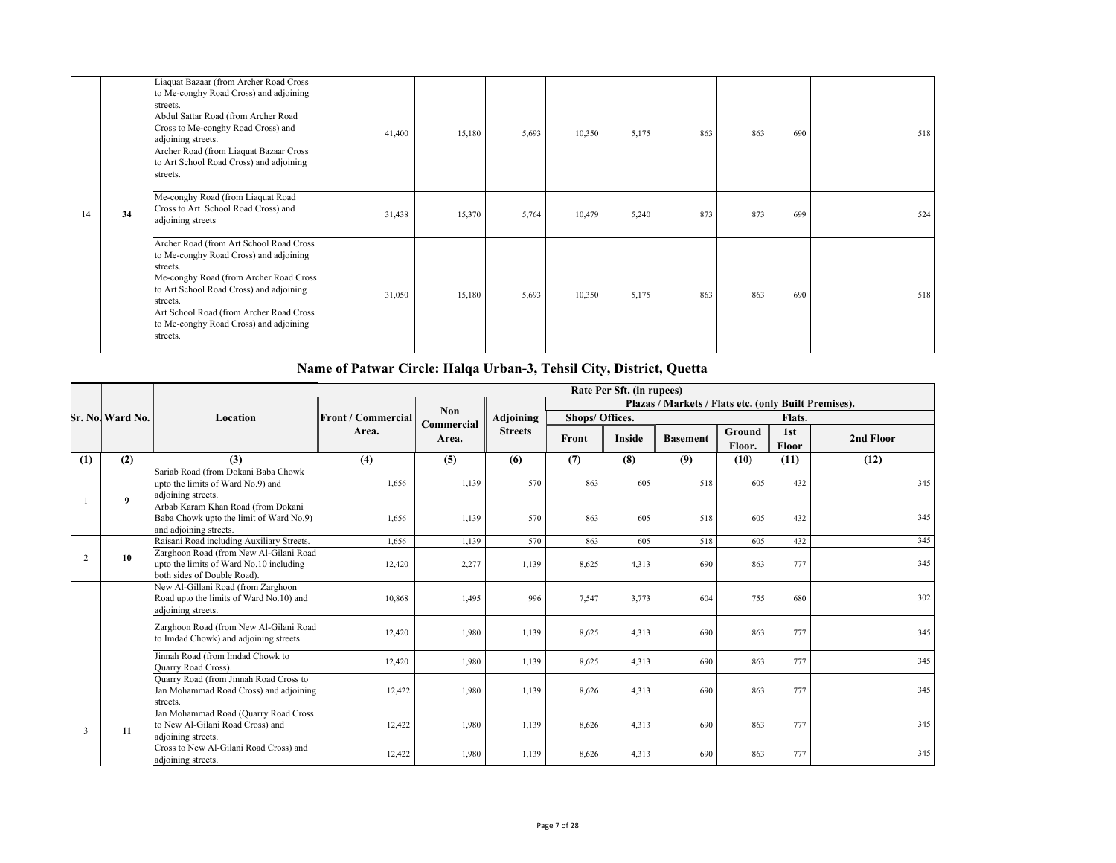|    |    | Liaquat Bazaar (from Archer Road Cross<br>to Me-conghy Road Cross) and adjoining<br>streets.<br>Abdul Sattar Road (from Archer Road<br>Cross to Me-conghy Road Cross) and<br>adjoining streets.<br>Archer Road (from Liaquat Bazaar Cross<br>to Art School Road Cross) and adjoining<br>streets. | 41,400 | 15,180 | 5,693 | 10,350 | 5,175 | 863 | 863 | 690 | 518 |
|----|----|--------------------------------------------------------------------------------------------------------------------------------------------------------------------------------------------------------------------------------------------------------------------------------------------------|--------|--------|-------|--------|-------|-----|-----|-----|-----|
| 14 | 34 | Me-conghy Road (from Liaquat Road<br>Cross to Art School Road Cross) and<br>adjoining streets                                                                                                                                                                                                    | 31,438 | 15,370 | 5,764 | 10,479 | 5,240 | 873 | 873 | 699 | 524 |
|    |    | Archer Road (from Art School Road Cross<br>to Me-conghy Road Cross) and adjoining<br>streets.<br>Me-conghy Road (from Archer Road Cross<br>to Art School Road Cross) and adjoining<br>streets.<br>Art School Road (from Archer Road Cross<br>to Me-conghy Road Cross) and adjoining<br>streets.  | 31,050 | 15,180 | 5,693 | 10,350 | 5,175 | 863 | 863 | 690 | 518 |

# **Name of Patwar Circle: Halqa Urban-3, Tehsil City, District, Quetta**

|     |                 |                                                                                                                  | Rate Per Sft. (in rupees) |                     |                |                 |               |                                                      |                  |                     |           |
|-----|-----------------|------------------------------------------------------------------------------------------------------------------|---------------------------|---------------------|----------------|-----------------|---------------|------------------------------------------------------|------------------|---------------------|-----------|
|     |                 |                                                                                                                  |                           |                     |                |                 |               | Plazas / Markets / Flats etc. (only Built Premises). |                  |                     |           |
|     | Sr. No Ward No. | Location                                                                                                         | <b>Front / Commercial</b> | <b>Non</b>          | Adjoining      | Shops/ Offices. |               |                                                      |                  | Flats.              |           |
|     |                 |                                                                                                                  | Area.                     | Commercial<br>Area. | <b>Streets</b> | Front           | <b>Inside</b> | <b>Basement</b>                                      | Ground<br>Floor. | 1st<br><b>Floor</b> | 2nd Floor |
| (1) | (2)             | (3)                                                                                                              | (4)                       | (5)                 | (6)            | (7)             | (8)           | (9)                                                  | (10)             | (11)                | (12)      |
|     |                 | Sariab Road (from Dokani Baba Chowk<br>upto the limits of Ward No.9) and<br>adjoining streets.                   | 1,656                     | 1,139               | 570            | 863             | 605           | 518                                                  | 605              | 432                 | 345       |
| 2   | 9               | Arbab Karam Khan Road (from Dokani<br>Baba Chowk upto the limit of Ward No.9)<br>and adjoining streets.          | 1,656                     | 1,139               | 570            | 863             | 605           | 518                                                  | 605              | 432                 | 345       |
|     |                 | Raisani Road including Auxiliary Streets.                                                                        | 1.656                     | 1,139               | 570            | 863             | 605           | 518                                                  | 605              | 432                 | 345       |
|     | 10              | Zarghoon Road (from New Al-Gilani Road<br>upto the limits of Ward No.10 including<br>both sides of Double Road). | 12,420                    | 2,277               | 1,139          | 8,625           | 4,313         | 690                                                  | 863              | 777                 | 345       |
|     |                 | New Al-Gillani Road (from Zarghoon<br>Road upto the limits of Ward No.10) and<br>adjoining streets.              | 10,868                    | 1,495               | 996            | 7,547           | 3,773         | 604                                                  | 755              | 680                 | 302       |
|     |                 | Zarghoon Road (from New Al-Gilani Road<br>to Imdad Chowk) and adjoining streets.                                 | 12,420                    | 1,980               | 1,139          | 8,625           | 4,313         | 690                                                  | 863              | 777                 | 345       |
|     |                 | Jinnah Road (from Imdad Chowk to<br>Ouarry Road Cross).                                                          | 12,420                    | 1,980               | 1,139          | 8,625           | 4.313         | 690                                                  | 863              | 777                 | 345       |
|     |                 | Quarry Road (from Jinnah Road Cross to<br>Jan Mohammad Road Cross) and adjoining<br>streets.                     | 12,422                    | 1,980               | 1,139          | 8,626           | 4,313         | 690                                                  | 863              | 777                 | 345       |
| 3   | 11              | Jan Mohammad Road (Quarry Road Cross<br>to New Al-Gilani Road Cross) and<br>adjoining streets.                   | 12,422                    | 1,980               | 1,139          | 8,626           | 4,313         | 690                                                  | 863              | 777                 | 345       |
|     |                 | Cross to New Al-Gilani Road Cross) and<br>adjoining streets.                                                     | 12,422                    | 1,980               | 1,139          | 8,626           | 4.313         | 690                                                  | 863              | 777                 | 345       |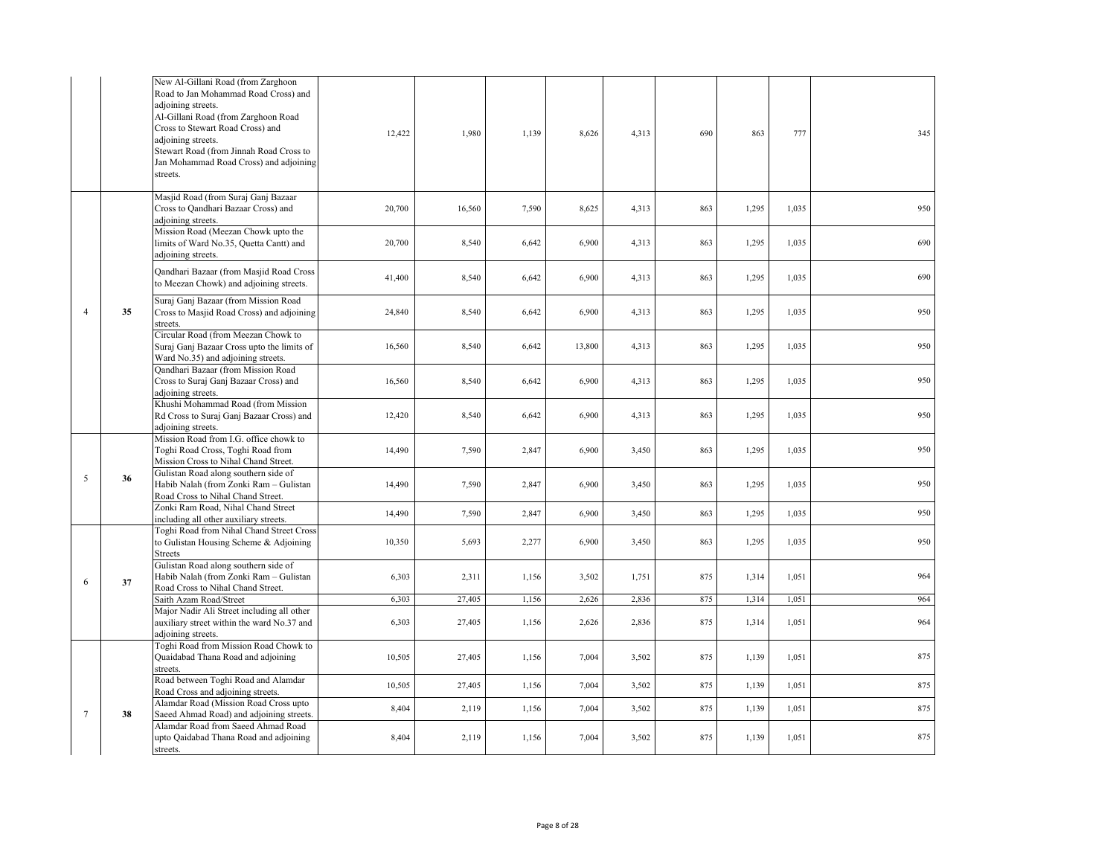|                |    | New Al-Gillani Road (from Zarghoon<br>Road to Jan Mohammad Road Cross) and<br>adjoining streets.<br>Al-Gillani Road (from Zarghoon Road<br>Cross to Stewart Road Cross) and<br>adjoining streets.<br>Stewart Road (from Jinnah Road Cross to<br>Jan Mohammad Road Cross) and adjoining<br>streets. | 12,422 | 1,980  | 1,139 | 8,626  | 4,313 | 690 | 863   | 777   | 345 |
|----------------|----|----------------------------------------------------------------------------------------------------------------------------------------------------------------------------------------------------------------------------------------------------------------------------------------------------|--------|--------|-------|--------|-------|-----|-------|-------|-----|
|                |    | Masjid Road (from Suraj Ganj Bazaar<br>Cross to Qandhari Bazaar Cross) and<br>adjoining streets.                                                                                                                                                                                                   | 20,700 | 16,560 | 7,590 | 8,625  | 4,313 | 863 | 1,295 | 1,035 | 950 |
|                |    | Mission Road (Meezan Chowk upto the<br>limits of Ward No.35, Quetta Cantt) and<br>adjoining streets.                                                                                                                                                                                               | 20,700 | 8,540  | 6,642 | 6,900  | 4,313 | 863 | 1,295 | 1,035 | 690 |
|                |    | Qandhari Bazaar (from Masjid Road Cross<br>to Meezan Chowk) and adjoining streets.                                                                                                                                                                                                                 | 41,400 | 8,540  | 6,642 | 6,900  | 4,313 | 863 | 1,295 | 1,035 | 690 |
| $\overline{4}$ | 35 | Suraj Ganj Bazaar (from Mission Road<br>Cross to Masjid Road Cross) and adjoining<br>streets.                                                                                                                                                                                                      | 24,840 | 8,540  | 6,642 | 6,900  | 4,313 | 863 | 1,295 | 1,035 | 950 |
|                |    | Circular Road (from Meezan Chowk to<br>Suraj Ganj Bazaar Cross upto the limits of<br>Ward No.35) and adjoining streets.                                                                                                                                                                            | 16,560 | 8,540  | 6,642 | 13,800 | 4,313 | 863 | 1,295 | 1.035 | 950 |
|                |    | Qandhari Bazaar (from Mission Road<br>Cross to Suraj Ganj Bazaar Cross) and<br>adjoining streets.                                                                                                                                                                                                  | 16,560 | 8,540  | 6,642 | 6,900  | 4,313 | 863 | 1,295 | 1,035 | 950 |
|                |    | Khushi Mohammad Road (from Mission<br>Rd Cross to Suraj Ganj Bazaar Cross) and<br>adjoining streets.                                                                                                                                                                                               | 12,420 | 8,540  | 6,642 | 6,900  | 4,313 | 863 | 1,295 | 1,035 | 950 |
|                |    | Mission Road from I.G. office chowk to<br>Toghi Road Cross, Toghi Road from<br>Mission Cross to Nihal Chand Street.                                                                                                                                                                                | 14,490 | 7,590  | 2,847 | 6,900  | 3,450 | 863 | 1,295 | 1,035 | 950 |
| 5              | 36 | Gulistan Road along southern side of<br>Habib Nalah (from Zonki Ram - Gulistan<br>Road Cross to Nihal Chand Street.                                                                                                                                                                                | 14,490 | 7,590  | 2,847 | 6,900  | 3,450 | 863 | 1,295 | 1,035 | 950 |
|                |    | Zonki Ram Road, Nihal Chand Street<br>including all other auxiliary streets.                                                                                                                                                                                                                       | 14,490 | 7,590  | 2,847 | 6,900  | 3,450 | 863 | 1,295 | 1,035 | 950 |
|                |    | Toghi Road from Nihal Chand Street Cross<br>to Gulistan Housing Scheme & Adjoining<br><b>Streets</b>                                                                                                                                                                                               | 10,350 | 5,693  | 2,277 | 6,900  | 3,450 | 863 | 1,295 | 1,035 | 950 |
| 6              | 37 | Gulistan Road along southern side of<br>Habib Nalah (from Zonki Ram - Gulistan<br>Road Cross to Nihal Chand Street.                                                                                                                                                                                | 6,303  | 2,311  | 1,156 | 3,502  | 1,751 | 875 | 1,314 | 1,051 | 964 |
|                |    | Saith Azam Road/Street                                                                                                                                                                                                                                                                             | 6,303  | 27,405 | 1,156 | 2,626  | 2,836 | 875 | 1,314 | 1,051 | 964 |
|                |    | Major Nadir Ali Street including all other<br>auxiliary street within the ward No.37 and<br>adjoining streets.                                                                                                                                                                                     | 6,303  | 27,405 | 1,156 | 2,626  | 2,836 | 875 | 1,314 | 1,051 | 964 |
|                |    | Toghi Road from Mission Road Chowk to<br>Quaidabad Thana Road and adjoining<br>streets.                                                                                                                                                                                                            | 10,505 | 27,405 | 1,156 | 7,004  | 3,502 | 875 | 1,139 | 1,051 | 875 |
|                |    | Road between Toghi Road and Alamdar<br>Road Cross and adjoining streets.                                                                                                                                                                                                                           | 10,505 | 27,405 | 1,156 | 7,004  | 3,502 | 875 | 1,139 | 1,051 | 875 |
| $\overline{7}$ | 38 | Alamdar Road (Mission Road Cross upto<br>Saeed Ahmad Road) and adjoining streets.                                                                                                                                                                                                                  | 8,404  | 2,119  | 1,156 | 7,004  | 3,502 | 875 | 1,139 | 1,051 | 875 |
|                |    | Alamdar Road from Saeed Ahmad Road<br>upto Qaidabad Thana Road and adjoining<br>streets.                                                                                                                                                                                                           | 8,404  | 2,119  | 1,156 | 7,004  | 3,502 | 875 | 1,139 | 1,051 | 875 |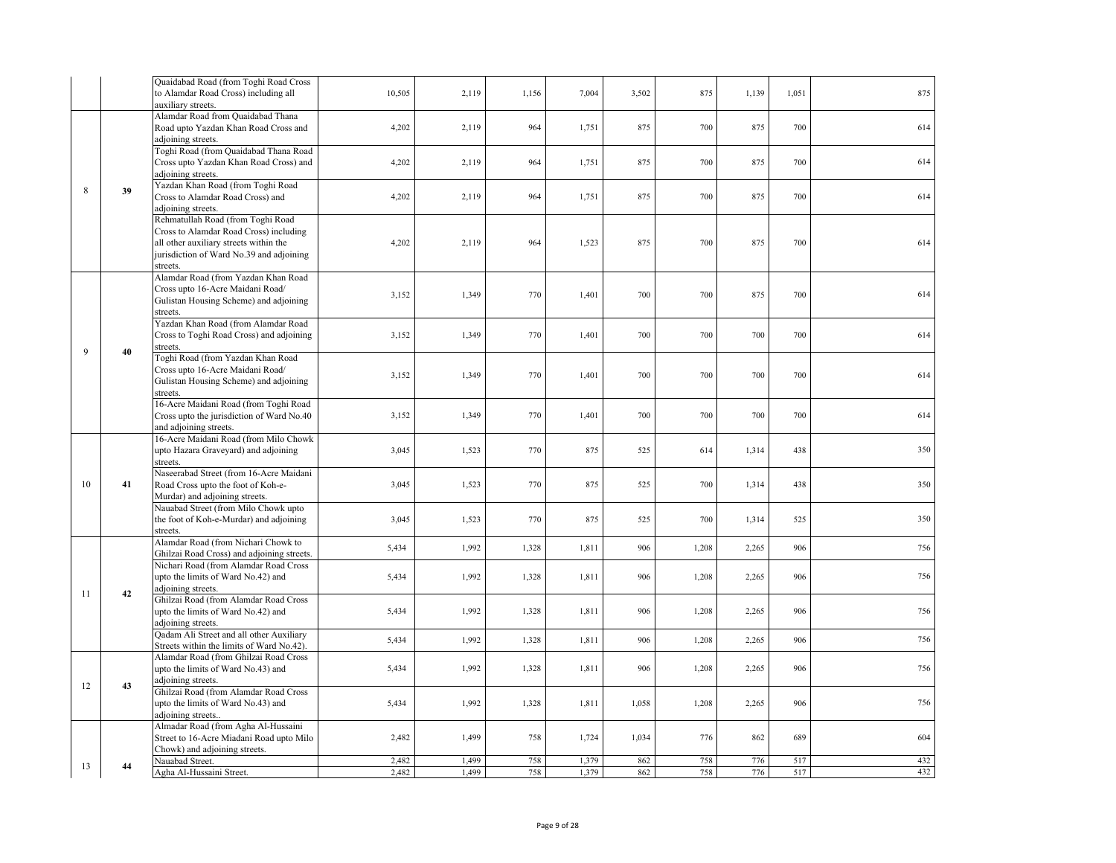|    |    | Quaidabad Road (from Toghi Road Cross<br>to Alamdar Road Cross) including all<br>auxiliary streets.                                                                           | 10,505 | 2,119 | 1,156 | 7,004 | 3,502 | 875   | 1,139 | 1,051 | 875 |
|----|----|-------------------------------------------------------------------------------------------------------------------------------------------------------------------------------|--------|-------|-------|-------|-------|-------|-------|-------|-----|
|    |    | Alamdar Road from Quaidabad Thana<br>Road upto Yazdan Khan Road Cross and<br>adjoining streets.                                                                               | 4,202  | 2,119 | 964   | 1,751 | 875   | 700   | 875   | 700   | 614 |
|    |    | Toghi Road (from Quaidabad Thana Road<br>Cross upto Yazdan Khan Road Cross) and<br>adjoining streets.                                                                         | 4,202  | 2,119 | 964   | 1,751 | 875   | 700   | 875   | 700   | 614 |
| 8  | 39 | Yazdan Khan Road (from Toghi Road<br>Cross to Alamdar Road Cross) and<br>adjoining streets.                                                                                   | 4,202  | 2,119 | 964   | 1,751 | 875   | 700   | 875   | 700   | 614 |
|    |    | Rehmatullah Road (from Toghi Road<br>Cross to Alamdar Road Cross) including<br>all other auxiliary streets within the<br>jurisdiction of Ward No.39 and adjoining<br>streets. | 4,202  | 2,119 | 964   | 1,523 | 875   | 700   | 875   | 700   | 614 |
|    |    | Alamdar Road (from Yazdan Khan Road<br>Cross upto 16-Acre Maidani Road/<br>Gulistan Housing Scheme) and adjoining<br>streets.                                                 | 3,152  | 1,349 | 770   | 1,401 | 700   | 700   | 875   | 700   | 614 |
| 9  | 40 | Yazdan Khan Road (from Alamdar Road<br>Cross to Toghi Road Cross) and adjoining<br>streets.                                                                                   | 3,152  | 1,349 | 770   | 1,401 | 700   | 700   | 700   | 700   | 614 |
|    |    | Toghi Road (from Yazdan Khan Road<br>Cross upto 16-Acre Maidani Road/<br>Gulistan Housing Scheme) and adjoining<br>streets.                                                   | 3,152  | 1,349 | 770   | 1,401 | 700   | 700   | 700   | 700   | 614 |
|    |    | 16-Acre Maidani Road (from Toghi Road<br>Cross upto the jurisdiction of Ward No.40<br>and adjoining streets.                                                                  | 3,152  | 1,349 | 770   | 1,401 | 700   | 700   | 700   | 700   | 614 |
|    |    | 16-Acre Maidani Road (from Milo Chowk<br>upto Hazara Graveyard) and adjoining<br>streets.                                                                                     | 3,045  | 1,523 | 770   | 875   | 525   | 614   | 1,314 | 438   | 350 |
| 10 | 41 | Naseerabad Street (from 16-Acre Maidani<br>Road Cross upto the foot of Koh-e-<br>Murdar) and adjoining streets.                                                               | 3,045  | 1,523 | 770   | 875   | 525   | 700   | 1,314 | 438   | 350 |
|    |    | Nauabad Street (from Milo Chowk upto<br>the foot of Koh-e-Murdar) and adjoining<br>streets.                                                                                   | 3,045  | 1,523 | 770   | 875   | 525   | 700   | 1,314 | 525   | 350 |
|    |    | Alamdar Road (from Nichari Chowk to<br>Ghilzai Road Cross) and adjoining streets.                                                                                             | 5,434  | 1,992 | 1,328 | 1,811 | 906   | 1,208 | 2,265 | 906   | 756 |
| 11 | 42 | Nichari Road (from Alamdar Road Cross<br>upto the limits of Ward No.42) and<br>adioining streets.                                                                             | 5,434  | 1,992 | 1,328 | 1,811 | 906   | 1,208 | 2,265 | 906   | 756 |
|    |    | Ghilzai Road (from Alamdar Road Cross<br>upto the limits of Ward No.42) and<br>adjoining streets.                                                                             | 5,434  | 1,992 | 1,328 | 1,811 | 906   | 1,208 | 2,265 | 906   | 756 |
|    |    | Qadam Ali Street and all other Auxiliary<br>Streets within the limits of Ward No.42).                                                                                         | 5,434  | 1,992 | 1,328 | 1,811 | 906   | 1,208 | 2,265 | 906   | 756 |
|    |    | Alamdar Road (from Ghilzai Road Cross<br>upto the limits of Ward No.43) and<br>adjoining streets.                                                                             | 5,434  | 1,992 | 1,328 | 1,811 | 906   | 1,208 | 2,265 | 906   | 756 |
| 12 | 43 | Ghilzai Road (from Alamdar Road Cross<br>upto the limits of Ward No.43) and<br>adjoining streets.                                                                             | 5,434  | 1,992 | 1,328 | 1,811 | 1,058 | 1,208 | 2,265 | 906   | 756 |
|    |    | Almadar Road (from Agha Al-Hussaini<br>Street to 16-Acre Miadani Road upto Milo<br>Chowk) and adjoining streets.                                                              | 2,482  | 1,499 | 758   | 1,724 | 1,034 | 776   | 862   | 689   | 604 |
| 13 | 44 | Nauabad Street.                                                                                                                                                               | 2,482  | 1,499 | 758   | 1,379 | 862   | 758   | 776   | 517   | 432 |
|    |    | Agha Al-Hussaini Street.                                                                                                                                                      | 2,482  | 1,499 | 758   | 1,379 | 862   | 758   | 776   | 517   | 432 |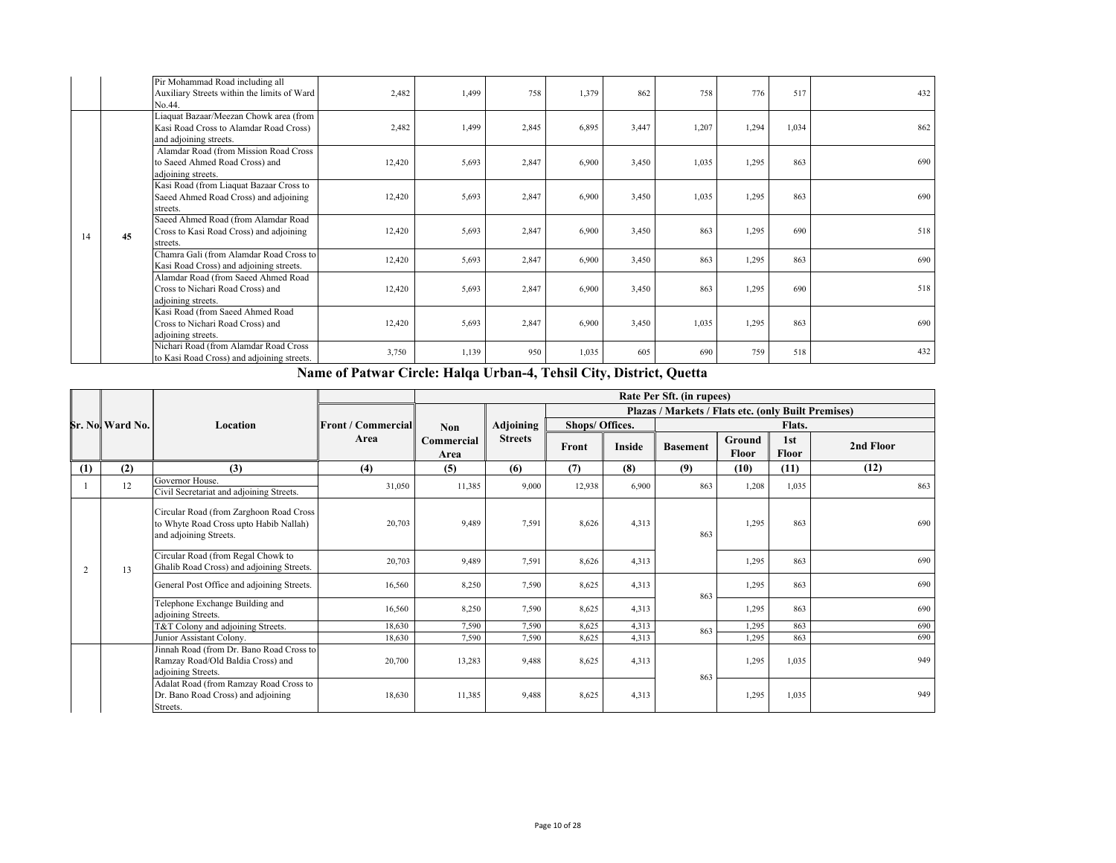|    |    | Pir Mohammad Road including all<br>Auxiliary Streets within the limits of Ward<br>No.44.                   | 2,482  | 1,499 | 758   | 1,379 | 862   | 758   | 776   | 517   | 432 |
|----|----|------------------------------------------------------------------------------------------------------------|--------|-------|-------|-------|-------|-------|-------|-------|-----|
|    |    | Liaquat Bazaar/Meezan Chowk area (from<br>Kasi Road Cross to Alamdar Road Cross)<br>and adjoining streets. | 2,482  | 1,499 | 2,845 | 6,895 | 3,447 | 1,207 | 1,294 | 1,034 | 862 |
|    |    | Alamdar Road (from Mission Road Cross<br>to Saeed Ahmed Road Cross) and<br>adjoining streets.              | 12,420 | 5,693 | 2,847 | 6,900 | 3,450 | 1,035 | 1,295 | 863   | 690 |
|    |    | Kasi Road (from Liaquat Bazaar Cross to<br>Saeed Ahmed Road Cross) and adjoining<br>streets.               | 12,420 | 5,693 | 2,847 | 6,900 | 3,450 | 1,035 | 1,295 | 863   | 690 |
| 14 | 45 | Saeed Ahmed Road (from Alamdar Road<br>Cross to Kasi Road Cross) and adjoining<br>streets.                 | 12,420 | 5,693 | 2,847 | 6,900 | 3,450 | 863   | 1,295 | 690   | 518 |
|    |    | Chamra Gali (from Alamdar Road Cross to<br>Kasi Road Cross) and adjoining streets.                         | 12,420 | 5,693 | 2,847 | 6,900 | 3,450 | 863   | 1,295 | 863   | 690 |
|    |    | Alamdar Road (from Saeed Ahmed Road<br>Cross to Nichari Road Cross) and<br>adjoining streets.              | 12,420 | 5,693 | 2,847 | 6,900 | 3,450 | 863   | 1,295 | 690   | 518 |
|    |    | Kasi Road (from Saeed Ahmed Road<br>Cross to Nichari Road Cross) and<br>adjoining streets.                 | 12,420 | 5,693 | 2,847 | 6,900 | 3,450 | 1,035 | 1,295 | 863   | 690 |
|    |    | Nichari Road (from Alamdar Road Cross<br>to Kasi Road Cross) and adjoining streets.                        | 3,750  | 1,139 | 950   | 1,035 | 605   | 690   | 759   | 518   | 432 |

**Name of Patwar Circle: Halqa Urban-4, Tehsil City, District, Quetta**

|     |                 |                                                                                                             |                           |                    |                |                 |        | Rate Per Sft. (in rupees)                           |                        |              |           |
|-----|-----------------|-------------------------------------------------------------------------------------------------------------|---------------------------|--------------------|----------------|-----------------|--------|-----------------------------------------------------|------------------------|--------------|-----------|
|     |                 |                                                                                                             |                           |                    |                |                 |        | Plazas / Markets / Flats etc. (only Built Premises) |                        |              |           |
|     | Sr. No Ward No. | Location                                                                                                    | <b>Front / Commercial</b> | <b>Non</b>         | Adjoining      | Shops/ Offices. |        |                                                     |                        | Flats.       |           |
|     |                 |                                                                                                             | Area                      | Commercial<br>Area | <b>Streets</b> | Front           | Inside | <b>Basement</b>                                     | Ground<br><b>Floor</b> | 1st<br>Floor | 2nd Floor |
| (1) | (2)             | (3)                                                                                                         | (4)                       | (5)                | (6)            | (7)             | (8)    | (9)                                                 | (10)                   | (11)         | (12)      |
|     | 12              | Governor House.<br>Civil Secretariat and adjoining Streets.                                                 | 31,050                    | 11,385             | 9,000          | 12,938          | 6,900  | 863                                                 | 1,208                  | 1,035        | 863       |
|     |                 | Circular Road (from Zarghoon Road Cross<br>to Whyte Road Cross upto Habib Nallah)<br>and adjoining Streets. | 20,703                    | 9,489              | 7,591          | 8,626           | 4,313  | 863                                                 | 1,295                  | 863          | 690       |
| 2   | 13              | Circular Road (from Regal Chowk to<br>Ghalib Road Cross) and adjoining Streets.                             | 20,703                    | 9,489              | 7,591          | 8,626           | 4,313  |                                                     | 1,295                  | 863          | 690       |
|     |                 | General Post Office and adjoining Streets.                                                                  | 16,560                    | 8,250              | 7,590          | 8,625           | 4,313  | 863                                                 | 1,295                  | 863          | 690       |
|     |                 | Telephone Exchange Building and<br>adjoining Streets.                                                       | 16,560                    | 8,250              | 7,590          | 8,625           | 4,313  |                                                     | 1,295                  | 863          | 690       |
|     |                 | T&T Colony and adjoining Streets.                                                                           | 18,630                    | 7,590              | 7,590          | 8,625           | 4,313  | 863                                                 | 1,295                  | 863          | 690       |
|     |                 | Junior Assistant Colony.                                                                                    | 18,630                    | 7,590              | 7,590          | 8,625           | 4,313  |                                                     | 1,295                  | 863          | 690       |
|     |                 | Jinnah Road (from Dr. Bano Road Cross to<br>Ramzay Road/Old Baldia Cross) and<br>adjoining Streets.         | 20,700                    | 13,283             | 9,488          | 8,625           | 4,313  | 863                                                 | 1,295                  | 1,035        | 949       |
|     |                 | Adalat Road (from Ramzay Road Cross to<br>Dr. Bano Road Cross) and adjoining<br>Streets.                    | 18,630                    | 11,385             | 9.488          | 8,625           | 4,313  |                                                     | 1,295                  | 1,035        | 949       |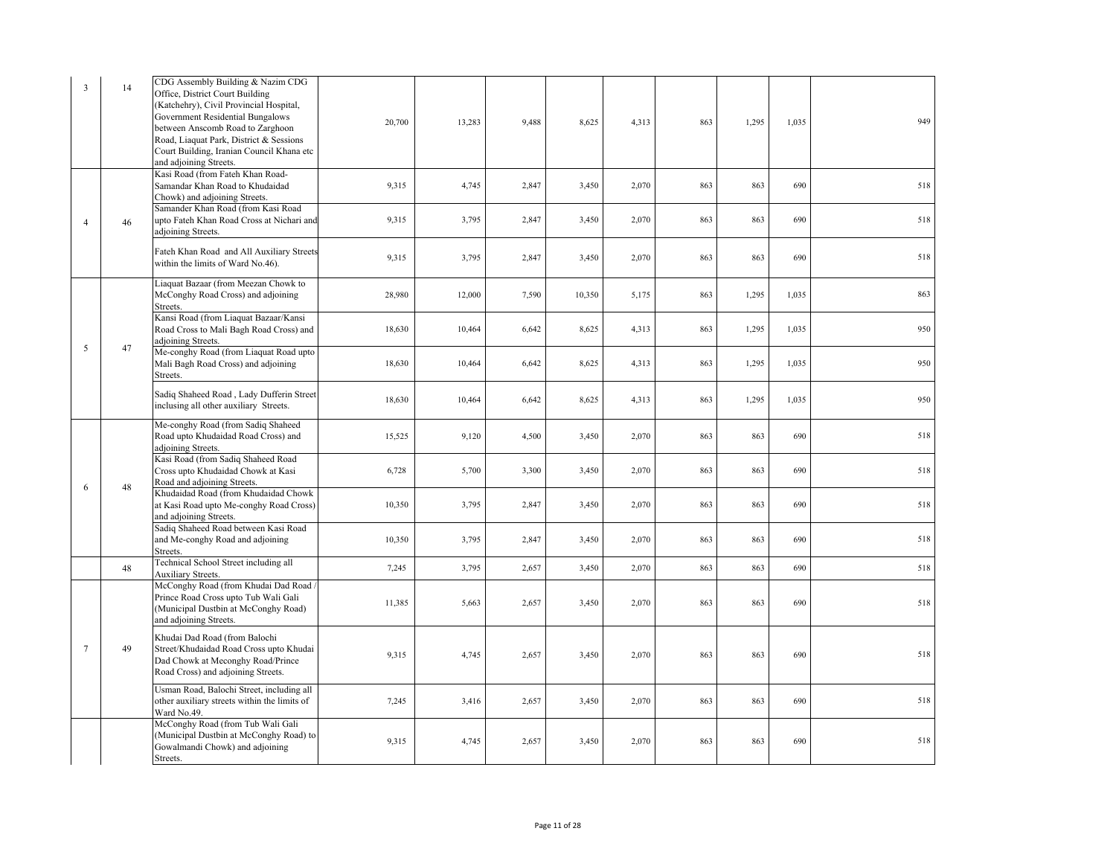| $\mathcal{R}$  | 14 | CDG Assembly Building & Nazim CDG<br>Office, District Court Building<br>(Katchehry), Civil Provincial Hospital,<br>Government Residential Bungalows<br>between Anscomb Road to Zarghoon<br>Road, Liaquat Park, District & Sessions<br>Court Building, Iranian Council Khana etc<br>and adjoining Streets. | 20,700 | 13,283 | 9,488 | 8,625  | 4,313 | 863 | 1,295 | 1,035 | 949 |
|----------------|----|-----------------------------------------------------------------------------------------------------------------------------------------------------------------------------------------------------------------------------------------------------------------------------------------------------------|--------|--------|-------|--------|-------|-----|-------|-------|-----|
|                |    | Kasi Road (from Fateh Khan Road-<br>Samandar Khan Road to Khudaidad<br>Chowk) and adjoining Streets.                                                                                                                                                                                                      | 9,315  | 4,745  | 2,847 | 3,450  | 2,070 | 863 | 863   | 690   | 518 |
| $\overline{4}$ | 46 | Samander Khan Road (from Kasi Road<br>upto Fateh Khan Road Cross at Nichari and<br>adjoining Streets.                                                                                                                                                                                                     | 9,315  | 3,795  | 2,847 | 3,450  | 2,070 | 863 | 863   | 690   | 518 |
|                |    | Fateh Khan Road and All Auxiliary Streets<br>within the limits of Ward No.46).                                                                                                                                                                                                                            | 9,315  | 3,795  | 2,847 | 3,450  | 2,070 | 863 | 863   | 690   | 518 |
|                |    | Liaquat Bazaar (from Meezan Chowk to<br>McConghy Road Cross) and adjoining<br>Streets.                                                                                                                                                                                                                    | 28,980 | 12,000 | 7,590 | 10,350 | 5,175 | 863 | 1,295 | 1,035 | 863 |
| 5              | 47 | Kansi Road (from Liaquat Bazaar/Kansi<br>Road Cross to Mali Bagh Road Cross) and<br>adjoining Streets.                                                                                                                                                                                                    | 18,630 | 10,464 | 6,642 | 8,625  | 4,313 | 863 | 1,295 | 1,035 | 950 |
|                |    | Me-conghy Road (from Liaquat Road upto<br>Mali Bagh Road Cross) and adjoining<br>Streets.                                                                                                                                                                                                                 | 18,630 | 10,464 | 6,642 | 8,625  | 4,313 | 863 | 1,295 | 1,035 | 950 |
|                |    | Sadiq Shaheed Road, Lady Dufferin Street<br>inclusing all other auxiliary Streets.                                                                                                                                                                                                                        | 18,630 | 10,464 | 6,642 | 8,625  | 4,313 | 863 | 1,295 | 1,035 | 950 |
|                |    | Me-conghy Road (from Sadiq Shaheed<br>Road upto Khudaidad Road Cross) and<br>adjoining Streets.                                                                                                                                                                                                           | 15,525 | 9,120  | 4,500 | 3,450  | 2,070 | 863 | 863   | 690   | 518 |
| 6              | 48 | Kasi Road (from Sadiq Shaheed Road<br>Cross upto Khudaidad Chowk at Kasi<br>Road and adjoining Streets.                                                                                                                                                                                                   | 6,728  | 5,700  | 3,300 | 3,450  | 2,070 | 863 | 863   | 690   | 518 |
|                |    | Khudaidad Road (from Khudaidad Chowk<br>at Kasi Road upto Me-conghy Road Cross)<br>and adjoining Streets.                                                                                                                                                                                                 | 10,350 | 3,795  | 2,847 | 3,450  | 2,070 | 863 | 863   | 690   | 518 |
|                |    | Sadiq Shaheed Road between Kasi Road<br>and Me-conghy Road and adjoining<br>Streets.                                                                                                                                                                                                                      | 10,350 | 3,795  | 2,847 | 3,450  | 2,070 | 863 | 863   | 690   | 518 |
|                | 48 | Technical School Street including all<br>Auxiliary Streets.                                                                                                                                                                                                                                               | 7,245  | 3,795  | 2,657 | 3,450  | 2,070 | 863 | 863   | 690   | 518 |
|                |    | McConghy Road (from Khudai Dad Road)<br>Prince Road Cross upto Tub Wali Gali<br>(Municipal Dustbin at McConghy Road)<br>and adjoining Streets.                                                                                                                                                            | 11,385 | 5,663  | 2,657 | 3,450  | 2,070 | 863 | 863   | 690   | 518 |
| $\tau$         | 49 | Khudai Dad Road (from Balochi<br>Street/Khudaidad Road Cross upto Khudai<br>Dad Chowk at Meconghy Road/Prince<br>Road Cross) and adjoining Streets.                                                                                                                                                       | 9,315  | 4,745  | 2,657 | 3,450  | 2,070 | 863 | 863   | 690   | 518 |
|                |    | Usman Road, Balochi Street, including all<br>other auxiliary streets within the limits of<br>Ward No.49.                                                                                                                                                                                                  | 7,245  | 3,416  | 2,657 | 3,450  | 2,070 | 863 | 863   | 690   | 518 |
|                |    | McConghy Road (from Tub Wali Gali<br>(Municipal Dustbin at McConghy Road) to<br>Gowalmandi Chowk) and adjoining<br>Streets.                                                                                                                                                                               | 9.315  | 4,745  | 2.657 | 3.450  | 2,070 | 863 | 863   | 690   | 518 |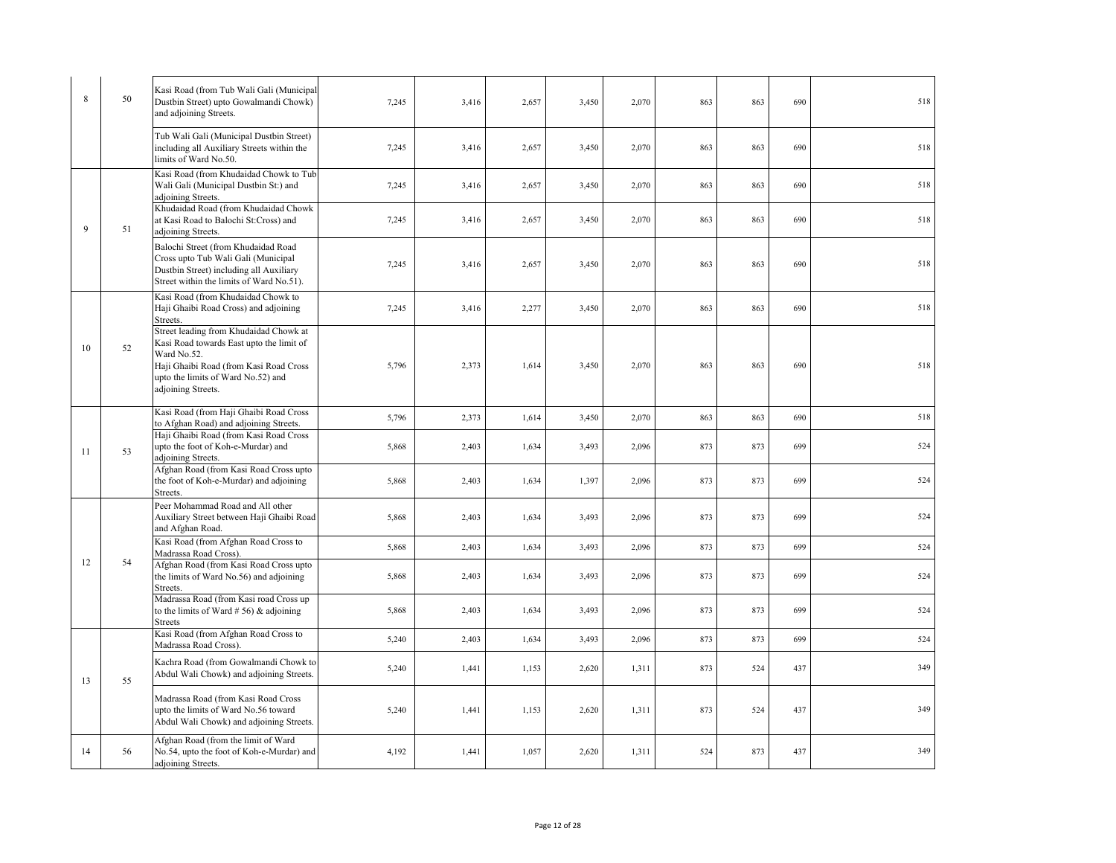| $\mathbf{R}$ | 50 | Kasi Road (from Tub Wali Gali (Municipal<br>Dustbin Street) upto Gowalmandi Chowk)<br>and adjoining Streets.                                                                                            | 7,245 | 3,416 | 2,657 | 3,450 | 2,070 | 863 | 863 | 690 | 518 |
|--------------|----|---------------------------------------------------------------------------------------------------------------------------------------------------------------------------------------------------------|-------|-------|-------|-------|-------|-----|-----|-----|-----|
|              |    | Tub Wali Gali (Municipal Dustbin Street)<br>including all Auxiliary Streets within the<br>limits of Ward No.50.                                                                                         | 7,245 | 3,416 | 2,657 | 3,450 | 2,070 | 863 | 863 | 690 | 518 |
|              |    | Kasi Road (from Khudaidad Chowk to Tub<br>Wali Gali (Municipal Dustbin St:) and<br>adjoining Streets.                                                                                                   | 7,245 | 3,416 | 2,657 | 3,450 | 2,070 | 863 | 863 | 690 | 518 |
| 9            | 51 | Khudaidad Road (from Khudaidad Chowk<br>at Kasi Road to Balochi St:Cross) and<br>adjoining Streets.                                                                                                     | 7,245 | 3,416 | 2,657 | 3,450 | 2,070 | 863 | 863 | 690 | 518 |
|              |    | Balochi Street (from Khudaidad Road<br>Cross upto Tub Wali Gali (Municipal<br>Dustbin Street) including all Auxiliary<br>Street within the limits of Ward No.51).                                       | 7,245 | 3,416 | 2,657 | 3,450 | 2,070 | 863 | 863 | 690 | 518 |
|              |    | Kasi Road (from Khudaidad Chowk to<br>Haji Ghaibi Road Cross) and adjoining<br>Streets.                                                                                                                 | 7,245 | 3,416 | 2,277 | 3,450 | 2,070 | 863 | 863 | 690 | 518 |
| 10           | 52 | Street leading from Khudaidad Chowk at<br>Kasi Road towards East upto the limit of<br>Ward No.52.<br>Haji Ghaibi Road (from Kasi Road Cross<br>upto the limits of Ward No.52) and<br>adjoining Streets. | 5,796 | 2,373 | 1,614 | 3,450 | 2,070 | 863 | 863 | 690 | 518 |
|              |    | Kasi Road (from Haji Ghaibi Road Cross<br>to Afghan Road) and adjoining Streets.                                                                                                                        | 5,796 | 2,373 | 1,614 | 3,450 | 2,070 | 863 | 863 | 690 | 518 |
| 11           | 53 | Haji Ghaibi Road (from Kasi Road Cross<br>upto the foot of Koh-e-Murdar) and<br>adjoining Streets.                                                                                                      | 5,868 | 2,403 | 1,634 | 3,493 | 2,096 | 873 | 873 | 699 | 524 |
|              |    | Afghan Road (from Kasi Road Cross upto<br>the foot of Koh-e-Murdar) and adjoining<br>Streets.                                                                                                           | 5,868 | 2,403 | 1,634 | 1,397 | 2,096 | 873 | 873 | 699 | 524 |
|              |    | Peer Mohammad Road and All other<br>Auxiliary Street between Haji Ghaibi Road<br>and Afghan Road.                                                                                                       | 5,868 | 2,403 | 1,634 | 3,493 | 2,096 | 873 | 873 | 699 | 524 |
|              |    | Kasi Road (from Afghan Road Cross to<br>Madrassa Road Cross).                                                                                                                                           | 5,868 | 2,403 | 1,634 | 3,493 | 2,096 | 873 | 873 | 699 | 524 |
| 12           | 54 | Afghan Road (from Kasi Road Cross upto<br>the limits of Ward No.56) and adjoining<br>Streets.                                                                                                           | 5,868 | 2,403 | 1,634 | 3,493 | 2,096 | 873 | 873 | 699 | 524 |
|              |    | Madrassa Road (from Kasi road Cross up<br>to the limits of Ward $# 56$ ) & adjoining<br><b>Streets</b>                                                                                                  | 5,868 | 2,403 | 1,634 | 3,493 | 2,096 | 873 | 873 | 699 | 524 |
|              |    | Kasi Road (from Afghan Road Cross to<br>Madrassa Road Cross).                                                                                                                                           | 5,240 | 2,403 | 1,634 | 3,493 | 2,096 | 873 | 873 | 699 | 524 |
| 13           | 55 | Kachra Road (from Gowalmandi Chowk to<br>Abdul Wali Chowk) and adjoining Streets.                                                                                                                       | 5,240 | 1,441 | 1,153 | 2,620 | 1,311 | 873 | 524 | 437 | 349 |
|              |    | Madrassa Road (from Kasi Road Cross<br>upto the limits of Ward No.56 toward<br>Abdul Wali Chowk) and adjoining Streets.                                                                                 | 5,240 | 1,441 | 1,153 | 2,620 | 1,311 | 873 | 524 | 437 | 349 |
| 14           | 56 | Afghan Road (from the limit of Ward<br>No.54, upto the foot of Koh-e-Murdar) and<br>adjoining Streets.                                                                                                  | 4,192 | 1,441 | 1,057 | 2,620 | 1,311 | 524 | 873 | 437 | 349 |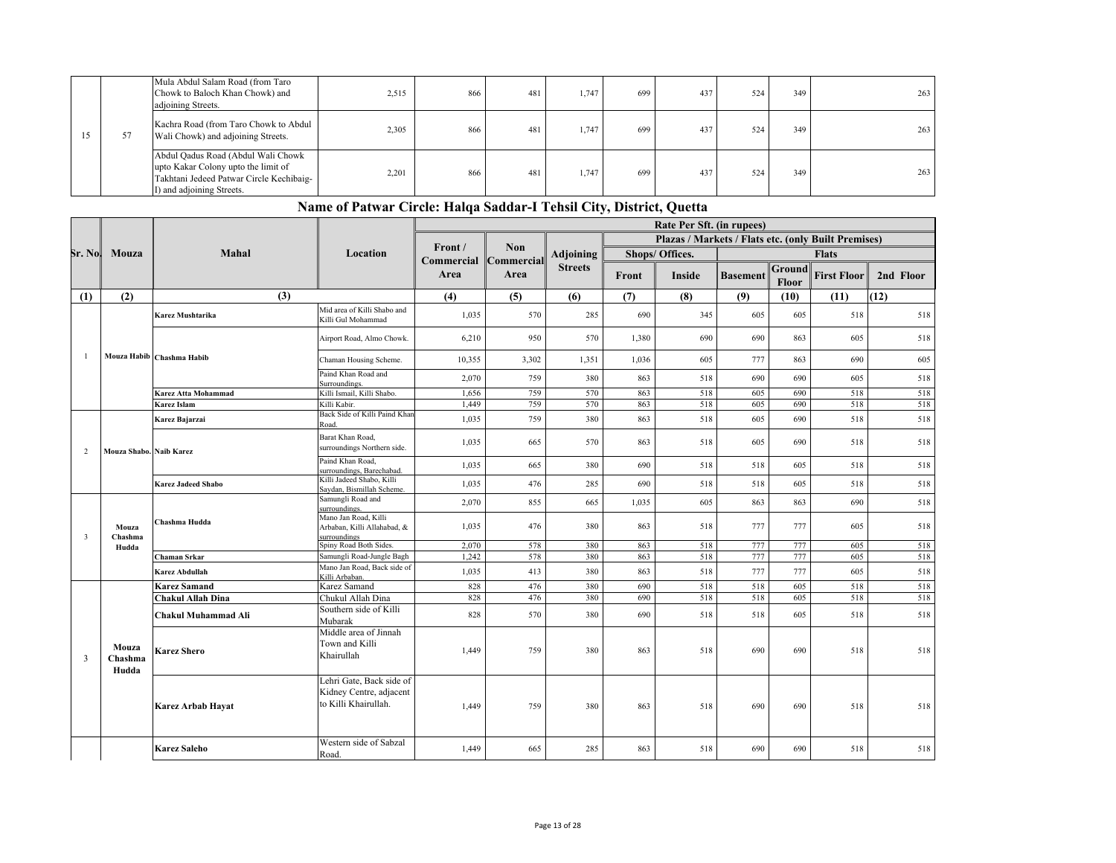|    | Mula Abdul Salam Road (from Taro<br>Chowk to Baloch Khan Chowk) and<br>adjoining Streets.                                                          | 2,515 | 866 | 481 | 1.747 | 699 | 437 | 524 | 349 | 263 |
|----|----------------------------------------------------------------------------------------------------------------------------------------------------|-------|-----|-----|-------|-----|-----|-----|-----|-----|
| 57 | Kachra Road (from Taro Chowk to Abdul<br>Wali Chowk) and adjoining Streets.                                                                        | 2,305 | 866 | 481 | 1.747 | 699 | 437 | 524 | 349 | 263 |
|    | Abdul Qadus Road (Abdul Wali Chowk<br>upto Kakar Colony upto the limit of<br>Takhtani Jedeed Patwar Circle Kechibaig-<br>I) and adjoining Streets. | 2,201 | 866 | 481 | 1.747 | 699 | 437 | 524 | 349 | 263 |

|                         |                           |                           | $\ldots$ . The second contract $\ldots$ is a second $\ldots$ . The second contract of $\chi$ are $\ldots$ |                               |            |                |       | Rate Per Sft. (in rupees)                           |                 |                 |                    |           |
|-------------------------|---------------------------|---------------------------|-----------------------------------------------------------------------------------------------------------|-------------------------------|------------|----------------|-------|-----------------------------------------------------|-----------------|-----------------|--------------------|-----------|
|                         |                           |                           |                                                                                                           |                               |            |                |       | Plazas / Markets / Flats etc. (only Built Premises) |                 |                 |                    |           |
| Sr. No                  | Mouza                     | Mahal                     | Location                                                                                                  | Front /                       | <b>Non</b> | Adjoining      |       | Shops/ Offices.                                     |                 |                 | <b>Flats</b>       |           |
|                         |                           |                           |                                                                                                           | Commercial Commercial<br>Area | Area       | <b>Streets</b> | Front | Inside                                              | <b>Basement</b> | Ground<br>Floor | <b>First Floor</b> | 2nd Floor |
| (1)                     | (2)                       | (3)                       |                                                                                                           | (4)                           | (5)        | (6)            | (7)   | (8)                                                 | (9)             | (10)            | (11)               | (12)      |
|                         |                           | Karez Mushtarika          | Mid area of Killi Shabo and<br>Killi Gul Mohammad                                                         | 1,035                         | 570        | 285            | 690   | 345                                                 | 605             | 605             | 518                | 518       |
|                         |                           |                           | Airport Road, Almo Chowk.                                                                                 | 6,210                         | 950        | 570            | 1,380 | 690                                                 | 690             | 863             | 605                | 518       |
| -1                      |                           | Mouza Habib Chashma Habib | Chaman Housing Scheme.                                                                                    | 10,355                        | 3,302      | 1,351          | 1,036 | 605                                                 | 777             | 863             | 690                | 605       |
|                         |                           |                           | Paind Khan Road and<br>Surroundings.                                                                      | 2,070                         | 759        | 380            | 863   | 518                                                 | 690             | 690             | 605                | 518       |
|                         |                           | Karez Atta Mohammad       | Killi Ismail, Killi Shabo.                                                                                | 1,656                         | 759        | 570            | 863   | 518                                                 | 605             | 690             | 518                | 518       |
|                         |                           | Karez Islam               | Killi Kabir.                                                                                              | 1,449                         | 759        | 570            | 863   | 518                                                 | 605             | 690             | 518                | 518       |
|                         |                           | Karez Bajarzai            | Back Side of Killi Paind Khar<br>Road.                                                                    | 1,035                         | 759        | 380            | 863   | 518                                                 | 605             | 690             | 518                | 518       |
| 2                       | Mouza Shabo. Naib Karez   |                           | Barat Khan Road,<br>surroundings Northern side.                                                           | 1,035                         | 665        | 570            | 863   | 518                                                 | 605             | 690             | 518                | 518       |
|                         |                           |                           | Paind Khan Road,<br>surroundings, Barechabad.                                                             | 1,035                         | 665        | 380            | 690   | 518                                                 | 518             | 605             | 518                | 518       |
|                         |                           | <b>Karez Jadeed Shabo</b> | Killi Jadeed Shabo, Killi<br>Saydan, Bismillah Scheme.                                                    | 1,035                         | 476        | 285            | 690   | 518                                                 | 518             | 605             | 518                | 518       |
|                         |                           |                           | Samungli Road and<br>surroundings.                                                                        | 2,070                         | 855        | 665            | 1,035 | 605                                                 | 863             | 863             | 690                | 518       |
| $\overline{\mathbf{3}}$ | Mouza<br>Chashma          | Chashma Hudda             | Mano Jan Road, Killi<br>Arbaban, Killi Allahabad, &<br>surroundings                                       | 1,035                         | 476        | 380            | 863   | 518                                                 | 777             | 777             | 605                | 518       |
|                         | Hudda                     |                           | Spiny Road Both Sides.                                                                                    | 2,070                         | 578        | 380            | 863   | 518                                                 | 777             | 777             | 605                | 518       |
|                         |                           | Chaman Srkar              | Samungli Road-Jungle Bagh                                                                                 | 1,242                         | 578        | 380            | 863   | 518                                                 | 777             | 777             | 605                | 518       |
|                         |                           | Karez Abdullah            | Mano Jan Road, Back side of<br>Killi Arbaban.                                                             | 1,035                         | 413        | 380            | 863   | 518                                                 | 777             | 777             | 605                | 518       |
|                         |                           | <b>Karez Samand</b>       | Karez Samand                                                                                              | 828                           | 476        | 380            | 690   | 518                                                 | 518             | 605             | 518                | 518       |
|                         |                           | Chakul Allah Dina         | Chukul Allah Dina                                                                                         | 828                           | 476        | 380            | 690   | 518                                                 | 518             | 605             | 518                | 518       |
|                         |                           | Chakul Muhammad Ali       | Southern side of Killi<br>Mubarak                                                                         | 828                           | 570        | 380            | 690   | 518                                                 | 518             | 605             | 518                | 518       |
| 3                       | Mouza<br>Chashma<br>Hudda | <b>Karez Shero</b>        | Middle area of Jinnah<br>Town and Killi<br>Khairullah                                                     | 1,449                         | 759        | 380            | 863   | 518                                                 | 690             | 690             | 518                | 518       |
|                         |                           | <b>Karez Arbab Hayat</b>  | Lehri Gate, Back side of<br>Kidney Centre, adjacent<br>to Killi Khairullah.                               | 1,449                         | 759        | 380            | 863   | 518                                                 | 690             | 690             | 518                | 518       |
|                         |                           | <b>Karez Saleho</b>       | Western side of Sabzal<br>Road.                                                                           | 1.449                         | 665        | 285            | 863   | 518                                                 | 690             | 690             | 518                | 518       |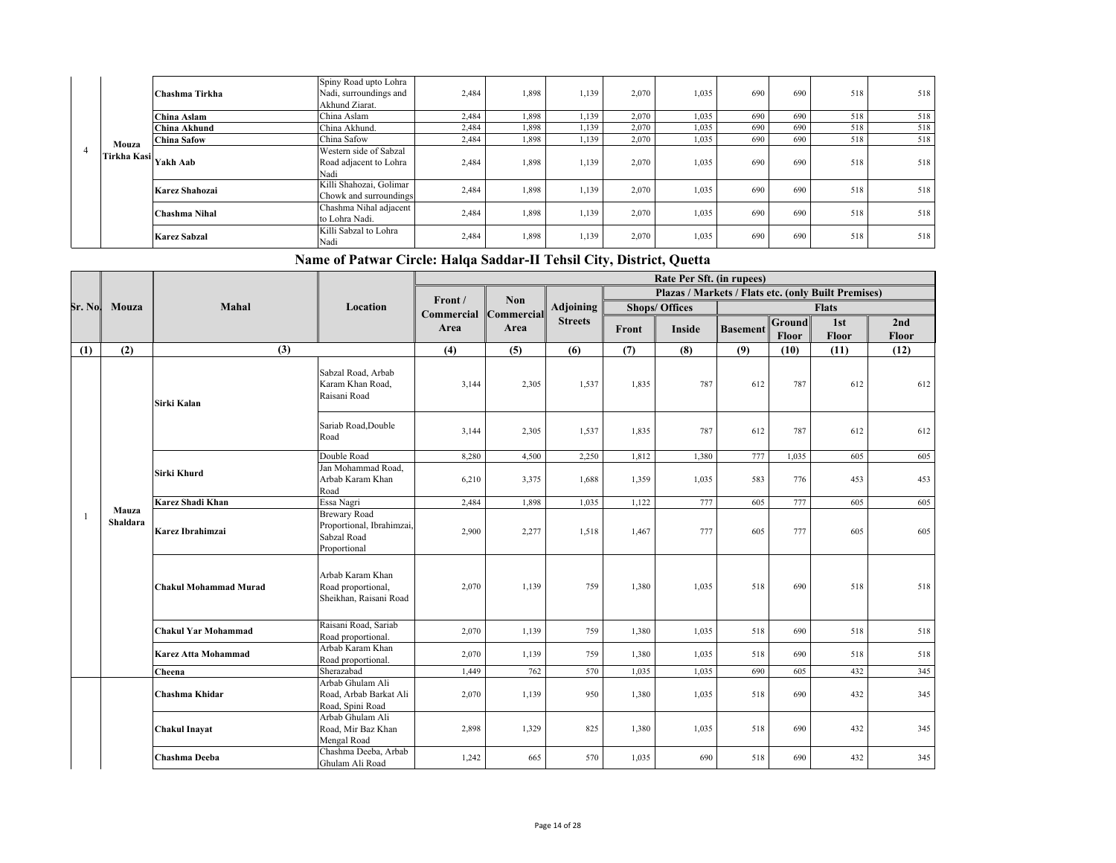|             | Chashma Tirkha      | Spiny Road upto Lohra<br>Nadi, surroundings and<br>Akhund Ziarat. | 2,484 | 1.898 | 1,139 | 2,070 | 1,035 | 690 | 690 | 518 | 518 |
|-------------|---------------------|-------------------------------------------------------------------|-------|-------|-------|-------|-------|-----|-----|-----|-----|
|             | China Aslam         | China Aslam                                                       | 2,484 | 1,898 | 1,139 | 2,070 | 1,035 | 690 | 690 | 518 | 518 |
|             | China Akhund        | China Akhund.                                                     | 2,484 | 1,898 | 1,139 | 2,070 | 1.035 | 690 | 690 | 518 | 518 |
| Mouza       | China Safow         | China Safow                                                       | 2,484 | 1,898 | 1,139 | 2,070 | 1,035 | 690 | 690 | 518 | 518 |
| Tirkha Kasi | Yakh Aab            | Western side of Sabzal<br>Road adjacent to Lohra<br>Nadi          | 2,484 | 1,898 | 1,139 | 2,070 | 1,035 | 690 | 690 | 518 | 518 |
|             | Karez Shahozai      | Killi Shahozai, Golimar<br>Chowk and surroundings                 | 2,484 | 1.898 | 1,139 | 2,070 | 1,035 | 690 | 690 | 518 | 518 |
|             | Chashma Nihal       | Chashma Nihal adjacent<br>to Lohra Nadi.                          | 2,484 | 1.898 | 1,139 | 2,070 | 1,035 | 690 | 690 | 518 | 518 |
|             | <b>Karez Sabzal</b> | Killi Sabzal to Lohra<br>Nadi                                     | 2,484 | 1,898 | 1,139 | 2,070 | 1,035 | 690 | 690 | 518 | 518 |

|                                   |                   |                              |                                                                                 |                                  |            |                |       | Rate Per Sft. (in rupees)                           |                 |                        |              |              |
|-----------------------------------|-------------------|------------------------------|---------------------------------------------------------------------------------|----------------------------------|------------|----------------|-------|-----------------------------------------------------|-----------------|------------------------|--------------|--------------|
|                                   |                   |                              |                                                                                 |                                  |            |                |       | Plazas / Markets / Flats etc. (only Built Premises) |                 |                        |              |              |
|                                   | Mouza             | Mahal                        | Location                                                                        | Front /<br>Commercial Commercial | <b>Non</b> | Adjoining      |       | <b>Shops/ Offices</b>                               |                 |                        | <b>Flats</b> |              |
| Sr. No  <br>(1)<br>$\overline{1}$ |                   |                              |                                                                                 | Area                             | Area       | <b>Streets</b> | Front | Inside                                              | <b>Basement</b> | Ground<br><b>Floor</b> | 1st<br>Floor | 2nd<br>Floor |
|                                   | (2)               | (3)                          |                                                                                 | (4)                              | (5)        | (6)            | (7)   | (8)                                                 | (9)             | (10)                   | (11)         | (12)         |
|                                   |                   | Sirki Kalan                  | Sabzal Road, Arbab<br>Karam Khan Road,<br>Raisani Road                          | 3,144                            | 2,305      | 1,537          | 1,835 | 787                                                 | 612             | 787                    | 612          | 612          |
|                                   |                   |                              | Sariab Road, Double<br>Road                                                     | 3,144                            | 2,305      | 1,537          | 1,835 | 787                                                 | 612             | 787                    | 612          | 612          |
|                                   |                   |                              | Double Road                                                                     | 8,280                            | 4,500      | 2,250          | 1,812 | 1,380                                               | 777             | 1,035                  | 605          | 605          |
|                                   |                   | Sirki Khurd                  | Jan Mohammad Road,<br>Arbab Karam Khan<br>Road                                  | 6,210                            | 3,375      | 1,688          | 1,359 | 1,035                                               | 583             | 776                    | 453          | 453          |
|                                   |                   | <b>Karez Shadi Khan</b>      | Essa Nagri                                                                      | 2,484                            | 1,898      | 1,035          | 1,122 | 777                                                 | 605             | 777                    | 605          | 605          |
|                                   | Mauza<br>Shaldara | Karez Ibrahimzai             | <b>Brewary Road</b><br>Proportional, Ibrahimzai,<br>Sabzal Road<br>Proportional | 2,900                            | 2,277      | 1,518          | 1,467 | 777                                                 | 605             | 777                    | 605          | 605          |
|                                   |                   | <b>Chakul Mohammad Murad</b> | Arbab Karam Khan<br>Road proportional,<br>Sheikhan, Raisani Road                | 2,070                            | 1,139      | 759            | 1,380 | 1,035                                               | 518             | 690                    | 518          | 518          |
|                                   |                   | <b>Chakul Yar Mohammad</b>   | Raisani Road, Sariab<br>Road proportional.                                      | 2,070                            | 1,139      | 759            | 1,380 | 1,035                                               | 518             | 690                    | 518          | 518          |
|                                   |                   | <b>Karez Atta Mohammad</b>   | Arbab Karam Khan<br>Road proportional.                                          | 2,070                            | 1,139      | 759            | 1,380 | 1,035                                               | 518             | 690                    | 518          | 518          |
|                                   |                   | Cheena                       | Sherazabad                                                                      | 1,449                            | 762        | 570            | 1,035 | 1,035                                               | 690             | 605                    | 432          | 345          |
|                                   |                   | Chashma Khidar               | Arbab Ghulam Ali<br>Road, Arbab Barkat Ali<br>Road, Spini Road                  | 2,070                            | 1,139      | 950            | 1,380 | 1,035                                               | 518             | 690                    | 432          | 345          |
|                                   |                   | <b>Chakul Inayat</b>         | Arbab Ghulam Ali<br>Road, Mir Baz Khan<br>Mengal Road                           | 2,898                            | 1,329      | 825            | 1,380 | 1,035                                               | 518             | 690                    | 432          | 345          |
|                                   |                   | Chashma Deeba                | Chashma Deeba, Arbab<br>Ghulam Ali Road                                         | 1,242                            | 665        | 570            | 1,035 | 690                                                 | 518             | 690                    | 432          | 345          |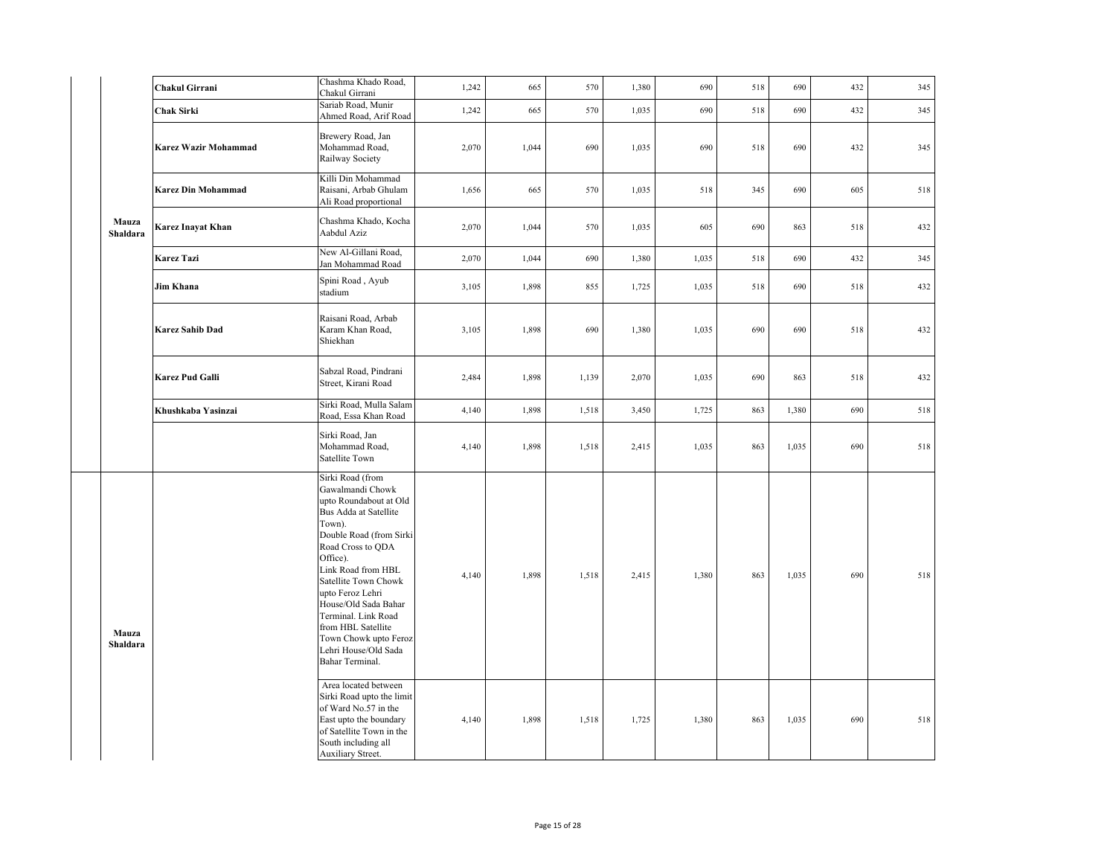|                   | Chakul Girrani              | Chashma Khado Road,<br>Chakul Girrani                                                                                                                                                                                                                                                                                                                                    | 1,242 | 665   | 570   | 1,380 | 690   | 518 | 690   | 432 | 345 |
|-------------------|-----------------------------|--------------------------------------------------------------------------------------------------------------------------------------------------------------------------------------------------------------------------------------------------------------------------------------------------------------------------------------------------------------------------|-------|-------|-------|-------|-------|-----|-------|-----|-----|
|                   | <b>Chak Sirki</b>           | Sariab Road, Munir<br>Ahmed Road, Arif Road                                                                                                                                                                                                                                                                                                                              | 1,242 | 665   | 570   | 1,035 | 690   | 518 | 690   | 432 | 345 |
|                   | <b>Karez Wazir Mohammad</b> | Brewery Road, Jan<br>Mohammad Road,<br>Railway Society                                                                                                                                                                                                                                                                                                                   | 2,070 | 1,044 | 690   | 1,035 | 690   | 518 | 690   | 432 | 345 |
|                   | <b>Karez Din Mohammad</b>   | Killi Din Mohammad<br>Raisani, Arbab Ghulam<br>Ali Road proportional                                                                                                                                                                                                                                                                                                     | 1,656 | 665   | 570   | 1,035 | 518   | 345 | 690   | 605 | 518 |
| Mauza<br>Shaldara | Karez Inayat Khan           | Chashma Khado, Kocha<br>Aabdul Aziz                                                                                                                                                                                                                                                                                                                                      | 2,070 | 1,044 | 570   | 1,035 | 605   | 690 | 863   | 518 | 432 |
|                   | <b>Karez Tazi</b>           | New Al-Gillani Road,<br>Jan Mohammad Road                                                                                                                                                                                                                                                                                                                                | 2,070 | 1,044 | 690   | 1,380 | 1,035 | 518 | 690   | 432 | 345 |
|                   | Jim Khana                   | Spini Road, Ayub<br>stadium                                                                                                                                                                                                                                                                                                                                              | 3,105 | 1,898 | 855   | 1,725 | 1,035 | 518 | 690   | 518 | 432 |
|                   | <b>Karez Sahib Dad</b>      | Raisani Road, Arbab<br>Karam Khan Road,<br>Shiekhan                                                                                                                                                                                                                                                                                                                      | 3,105 | 1,898 | 690   | 1,380 | 1,035 | 690 | 690   | 518 | 432 |
|                   | Karez Pud Galli             | Sabzal Road, Pindrani<br>Street, Kirani Road                                                                                                                                                                                                                                                                                                                             | 2,484 | 1,898 | 1,139 | 2,070 | 1,035 | 690 | 863   | 518 | 432 |
|                   | Khushkaba Yasinzai          | Sirki Road, Mulla Salam<br>Road, Essa Khan Road                                                                                                                                                                                                                                                                                                                          | 4,140 | 1,898 | 1,518 | 3,450 | 1,725 | 863 | 1,380 | 690 | 518 |
|                   |                             | Sirki Road, Jan<br>Mohammad Road,<br>Satellite Town                                                                                                                                                                                                                                                                                                                      | 4,140 | 1,898 | 1,518 | 2,415 | 1,035 | 863 | 1,035 | 690 | 518 |
| Mauza<br>Shaldara |                             | Sirki Road (from<br>Gawalmandi Chowk<br>upto Roundabout at Old<br>Bus Adda at Satellite<br>Town).<br>Double Road (from Sirki<br>Road Cross to QDA<br>Office).<br>Link Road from HBL<br>Satellite Town Chowk<br>upto Feroz Lehri<br>House/Old Sada Bahar<br>Terminal. Link Road<br>from HBL Satellite<br>Town Chowk upto Feroz<br>Lehri House/Old Sada<br>Bahar Terminal. | 4,140 | 1,898 | 1,518 | 2,415 | 1,380 | 863 | 1,035 | 690 | 518 |
|                   |                             | Area located between<br>Sirki Road upto the limit<br>of Ward No.57 in the<br>East upto the boundary<br>of Satellite Town in the<br>South including all<br>Auxiliary Street.                                                                                                                                                                                              | 4,140 | 1,898 | 1,518 | 1,725 | 1,380 | 863 | 1,035 | 690 | 518 |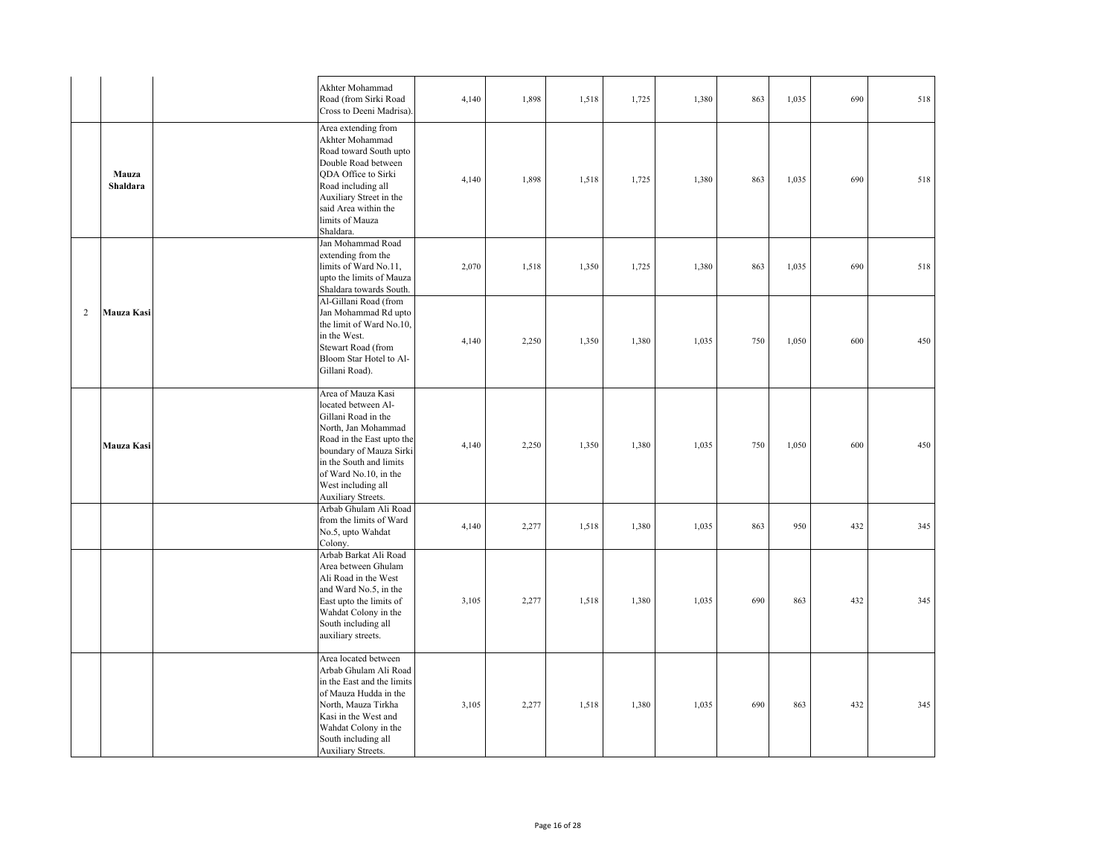|   |                   | Akhter Mohammad<br>Road (from Sirki Road<br>Cross to Deeni Madrisa).                                                                                                                                                                            | 4,140 | 1,898 | 1,518 | 1,725 | 1,380 | 863 | 1,035 | 690 | 518 |
|---|-------------------|-------------------------------------------------------------------------------------------------------------------------------------------------------------------------------------------------------------------------------------------------|-------|-------|-------|-------|-------|-----|-------|-----|-----|
|   | Mauza<br>Shaldara | Area extending from<br>Akhter Mohammad<br>Road toward South upto<br>Double Road between<br>QDA Office to Sirki<br>Road including all<br>Auxiliary Street in the<br>said Area within the<br>limits of Mauza<br>Shaldara.                         | 4,140 | 1,898 | 1,518 | 1,725 | 1,380 | 863 | 1,035 | 690 | 518 |
|   |                   | Jan Mohammad Road<br>extending from the<br>limits of Ward No.11,<br>upto the limits of Mauza<br>Shaldara towards South.                                                                                                                         | 2,070 | 1,518 | 1,350 | 1,725 | 1,380 | 863 | 1,035 | 690 | 518 |
| 2 | Mauza Kasi        | Al-Gillani Road (from<br>Jan Mohammad Rd upto<br>the limit of Ward No.10.<br>in the West.<br>Stewart Road (from<br>Bloom Star Hotel to Al-<br>Gillani Road).                                                                                    | 4,140 | 2,250 | 1,350 | 1,380 | 1,035 | 750 | 1,050 | 600 | 450 |
|   | Mauza Kasi        | Area of Mauza Kasi<br>located between Al-<br>Gillani Road in the<br>North, Jan Mohammad<br>Road in the East upto the<br>boundary of Mauza Sirki<br>in the South and limits<br>of Ward No.10, in the<br>West including all<br>Auxiliary Streets. | 4,140 | 2,250 | 1,350 | 1,380 | 1,035 | 750 | 1,050 | 600 | 450 |
|   |                   | Arbab Ghulam Ali Road<br>from the limits of Ward<br>No.5, upto Wahdat<br>Colony.                                                                                                                                                                | 4,140 | 2,277 | 1,518 | 1,380 | 1,035 | 863 | 950   | 432 | 345 |
|   |                   | Arbab Barkat Ali Road<br>Area between Ghulam<br>Ali Road in the West<br>and Ward No.5, in the<br>East upto the limits of<br>Wahdat Colony in the<br>South including all<br>auxiliary streets.                                                   | 3,105 | 2,277 | 1,518 | 1,380 | 1,035 | 690 | 863   | 432 | 345 |
|   |                   | Area located between<br>Arbab Ghulam Ali Road<br>in the East and the limits<br>of Mauza Hudda in the<br>North, Mauza Tirkha<br>Kasi in the West and<br>Wahdat Colony in the<br>South including all<br>Auxiliary Streets.                        | 3,105 | 2,277 | 1,518 | 1,380 | 1,035 | 690 | 863   | 432 | 345 |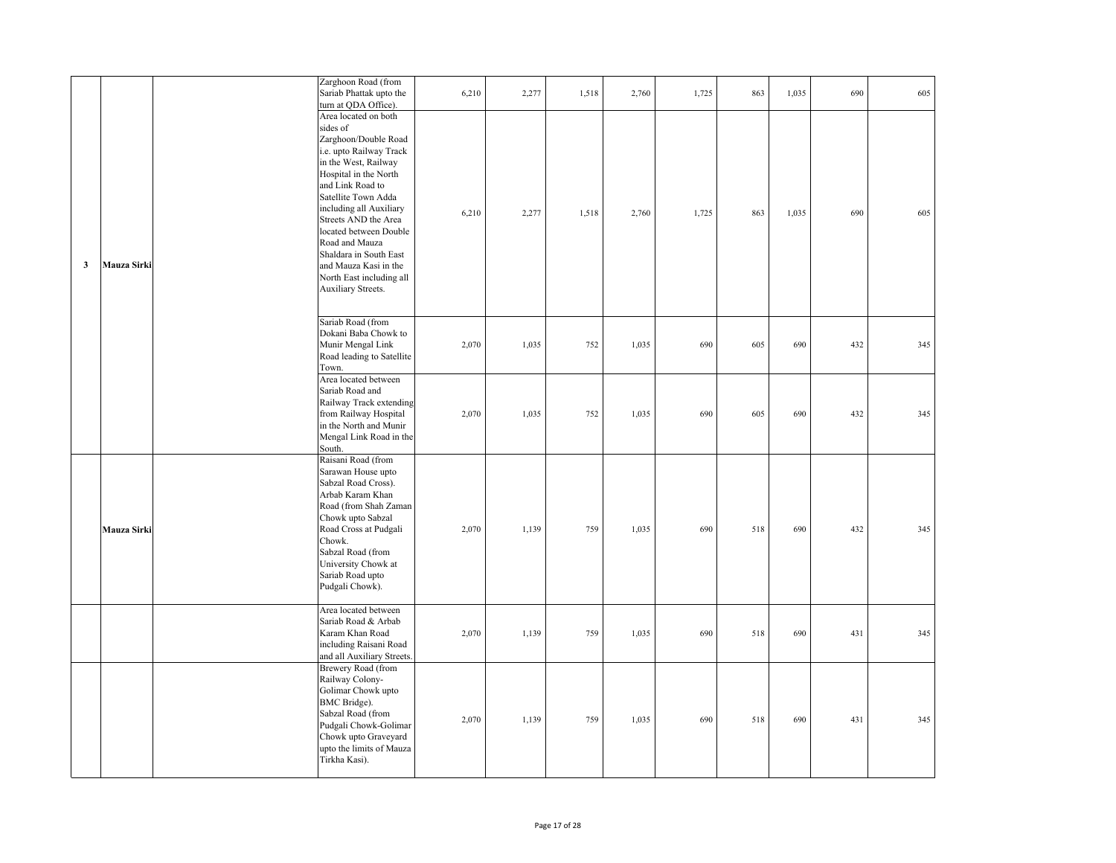|              |             | Zarghoon Road (from<br>Sariab Phattak upto the<br>turn at QDA Office).                                                                                                                                                                                                                                                                                                              | 6,210 | 2,277 | 1,518 | 2,760 | 1,725 | 863 | 1,035 | 690 | 605 |
|--------------|-------------|-------------------------------------------------------------------------------------------------------------------------------------------------------------------------------------------------------------------------------------------------------------------------------------------------------------------------------------------------------------------------------------|-------|-------|-------|-------|-------|-----|-------|-----|-----|
| $\mathbf{3}$ | Mauza Sirki | Area located on both<br>sides of<br>Zarghoon/Double Road<br>i.e. upto Railway Track<br>in the West, Railway<br>Hospital in the North<br>and Link Road to<br>Satellite Town Adda<br>including all Auxiliary<br>Streets AND the Area<br>located between Double<br>Road and Mauza<br>Shaldara in South East<br>and Mauza Kasi in the<br>North East including all<br>Auxiliary Streets. | 6,210 | 2,277 | 1,518 | 2,760 | 1,725 | 863 | 1,035 | 690 | 605 |
|              |             | Sariab Road (from<br>Dokani Baba Chowk to<br>Munir Mengal Link<br>Road leading to Satellite<br>Town.                                                                                                                                                                                                                                                                                | 2,070 | 1,035 | 752   | 1,035 | 690   | 605 | 690   | 432 | 345 |
|              |             | Area located between<br>Sariab Road and<br>Railway Track extending<br>from Railway Hospital<br>in the North and Munir<br>Mengal Link Road in the<br>South.                                                                                                                                                                                                                          | 2,070 | 1,035 | 752   | 1,035 | 690   | 605 | 690   | 432 | 345 |
|              | Mauza Sirki | Raisani Road (from<br>Sarawan House upto<br>Sabzal Road Cross).<br>Arbab Karam Khan<br>Road (from Shah Zaman<br>Chowk upto Sabzal<br>Road Cross at Pudgali<br>Chowk.<br>Sabzal Road (from<br>University Chowk at<br>Sariab Road upto<br>Pudgali Chowk).                                                                                                                             | 2,070 | 1,139 | 759   | 1,035 | 690   | 518 | 690   | 432 | 345 |
|              |             | Area located between<br>Sariab Road & Arbab<br>Karam Khan Road<br>including Raisani Road<br>and all Auxiliary Streets.                                                                                                                                                                                                                                                              | 2,070 | 1,139 | 759   | 1,035 | 690   | 518 | 690   | 431 | 345 |
|              |             | Brewery Road (from<br>Railway Colony-<br>Golimar Chowk upto<br>BMC Bridge).<br>Sabzal Road (from<br>Pudgali Chowk-Golimar<br>Chowk upto Graveyard<br>upto the limits of Mauza<br>Tirkha Kasi).                                                                                                                                                                                      | 2,070 | 1,139 | 759   | 1,035 | 690   | 518 | 690   | 431 | 345 |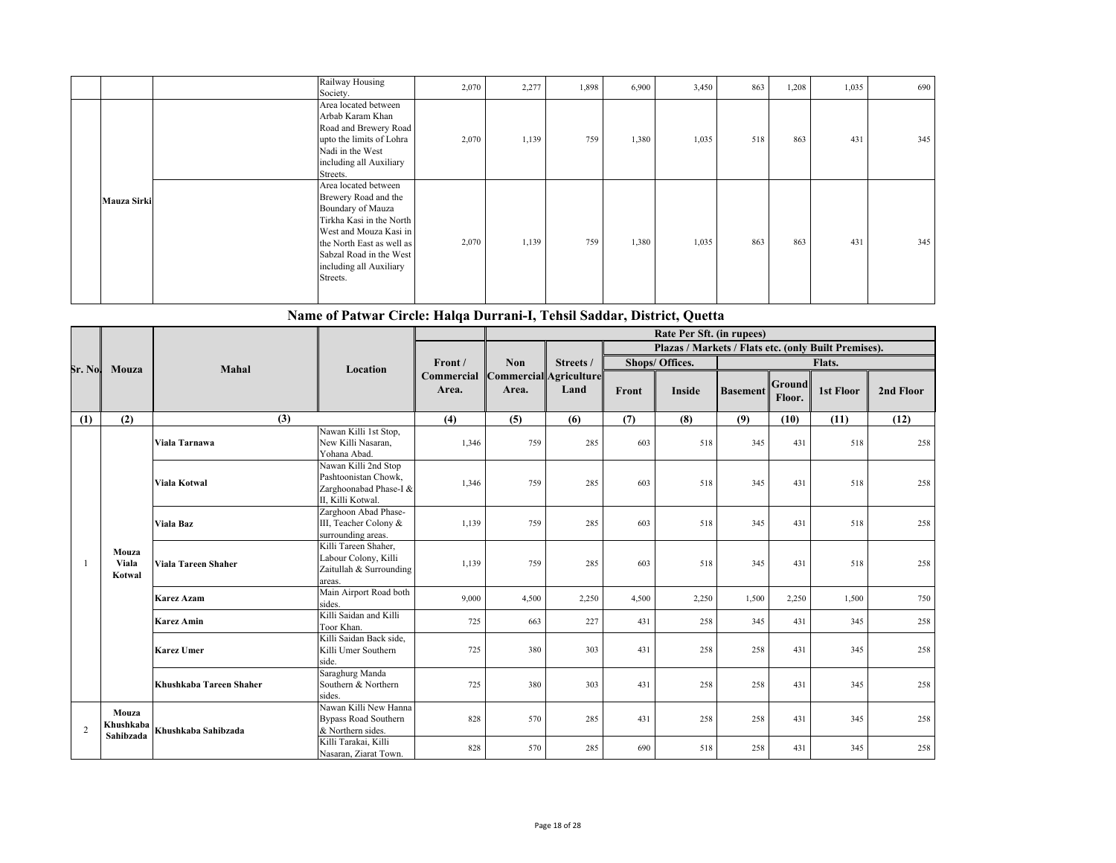|             | Society. | Railway Housing                                                                                                                                                                                            | 2,070 | 2,277 | 1,898 | 6,900 | 3,450 | 863 | 1,208 | 1,035 | 690 |
|-------------|----------|------------------------------------------------------------------------------------------------------------------------------------------------------------------------------------------------------------|-------|-------|-------|-------|-------|-----|-------|-------|-----|
|             | Streets. | Area located between<br>Arbab Karam Khan<br>Road and Brewery Road<br>upto the limits of Lohra<br>Nadi in the West<br>including all Auxiliary                                                               | 2,070 | 1,139 | 759   | 1,380 | 1,035 | 518 | 863   | 431   | 345 |
| Mauza Sirki | Streets. | Area located between<br>Brewery Road and the<br>Boundary of Mauza<br>Tirkha Kasi in the North<br>West and Mouza Kasi in<br>the North East as well as<br>Sabzal Road in the West<br>including all Auxiliary | 2,070 | 1,139 | 759   | 1,380 | 1,035 | 863 | 863   | 431   | 345 |

 **Name of Patwar Circle: Halqa Durrani-I, Tehsil Saddar, District, Quetta**

|                                                   |                          |                                               |                                                                                             | Rate Per Sft. (in rupees) |                                 |           |       |                                                      |                 |                         |           |           |
|---------------------------------------------------|--------------------------|-----------------------------------------------|---------------------------------------------------------------------------------------------|---------------------------|---------------------------------|-----------|-------|------------------------------------------------------|-----------------|-------------------------|-----------|-----------|
|                                                   |                          |                                               |                                                                                             |                           |                                 |           |       | Plazas / Markets / Flats etc. (only Built Premises). |                 |                         |           |           |
| Sr. No.                                           | Mouza                    | Mahal                                         | Location                                                                                    | Front /                   | <b>Non</b>                      | Streets / |       | Shops/ Offices.                                      |                 |                         | Flats.    |           |
|                                                   |                          |                                               |                                                                                             | Commercial<br>Area.       | Commercial Agriculture<br>Area. | Land      | Front | <b>Inside</b>                                        | <b>Basement</b> | <b>Ground</b><br>Floor. | 1st Floor | 2nd Floor |
| (1)                                               | (2)                      | (3)                                           |                                                                                             | (4)                       | (5)                             | (6)       | (7)   | (8)                                                  | (9)             | (10)                    | (11)      | (12)      |
|                                                   |                          | Viala Tarnawa                                 | Nawan Killi 1st Stop,<br>New Killi Nasaran,<br>Yohana Abad.                                 | 1,346                     | 759                             | 285       | 603   | 518                                                  | 345             | 431                     | 518       | 258       |
| -1                                                |                          | <b>Viala Kotwal</b>                           | Nawan Killi 2nd Stop<br>Pashtoonistan Chowk.<br>Zarghoonabad Phase-I &<br>II, Killi Kotwal. | 1,346                     | 759                             | 285       | 603   | 518                                                  | 345             | 431                     | 518       | 258       |
|                                                   |                          | Viala Baz                                     | Zarghoon Abad Phase-<br>III, Teacher Colony &<br>surrounding areas.                         | 1,139                     | 759                             | 285       | 603   | 518                                                  | 345             | 431                     | 518       | 258       |
|                                                   | Mouza<br>Viala<br>Kotwal | Viala Tareen Shaher                           | Killi Tareen Shaher,<br>Labour Colony, Killi<br>Zaitullah & Surrounding<br>areas.           | 1,139                     | 759                             | 285       | 603   | 518                                                  | 345             | 431                     | 518       | 258       |
|                                                   |                          | <b>Karez Azam</b>                             | Main Airport Road both<br>sides.                                                            | 9,000                     | 4,500                           | 2,250     | 4,500 | 2,250                                                | 1,500           | 2,250                   | 1,500     | 750       |
|                                                   |                          | <b>Karez Amin</b>                             | Killi Saidan and Killi<br>Toor Khan.                                                        | 725                       | 663                             | 227       | 431   | 258                                                  | 345             | 431                     | 345       | 258       |
|                                                   |                          | <b>Karez Umer</b>                             | Killi Saidan Back side,<br>Killi Umer Southern<br>side.                                     | 725                       | 380                             | 303       | 431   | 258                                                  | 258             | 431                     | 345       | 258       |
|                                                   |                          | Khushkaba Tareen Shaher                       | Saraghurg Manda<br>Southern & Northern<br>sides.                                            | 725                       | 380                             | 303       | 431   | 258                                                  | 258             | 431                     | 345       | 258       |
| Mouza<br>Khushkaba<br>$\overline{2}$<br>Sahibzada |                          | Khushkaba Sahibzada                           | Nawan Killi New Hanna<br><b>Bypass Road Southern</b><br>& Northern sides.                   | 828                       | 570                             | 285       | 431   | 258                                                  | 258             | 431                     | 345       | 258       |
|                                                   |                          | Killi Tarakai, Killi<br>Nasaran, Ziarat Town. | 828                                                                                         | 570                       | 285                             | 690       | 518   | 258                                                  | 431             | 345                     | 258       |           |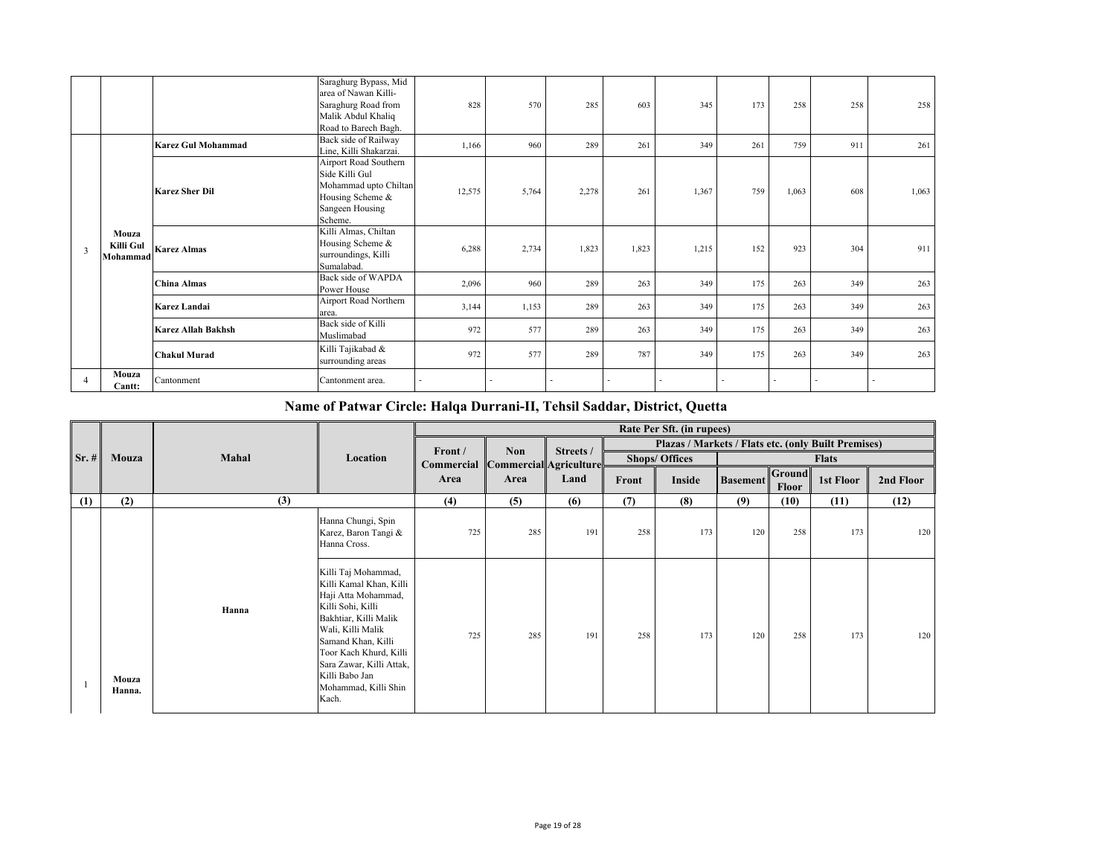|                |                                |                           | Saraghurg Bypass, Mid<br>area of Nawan Killi-<br>Saraghurg Road from<br>Malik Abdul Khaliq<br>Road to Barech Bagh. | 828    | 570   | 285   | 603                      | 345   | 173 | 258   | 258                      | 258    |
|----------------|--------------------------------|---------------------------|--------------------------------------------------------------------------------------------------------------------|--------|-------|-------|--------------------------|-------|-----|-------|--------------------------|--------|
|                |                                | <b>Karez Gul Mohammad</b> | Back side of Railway<br>Line, Killi Shakarzai.                                                                     | 1,166  | 960   | 289   | 261                      | 349   | 261 | 759   | 911                      | 261    |
|                |                                | <b>Karez Sher Dil</b>     | Airport Road Southern<br>Side Killi Gul<br>Mohammad upto Chiltan<br>Housing Scheme &<br>Sangeen Housing<br>Scheme. | 12,575 | 5,764 | 2,278 | 261                      | 1,367 | 759 | 1,063 | 608                      | 1,063  |
| 3              | Mouza<br>Killi Gul<br>Mohammad | <b>Karez Almas</b>        | Killi Almas, Chiltan<br>Housing Scheme &<br>surroundings, Killi<br>Sumalabad.                                      | 6,288  | 2,734 | 1,823 | 1,823                    | 1,215 | 152 | 923   | 304                      | 911    |
|                |                                | <b>China Almas</b>        | Back side of WAPDA<br>Power House                                                                                  | 2,096  | 960   | 289   | 263                      | 349   | 175 | 263   | 349                      | 263    |
|                |                                | Karez Landai              | Airport Road Northern<br>area.                                                                                     | 3,144  | 1,153 | 289   | 263                      | 349   | 175 | 263   | 349                      | 263    |
|                |                                | <b>Karez Allah Bakhsh</b> | Back side of Killi<br>Muslimabad                                                                                   | 972    | 577   | 289   | 263                      | 349   | 175 | 263   | 349                      | 263    |
|                |                                | <b>Chakul Murad</b>       | Killi Tajikabad &<br>surrounding areas                                                                             | 972    | 577   | 289   | 787                      | 349   | 175 | 263   | 349                      | 263    |
| $\overline{a}$ | Mouza<br>Cantt:                | Cantonment                | Cantonment area.                                                                                                   |        |       |       | $\overline{\phantom{a}}$ |       |     |       | $\overline{\phantom{a}}$ | $\sim$ |

## **Name of Patwar Circle: Halqa Durrani-II, Tehsil Saddar, District, Quetta**

|         |                 |       |                                                                                                                                                                                                                                                                         |                                          |            |           |       | Rate Per Sft. (in rupees)                           |                 |                 |              |           |
|---------|-----------------|-------|-------------------------------------------------------------------------------------------------------------------------------------------------------------------------------------------------------------------------------------------------------------------------|------------------------------------------|------------|-----------|-------|-----------------------------------------------------|-----------------|-----------------|--------------|-----------|
|         |                 |       |                                                                                                                                                                                                                                                                         | Front /                                  | <b>Non</b> | Streets / |       | Plazas / Markets / Flats etc. (only Built Premises) |                 |                 |              |           |
| $Sr.$ # | Mouza           | Mahal | Location                                                                                                                                                                                                                                                                | <b>Commercial Commercial Agriculture</b> |            |           |       | <b>Shops/ Offices</b>                               |                 |                 | <b>Flats</b> |           |
|         |                 |       |                                                                                                                                                                                                                                                                         | Area                                     | Area       | Land      | Front | Inside                                              | <b>Basement</b> | Ground<br>Floor | 1st Floor    | 2nd Floor |
| (1)     | (2)             | (3)   |                                                                                                                                                                                                                                                                         | (4)                                      | (5)        | (6)       | (7)   | (8)                                                 | (9)             | (10)            | (11)         | (12)      |
|         |                 |       | Hanna Chungi, Spin<br>Karez, Baron Tangi &<br>Hanna Cross.                                                                                                                                                                                                              | 725                                      | 285        | 191       | 258   | 173                                                 | 120             | 258             | 173          | 120       |
|         | Mouza<br>Hanna. | Hanna | Killi Taj Mohammad,<br>Killi Kamal Khan, Killi<br>Haji Atta Mohammad,<br>Killi Sohi, Killi<br>Bakhtiar, Killi Malik<br>Wali, Killi Malik<br>Samand Khan, Killi<br>Toor Kach Khurd, Killi<br>Sara Zawar, Killi Attak,<br>Killi Babo Jan<br>Mohammad, Killi Shin<br>Kach. | 725                                      | 285        | 191       | 258   | 173                                                 | 120             | 258             | 173          | 120       |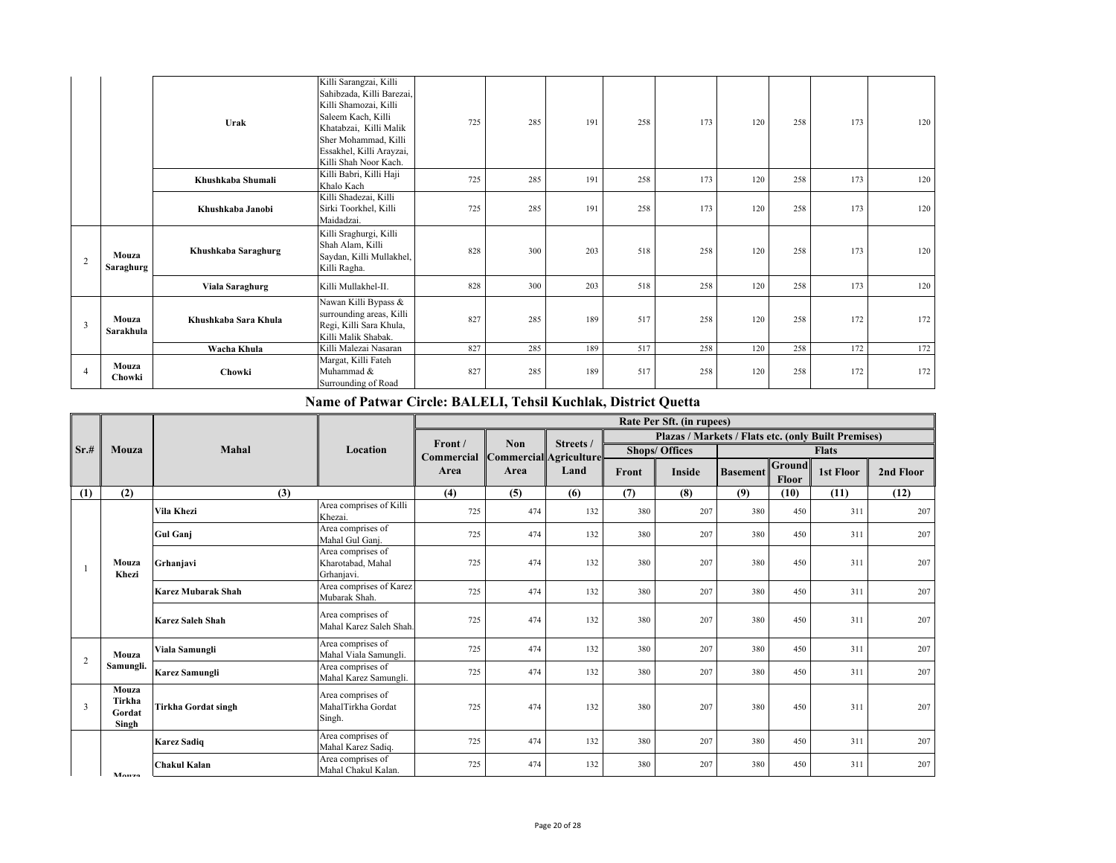|                         |                      | Urak                                                                                               | Killi Sarangzai, Killi<br>Sahibzada, Killi Barezai,<br>Killi Shamozai, Killi<br>Saleem Kach, Killi<br>Khatabzai, Killi Malik<br>Sher Mohammad, Killi<br>Essakhel, Killi Arayzai,<br>Killi Shah Noor Kach. | 725 | 285 | 191 | 258 | 173 | 120 | 258 | 173 | 120 |
|-------------------------|----------------------|----------------------------------------------------------------------------------------------------|-----------------------------------------------------------------------------------------------------------------------------------------------------------------------------------------------------------|-----|-----|-----|-----|-----|-----|-----|-----|-----|
|                         |                      | Khushkaba Shumali                                                                                  | Killi Babri, Killi Haji<br>Khalo Kach                                                                                                                                                                     | 725 | 285 | 191 | 258 | 173 | 120 | 258 | 173 | 120 |
|                         |                      | Khushkaba Janobi                                                                                   | Killi Shadezai, Killi<br>Sirki Toorkhel, Killi<br>Maidadzai.                                                                                                                                              | 725 | 285 | 191 | 258 | 173 | 120 | 258 | 173 | 120 |
| 2                       | Mouza<br>Saraghurg   | Khushkaba Saraghurg                                                                                | Killi Sraghurgi, Killi<br>Shah Alam, Killi<br>Saydan, Killi Mullakhel,<br>Killi Ragha.                                                                                                                    | 828 | 300 | 203 | 518 | 258 | 120 | 258 | 173 | 120 |
|                         |                      | Viala Saraghurg                                                                                    | Killi Mullakhel-II.                                                                                                                                                                                       | 828 | 300 | 203 | 518 | 258 | 120 | 258 | 173 | 120 |
| Mouza<br>3<br>Sarakhula | Khushkaba Sara Khula | Nawan Killi Bypass &<br>surrounding areas, Killi<br>Regi, Killi Sara Khula,<br>Killi Malik Shabak. | 827                                                                                                                                                                                                       | 285 | 189 | 517 | 258 | 120 | 258 | 172 | 172 |     |
|                         |                      | Wacha Khula                                                                                        | Killi Malezai Nasaran                                                                                                                                                                                     | 827 | 285 | 189 | 517 | 258 | 120 | 258 | 172 | 172 |
| $\overline{4}$          | Mouza<br>Chowki      | Chowki                                                                                             | Margat, Killi Fateh<br>Muhammad &<br>Surrounding of Road                                                                                                                                                  | 827 | 285 | 189 | 517 | 258 | 120 | 258 | 172 | 172 |

## **Name of Patwar Circle: BALELI, Tehsil Kuchlak, District Quetta**

| Sr.# |                                    |                           |                                                      |            |                        |           |       | Rate Per Sft. (in rupees)                           |                 |                        |              |           |
|------|------------------------------------|---------------------------|------------------------------------------------------|------------|------------------------|-----------|-------|-----------------------------------------------------|-----------------|------------------------|--------------|-----------|
|      |                                    |                           |                                                      | Front /    | <b>Non</b>             | Streets / |       | Plazas / Markets / Flats etc. (only Built Premises) |                 |                        |              |           |
|      | Mouza                              | <b>Mahal</b>              | Location                                             | Commercial | Commercial Agriculture |           |       | <b>Shops/ Offices</b>                               |                 |                        | <b>Flats</b> |           |
|      |                                    |                           |                                                      | Area       | Area                   | Land      | Front | <b>Inside</b>                                       | <b>Basement</b> | <b>Ground</b><br>Floor | 1st Floor    | 2nd Floor |
| (1)  | (2)                                | (3)                       |                                                      | (4)        | (5)                    | (6)       | (7)   | (8)                                                 | (9)             | (10)                   | (11)         | (12)      |
|      |                                    | Vila Khezi                | Area comprises of Killi<br>Khezai.                   | 725        | 474                    | 132       | 380   | 207                                                 | 380             | 450                    | 311          | 207       |
|      |                                    | <b>Gul Gani</b>           | Area comprises of<br>Mahal Gul Ganj.                 | 725        | 474                    | 132       | 380   | 207                                                 | 380             | 450                    | 311          | 207       |
|      | Mouza<br>Khezi                     | Grhanjavi                 | Area comprises of<br>Kharotabad, Mahal<br>Grhaniavi. | 725        | 474                    | 132       | 380   | 207                                                 | 380             | 450                    | 311          | 207       |
|      |                                    | <b>Karez Mubarak Shah</b> | Area comprises of Karez<br>Mubarak Shah.             | 725        | 474                    | 132       | 380   | 207                                                 | 380             | 450                    | 311          | 207       |
|      |                                    | <b>Karez Saleh Shah</b>   | Area comprises of<br>Mahal Karez Saleh Shah.         | 725        | 474                    | 132       | 380   | 207                                                 | 380             | 450                    | 311          | 207       |
| 2    | Mouza                              | Viala Samungli            | Area comprises of<br>Mahal Viala Samungli.           | 725        | 474                    | 132       | 380   | 207                                                 | 380             | 450                    | 311          | 207       |
|      | Samungli.                          | Karez Samungli            | Area comprises of<br>Mahal Karez Samungli.           | 725        | 474                    | 132       | 380   | 207                                                 | 380             | 450                    | 311          | 207       |
| 3    | Mouza<br>Tirkha<br>Gordat<br>Singh | Tirkha Gordat singh       | Area comprises of<br>MahalTirkha Gordat<br>Singh.    | 725        | 474                    | 132       | 380   | 207                                                 | 380             | 450                    | 311          | 207       |
|      | Monzo                              | <b>Karez Sadiq</b>        | Area comprises of<br>Mahal Karez Sadiq.              | 725        | 474                    | 132       | 380   | 207                                                 | 380             | 450                    | 311          | 207       |
|      |                                    | <b>Chakul Kalan</b>       | Area comprises of<br>Mahal Chakul Kalan.             | 725        | 474                    | 132       | 380   | 207                                                 | 380             | 450                    | 311          | 207       |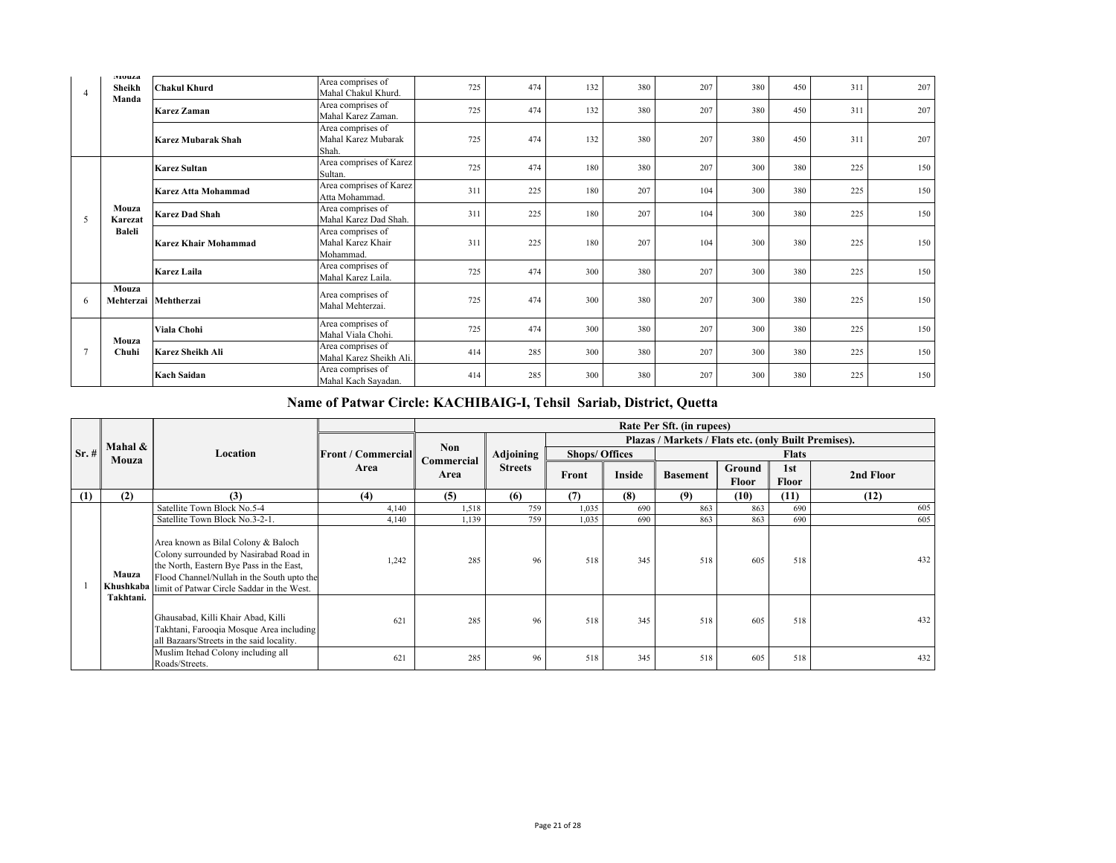| $\overline{4}$ | <b>MUULZ</b><br>Sheikh        | <b>Chakul Khurd</b>         | Area comprises of<br>Mahal Chakul Khurd.            | 725 | 474 | 132 | 380 | 207 | 380 | 450 | 311 | 207 |
|----------------|-------------------------------|-----------------------------|-----------------------------------------------------|-----|-----|-----|-----|-----|-----|-----|-----|-----|
|                | Manda                         | <b>Karez Zaman</b>          | Area comprises of<br>Mahal Karez Zaman.             | 725 | 474 | 132 | 380 | 207 | 380 | 450 | 311 | 207 |
|                |                               | Karez Mubarak Shah          | Area comprises of<br>Mahal Karez Mubarak<br>Shah.   | 725 | 474 | 132 | 380 | 207 | 380 | 450 | 311 | 207 |
|                |                               | <b>Karez Sultan</b>         | Area comprises of Karez<br>Sultan.                  | 725 | 474 | 180 | 380 | 207 | 300 | 380 | 225 | 150 |
|                |                               | Karez Atta Mohammad         | Area comprises of Karez<br>Atta Mohammad.           | 311 | 225 | 180 | 207 | 104 | 300 | 380 | 225 | 150 |
| 5              | Mouza<br>Karezat<br>Baleli    | <b>Karez Dad Shah</b>       | Area comprises of<br>Mahal Karez Dad Shah.          | 311 | 225 | 180 | 207 | 104 | 300 | 380 | 225 | 150 |
|                |                               | <b>Karez Khair Mohammad</b> | Area comprises of<br>Mahal Karez Khair<br>Mohammad. | 311 | 225 | 180 | 207 | 104 | 300 | 380 | 225 | 150 |
|                |                               | <b>Karez Laila</b>          | Area comprises of<br>Mahal Karez Laila.             | 725 | 474 | 300 | 380 | 207 | 300 | 380 | 225 | 150 |
| 6              | Mouza<br>Mehterzai Mehtherzai |                             | Area comprises of<br>Mahal Mehterzai.               | 725 | 474 | 300 | 380 | 207 | 300 | 380 | 225 | 150 |
|                | Mouza                         | Viala Chohi                 | Area comprises of<br>Mahal Viala Chohi.             | 725 | 474 | 300 | 380 | 207 | 300 | 380 | 225 | 150 |
|                | Chuhi                         | Karez Sheikh Ali            | Area comprises of<br>Mahal Karez Sheikh Ali.        | 414 | 285 | 300 | 380 | 207 | 300 | 380 | 225 | 150 |
|                |                               | <b>Kach Saidan</b>          | Area comprises of<br>Mahal Kach Sayadan.            | 414 | 285 | 300 | 380 | 207 | 300 | 380 | 225 | 150 |

## **Name of Patwar Circle: KACHIBAIG-I, Tehsil Sariab, District, Quetta**

|         |           |                                                                                                                                                                                                                                 |                             |            |                |                       |        | Rate Per Sft. (in rupees)                            |        |              |           |
|---------|-----------|---------------------------------------------------------------------------------------------------------------------------------------------------------------------------------------------------------------------------------|-----------------------------|------------|----------------|-----------------------|--------|------------------------------------------------------|--------|--------------|-----------|
|         | Mahal &   |                                                                                                                                                                                                                                 |                             | <b>Non</b> |                |                       |        | Plazas / Markets / Flats etc. (only Built Premises). |        |              |           |
| $Sr.$ # | Mouza     | Location                                                                                                                                                                                                                        | <b>IFront / Commerciall</b> | Commercial | Adjoining      | <b>Shops/ Offices</b> |        |                                                      |        | <b>Flats</b> |           |
|         |           |                                                                                                                                                                                                                                 | Area                        | Area       | <b>Streets</b> | Front                 | Inside | <b>Basement</b>                                      | Ground | 1st          | 2nd Floor |
|         |           |                                                                                                                                                                                                                                 |                             |            |                |                       |        |                                                      | Floor  | Floor        |           |
| (1)     | (2)       | (3)                                                                                                                                                                                                                             | (4)                         | (5)        | (6)            | (7)                   | (8)    | (9)                                                  | (10)   | (11)         | (12)      |
|         |           | Satellite Town Block No.5-4                                                                                                                                                                                                     | 4,140                       | 1,518      | 759            | 1,035                 | 690    | 863                                                  | 863    | 690          | 605       |
|         |           | Satellite Town Block No.3-2-1.                                                                                                                                                                                                  | 4,140                       | 1,139      | 759            | 1,035                 | 690    | 863                                                  | 863    | 690          | 605       |
|         | Mauza     | Area known as Bilal Colony & Baloch<br>Colony surrounded by Nasirabad Road in<br>the North, Eastern Bye Pass in the East,<br>Flood Channel/Nullah in the South upto the<br>Khushkaba limit of Patwar Circle Saddar in the West. | 1,242                       | 285        | 96             | 518                   | 345    | 518                                                  | 605    | 518          | 432       |
|         | Takhtani. | Ghausabad, Killi Khair Abad, Killi<br>Takhtani, Farooqia Mosque Area including<br>all Bazaars/Streets in the said locality.                                                                                                     | 621                         | 285        | 96             | 518                   | 345    | 518                                                  | 605    | 518          | 432       |
|         |           | Muslim Itehad Colony including all<br>Roads/Streets.                                                                                                                                                                            | 621                         | 285        | 96             | 518                   | 345    | 518                                                  | 605    | 518          | 432       |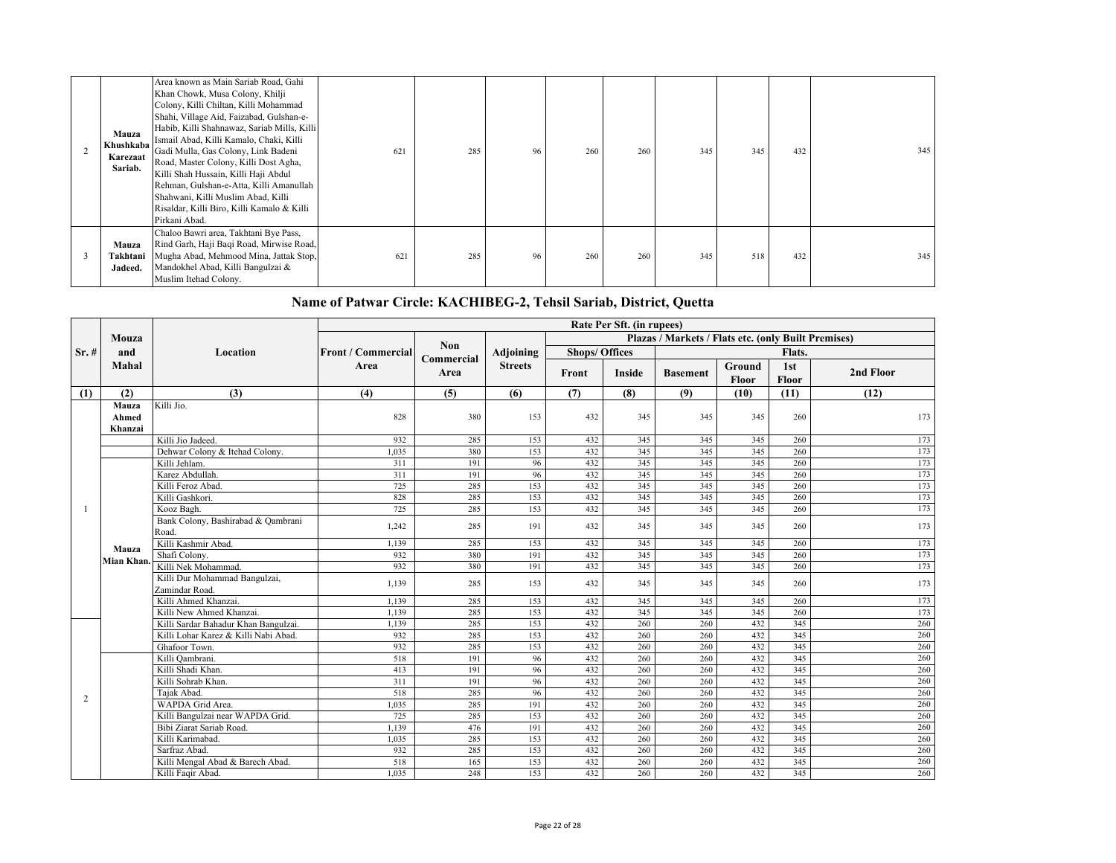| Mauza<br>Khushkaba<br>Karezaat<br>Sariab. | Area known as Main Sariab Road, Gahi<br>Khan Chowk, Musa Colony, Khilji<br>Colony, Killi Chiltan, Killi Mohammad<br>Shahi, Village Aid, Faizabad, Gulshan-e-<br>Habib, Killi Shahnawaz, Sariab Mills, Killi<br>Ismail Abad, Killi Kamalo, Chaki, Killi<br>Gadi Mulla, Gas Colony, Link Badeni<br>Road, Master Colony, Killi Dost Agha,<br>Killi Shah Hussain, Killi Haji Abdul<br>Rehman, Gulshan-e-Atta, Killi Amanullah<br>Shahwani, Killi Muslim Abad, Killi<br>Risaldar, Killi Biro, Killi Kamalo & Killi<br>Pirkani Abad. | 621 | 285 | 96 | 260 | 260 | 345 | 345 | 432 | 345 |
|-------------------------------------------|--------------------------------------------------------------------------------------------------------------------------------------------------------------------------------------------------------------------------------------------------------------------------------------------------------------------------------------------------------------------------------------------------------------------------------------------------------------------------------------------------------------------------------|-----|-----|----|-----|-----|-----|-----|-----|-----|
| Mauza<br>Takhtani<br>Jadeed.              | Chaloo Bawri area, Takhtani Bye Pass,<br>Rind Garh, Haji Baqi Road, Mirwise Road,<br>Mugha Abad, Mehmood Mina, Jattak Stop,<br>Mandokhel Abad, Killi Bangulzai &<br>Muslim Itehad Colony.                                                                                                                                                                                                                                                                                                                                      | 621 | 285 | 96 | 260 | 260 | 345 | 518 | 432 | 345 |

## **Name of Patwar Circle: KACHIBEG-2, Tehsil Sariab, District, Quetta**

|      |            |                                                 |                           |                    |                |                       | Rate Per Sft. (in rupees) |                                                     |                 |              |           |
|------|------------|-------------------------------------------------|---------------------------|--------------------|----------------|-----------------------|---------------------------|-----------------------------------------------------|-----------------|--------------|-----------|
|      | Mouza      |                                                 |                           |                    |                |                       |                           | Plazas / Markets / Flats etc. (only Built Premises) |                 |              |           |
| Sr.# | and        | Location                                        | <b>Front / Commercial</b> | <b>Non</b>         | Adjoining      | <b>Shops/ Offices</b> |                           |                                                     |                 | Flats.       |           |
|      | Mahal      |                                                 | Area                      | Commercial<br>Area | <b>Streets</b> | Front                 | Inside                    | <b>Basement</b>                                     | Ground<br>Floor | 1st<br>Floor | 2nd Floor |
| (1)  | (2)        | (3)                                             | (4)                       | (5)                | (6)            | (7)                   | (8)                       | (9)                                                 | (10)            | (11)         | (12)      |
|      | Mauza      | Killi Jio.                                      |                           |                    |                |                       |                           |                                                     |                 |              |           |
|      | Ahmed      |                                                 | 828                       | 380                | 153            | 432                   | 345                       | 345                                                 | 345             | 260          | 173       |
|      | Khanzai    |                                                 |                           |                    |                |                       |                           |                                                     |                 |              |           |
|      |            | Killi Jio Jadeed.                               | 932                       | 285                | 153            | 432                   | 345                       | 345                                                 | 345             | 260          | 173       |
|      |            | Dehwar Colony & Itehad Colony.                  | 1.035                     | 380                | 153            | 432                   | 345                       | 345                                                 | 345             | 260          | 173       |
|      |            | Killi Jehlam.                                   | 311                       | 191                | 96             | 432                   | 345                       | 345                                                 | 345             | 260          | 173       |
|      |            | Karez Abdullah.                                 | 311                       | 191                | 96             | 432                   | 345                       | 345                                                 | 345             | 260          | 173       |
|      |            | Killi Feroz Abad.                               | 725                       | 285                | 153            | 432                   | 345                       | 345                                                 | 345             | 260          | 173       |
|      |            | Killi Gashkori.                                 | 828                       | 285                | 153            | 432                   | 345                       | 345                                                 | 345             | 260          | 173       |
|      |            | Kooz Bagh.                                      | 725                       | 285                | 153            | 432                   | 345                       | 345                                                 | 345             | 260          | 173       |
|      |            | Bank Colony, Bashirabad & Qambrani<br>Road.     | 1.242                     | 285                | 191            | 432                   | 345                       | 345                                                 | 345             | 260          | 173       |
|      | Mauza      | Killi Kashmir Abad.                             | 1,139                     | 285                | 153            | 432                   | 345                       | 345                                                 | 345             | 260          | 173       |
|      | Mian Khan. | Shafi Colony.                                   | 932                       | 380                | 191            | 432                   | 345                       | 345                                                 | 345             | 260          | 173       |
|      |            | Killi Nek Mohammad.                             | 932                       | 380                | 191            | 432                   | 345                       | 345                                                 | 345             | 260          | 173       |
|      |            | Killi Dur Mohammad Bangulzai,<br>Zamindar Road. | 1,139                     | 285                | 153            | 432                   | 345                       | 345                                                 | 345             | 260          | 173       |
|      |            | Killi Ahmed Khanzai.                            | 1.139                     | 285                | 153            | 432                   | 345                       | 345                                                 | 345             | 260          | 173       |
|      |            | Killi New Ahmed Khanzai.                        | 1,139                     | 285                | 153            | 432                   | 345                       | 345                                                 | 345             | 260          | 173       |
|      |            | Killi Sardar Bahadur Khan Bangulzai.            | 1,139                     | 285                | 153            | 432                   | 260                       | 260                                                 | 432             | 345          | 260       |
|      |            | Killi Lohar Karez & Killi Nabi Abad.            | 932                       | 285                | 153            | 432                   | 260                       | 260                                                 | 432             | 345          | 260       |
|      |            | Ghafoor Town.                                   | 932                       | 285                | 153            | 432                   | 260                       | 260                                                 | 432             | 345          | 260       |
|      |            | Killi Qambrani.                                 | 518                       | 191                | 96             | 432                   | 260                       | 260                                                 | 432             | 345          | 260       |
|      |            | Killi Shadi Khan.                               | 413                       | 191                | 96             | 432                   | 260                       | 260                                                 | 432             | 345          | 260       |
|      |            | Killi Sohrab Khan.                              | 311                       | 191                | 96             | 432                   | 260                       | 260                                                 | 432             | 345          | 260       |
| 2    |            | Tajak Abad.                                     | 518                       | 285                | 96             | 432                   | 260                       | 260                                                 | 432             | 345          | 260       |
|      |            | WAPDA Grid Area.                                | 1,035                     | 285                | 191            | 432                   | 260                       | 260                                                 | 432             | 345          | 260       |
|      |            | Killi Bangulzai near WAPDA Grid.                | 725                       | 285                | 153            | 432                   | 260                       | 260                                                 | 432             | 345          | 260       |
|      |            | Bibi Ziarat Sariab Road.                        | 1,139                     | 476                | 191            | 432                   | 260                       | 260                                                 | 432             | 345          | 260       |
|      |            | Killi Karimabad.                                | 1,035                     | 285                | 153            | 432                   | 260                       | 260                                                 | 432             | 345          | 260       |
|      |            | Sarfraz Abad.                                   | 932                       | 285                | 153            | 432                   | 260                       | 260                                                 | 432             | 345          | 260       |
|      |            | Killi Mengal Abad & Barech Abad.                | 518                       | 165                | 153            | 432                   | 260                       | 260                                                 | 432             | 345          | 260       |
|      |            | Killi Faqir Abad.                               | 1,035                     | 248                | 153            | 432                   | 260                       | 260                                                 | 432             | 345          | 260       |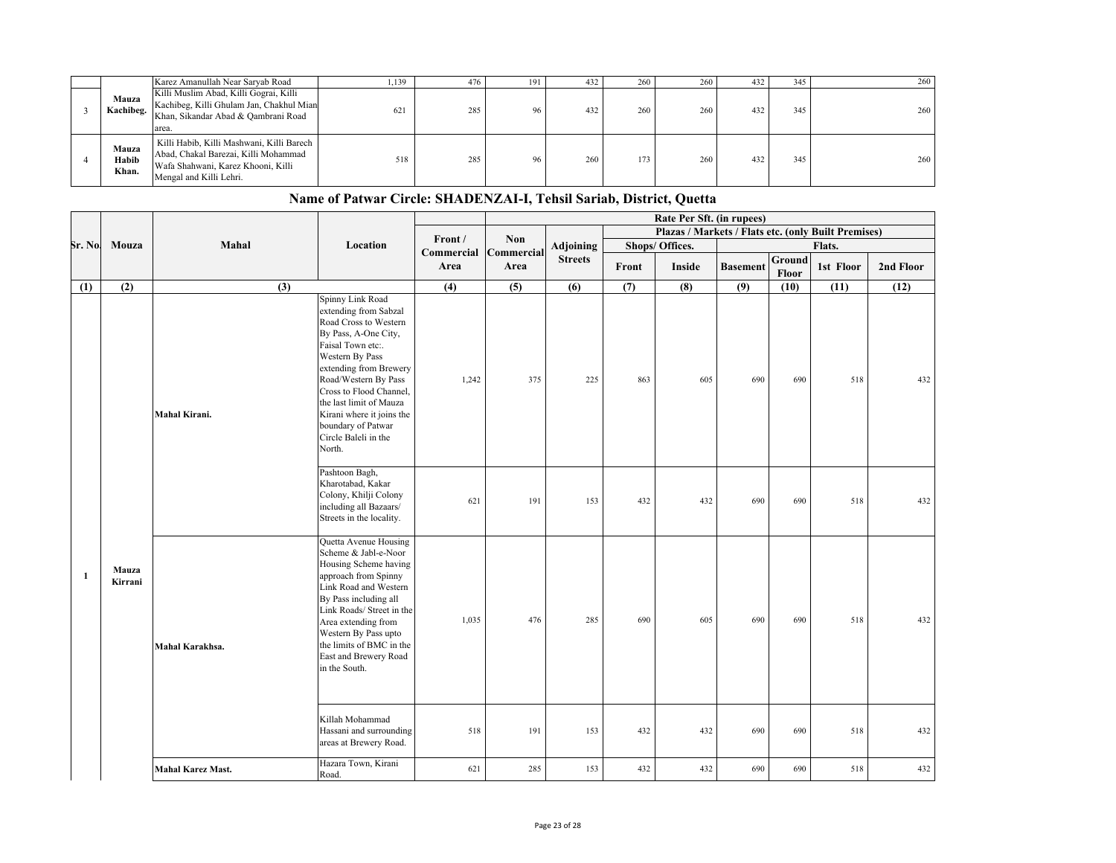|                         | Karez Amanullah Near Saryab Road                                                                                                                   | 1,139 | 476 | 191 | 432 | 260 | 260 | 432 | 345 | 260 |
|-------------------------|----------------------------------------------------------------------------------------------------------------------------------------------------|-------|-----|-----|-----|-----|-----|-----|-----|-----|
| Mauza<br>Kachibeg.      | Killi Muslim Abad, Killi Gograi, Killi<br>Kachibeg, Killi Ghulam Jan, Chakhul Mian<br>Khan, Sikandar Abad & Qambrani Road<br>area.                 | 621   | 285 | 96  | 432 | 260 | 260 | 432 | 345 | 260 |
| Mauza<br>Habib<br>Khan. | Killi Habib, Killi Mashwani, Killi Barech<br>Abad, Chakal Barezai, Killi Mohammad<br>Wafa Shahwani, Karez Khooni, Killi<br>Mengal and Killi Lehri. | 518   | 285 | 96  | 260 | 173 | 260 | 432 | 345 | 260 |

|              |                  |                   |                                                                                                                                                                                                                                                                                                                                 |            |            |                |       | Rate Per Sft. (in rupees)                           |                 |                 |           |           |
|--------------|------------------|-------------------|---------------------------------------------------------------------------------------------------------------------------------------------------------------------------------------------------------------------------------------------------------------------------------------------------------------------------------|------------|------------|----------------|-------|-----------------------------------------------------|-----------------|-----------------|-----------|-----------|
|              |                  |                   |                                                                                                                                                                                                                                                                                                                                 | Front /    | <b>Non</b> |                |       | Plazas / Markets / Flats etc. (only Built Premises) |                 |                 |           |           |
| Sr. No       | Mouza            | Mahal             | Location                                                                                                                                                                                                                                                                                                                        | Commercial | Commercial | Adjoining      |       | Shops/ Offices.                                     |                 |                 | Flats.    |           |
|              |                  |                   |                                                                                                                                                                                                                                                                                                                                 | Area       | Area       | <b>Streets</b> | Front | Inside                                              | <b>Basement</b> | Ground<br>Floor | 1st Floor | 2nd Floor |
| (1)          | (2)              | $\overline{(3)}$  |                                                                                                                                                                                                                                                                                                                                 | (4)        | (5)        | (6)            | (7)   | (8)                                                 | (9)             | (10)            | (11)      | (12)      |
|              |                  | Mahal Kirani.     | Spinny Link Road<br>extending from Sabzal<br>Road Cross to Western<br>By Pass, A-One City,<br>Faisal Town etc:.<br>Western By Pass<br>extending from Brewery<br>Road/Western By Pass<br>Cross to Flood Channel,<br>the last limit of Mauza<br>Kirani where it joins the<br>boundary of Patwar<br>Circle Baleli in the<br>North. | 1,242      | 375        | 225            | 863   | 605                                                 | 690             | 690             | 518       | 432       |
|              |                  |                   | Pashtoon Bagh,<br>Kharotabad, Kakar<br>Colony, Khilji Colony<br>including all Bazaars/<br>Streets in the locality.                                                                                                                                                                                                              | 621        | 191        | 153            | 432   | 432                                                 | 690             | 690             | 518       | 432       |
| $\mathbf{1}$ | Mauza<br>Kirrani | Mahal Karakhsa.   | Quetta Avenue Housing<br>Scheme & Jabl-e-Noor<br>Housing Scheme having<br>approach from Spinny<br>Link Road and Western<br>By Pass including all<br>Link Roads/ Street in the<br>Area extending from<br>Western By Pass upto<br>the limits of BMC in the<br>East and Brewery Road<br>in the South.                              | 1,035      | 476        | 285            | 690   | 605                                                 | 690             | 690             | 518       | 432       |
|              |                  |                   | Killah Mohammad<br>Hassani and surrounding<br>areas at Brewery Road.                                                                                                                                                                                                                                                            | 518        | 191        | 153            | 432   | 432                                                 | 690             | 690             | 518       | 432       |
|              |                  | Mahal Karez Mast. | Hazara Town, Kirani<br>Road.                                                                                                                                                                                                                                                                                                    | 621        | 285        | 153            | 432   | 432                                                 | 690             | 690             | 518       | 432       |

## **Name of Patwar Circle: SHADENZAI-I, Tehsil Sariab, District, Quetta**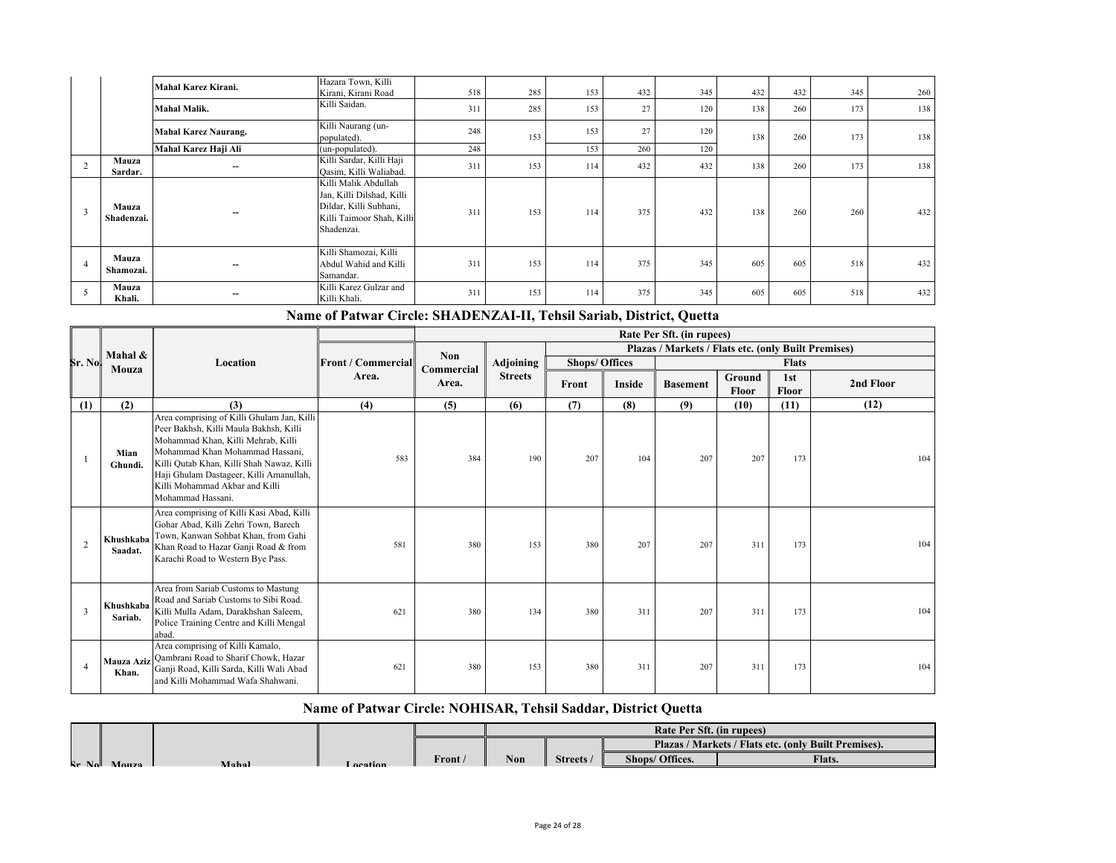|   |                     | Mahal Karez Kirani.         | Hazara Town, Killi<br>Kirani, Kirani Road                                                                              | 518 | 285 | 153 | 432 | 345 | 432 | 432 | 345 | 260 |
|---|---------------------|-----------------------------|------------------------------------------------------------------------------------------------------------------------|-----|-----|-----|-----|-----|-----|-----|-----|-----|
|   |                     | <b>Mahal Malik.</b>         | Killi Saidan.                                                                                                          | 311 | 285 | 153 | 27  | 120 | 138 | 260 | 173 | 138 |
|   |                     | <b>Mahal Karez Naurang.</b> | Killi Naurang (un-<br>populated).                                                                                      | 248 | 153 | 153 | 27  | 120 | 138 | 260 | 173 | 138 |
|   |                     | Mahal Karez Haji Ali        | (un-populated).                                                                                                        | 248 |     | 153 | 260 | 120 |     |     |     |     |
|   | Mauza<br>Sardar.    | --                          | Killi Sardar, Killi Haji<br>Qasim, Killi Waliabad.                                                                     | 311 | 153 | 114 | 432 | 432 | 138 | 260 | 173 | 138 |
| 3 | Mauza<br>Shadenzai. | --                          | Killi Malik Abdullah<br>Jan, Killi Dilshad, Killi<br>Dildar, Killi Subhani,<br>Killi Taimoor Shah, Killi<br>Shadenzai. | 311 | 153 | 114 | 375 | 432 | 138 | 260 | 260 | 432 |
|   | Mauza<br>Shamozai.  | --                          | Killi Shamozai, Killi<br>Abdul Wahid and Killi<br>Samandar.                                                            | 311 | 153 | 114 | 375 | 345 | 605 | 605 | 518 | 432 |
|   | Mauza<br>Khali.     | --                          | Killi Karez Gulzar and<br>Killi Khali.                                                                                 | 311 | 153 | 114 | 375 | 345 | 605 | 605 | 518 | 432 |

**Name of Patwar Circle: SHADENZAI-II, Tehsil Sariab, District, Quetta**

|                |                      |                                                                                                                                                                                                                                                                                                              |                            |            |                  |                       |        | Rate Per Sft. (in rupees)                           |        |       |           |  |  |  |  |
|----------------|----------------------|--------------------------------------------------------------------------------------------------------------------------------------------------------------------------------------------------------------------------------------------------------------------------------------------------------------|----------------------------|------------|------------------|-----------------------|--------|-----------------------------------------------------|--------|-------|-----------|--|--|--|--|
|                | Mahal &              |                                                                                                                                                                                                                                                                                                              | <b>IFront / Commercial</b> | <b>Non</b> |                  |                       |        | Plazas / Markets / Flats etc. (only Built Premises) |        |       |           |  |  |  |  |
| Sr. No         | Mouza                | Location                                                                                                                                                                                                                                                                                                     |                            | Commercial | <b>Adjoining</b> | <b>Shops/ Offices</b> |        | <b>Flats</b>                                        |        |       |           |  |  |  |  |
|                |                      |                                                                                                                                                                                                                                                                                                              | Area.                      | Area.      | <b>Streets</b>   | Front                 | Inside | <b>Basement</b>                                     | Ground | 1st   | 2nd Floor |  |  |  |  |
|                |                      |                                                                                                                                                                                                                                                                                                              |                            |            |                  |                       |        |                                                     | Floor  | Floor |           |  |  |  |  |
| (1)            | (2)                  | (3)                                                                                                                                                                                                                                                                                                          | (4)                        | (5)        | (6)              | (7)                   | (8)    | (9)                                                 | (10)   | (11)  | (12)      |  |  |  |  |
|                | Mian<br>Ghundi.      | Area comprising of Killi Ghulam Jan, Killi<br>Peer Bakhsh, Killi Maula Bakhsh, Killi<br>Mohammad Khan, Killi Mehrab, Killi<br>Mohammad Khan Mohammad Hassani,<br>Killi Qutab Khan, Killi Shah Nawaz, Killi<br>Haji Ghulam Dastageer, Killi Amanullah,<br>Killi Mohammad Akbar and Killi<br>Mohammad Hassani. | 583                        | 384        | 190              | 207                   | 104    | 207                                                 | 207    | 173   | 104       |  |  |  |  |
| $\overline{2}$ | Khushkaba<br>Saadat. | Area comprising of Killi Kasi Abad, Killi<br>Gohar Abad, Killi Zehri Town, Barech<br>Town, Kanwan Sohbat Khan, from Gahi<br>Khan Road to Hazar Ganji Road & from<br>Karachi Road to Western Bye Pass.                                                                                                        | 581                        | 380        | 153              | 380                   | 207    | 207                                                 | 311    | 173   | 104       |  |  |  |  |
| 3              | Khushkaba<br>Sariab. | Area from Sariab Customs to Mastung<br>Road and Sariab Customs to Sibi Road.<br>Killi Mulla Adam, Darakhshan Saleem,<br>Police Training Centre and Killi Mengal<br>abad.                                                                                                                                     | 621                        | 380        | 134              | 380                   | 311    | 207                                                 | 311    | 173   | 104       |  |  |  |  |
|                | Mauza Aziz<br>Khan.  | Area comprising of Killi Kamalo,<br>Qambrani Road to Sharif Chowk, Hazar<br>Ganji Road, Killi Sarda, Killi Wali Abad<br>and Killi Mohammad Wafa Shahwani.                                                                                                                                                    | 621                        | 380        | 153              | 380                   | 311    | 207                                                 | 311    | 173   | 104       |  |  |  |  |

#### **Name of Patwar Circle: NOHISAR, Tehsil Saddar, District Quetta**

|                                                                                                              | Rate Per Sft. (in rupees)                                   |  |
|--------------------------------------------------------------------------------------------------------------|-------------------------------------------------------------|--|
|                                                                                                              | <b>Plazas / Markets / Flats etc. (only Built Premises).</b> |  |
| Front A<br><b>Non</b><br>Shops/ Offices.<br><b>Streets</b><br>$R_{\rm F}$ No.<br>Mahal<br>Monza<br>`ocation` | <b>Flats.</b>                                               |  |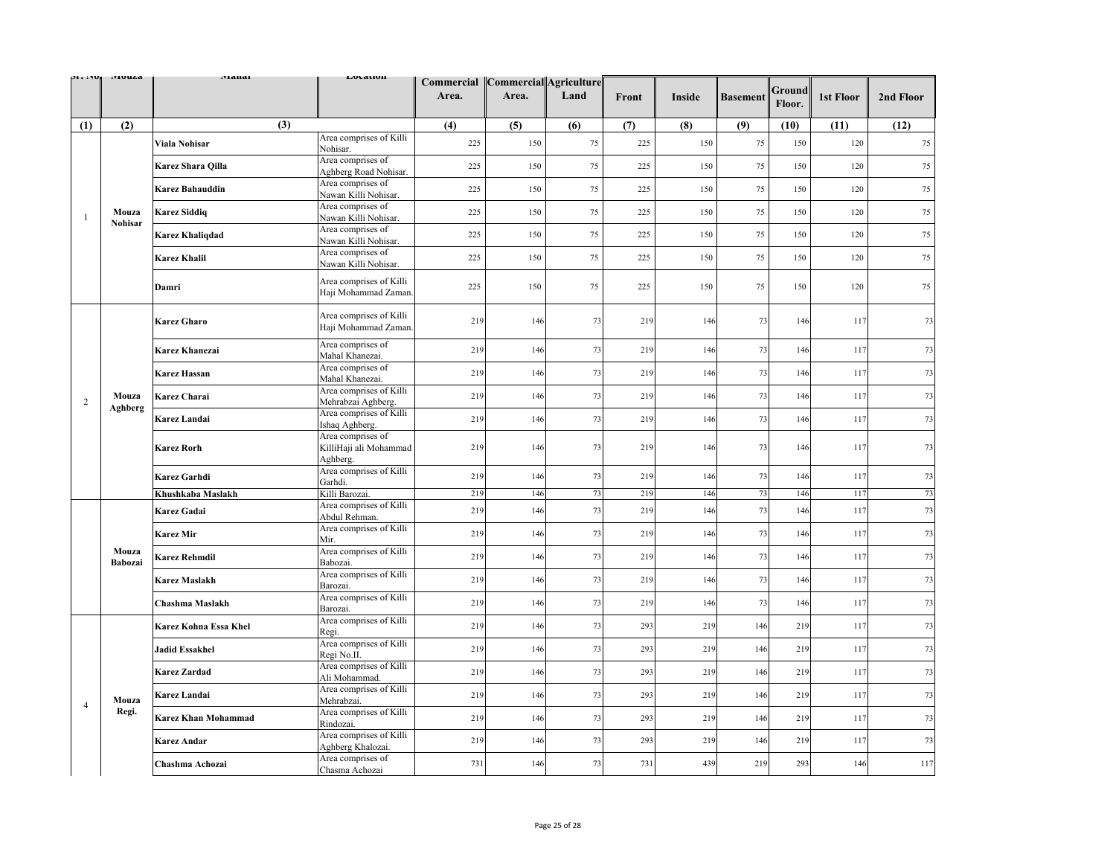| <b>JE . I TU.</b> | <b>ITEULIA</b>          | тлана                      | Livlativn                                               | Area. | Commercial Commercial Agriculture<br>Area. | Land | Front | Inside | <b>Basement</b> | Ground<br>Floor. | 1st Floor                                                                                                                                                                    | 2nd Floor |
|-------------------|-------------------------|----------------------------|---------------------------------------------------------|-------|--------------------------------------------|------|-------|--------|-----------------|------------------|------------------------------------------------------------------------------------------------------------------------------------------------------------------------------|-----------|
| (1)               | (2)                     | (3)                        |                                                         | (4)   | (5)                                        | (6)  | (7)   | (8)    | (9)             | (10)             |                                                                                                                                                                              | (12)      |
|                   |                         | Viala Nohisar              | Area comprises of Killi<br>Nohisar.                     | 225   | 150                                        | 75   | 225   | 150    | 75              | 150              | 120                                                                                                                                                                          | $75\,$    |
|                   |                         | Karez Shara Qilla          | Area comprises of<br>Aghberg Road Nohisar.              | 225   | 150                                        | 75   | 225   | 150    | 75              | 150              | 120                                                                                                                                                                          | 75        |
|                   |                         | <b>Karez Bahauddin</b>     | Area comprises of<br>Nawan Killi Nohisar.               | 225   | 150                                        | 75   | 225   | 150    | 75              | 150              | 120                                                                                                                                                                          | 75        |
| $\overline{1}$    | Mouza                   | <b>Karez Siddiq</b>        | Area comprises of<br>Nawan Killi Nohisar.               | 225   | 150                                        | 75   | 225   | 150    | 75              | 150              | (11)<br>120<br>120<br>120<br>120<br>117<br>117<br>117<br>117<br>117<br>117<br>117<br>117<br>117<br>117<br>117<br>117<br>117<br>117<br>117<br>117<br>117<br>117<br>117<br>146 | 75        |
|                   | Nohisar                 | <b>Karez Khaliqdad</b>     | Area comprises of<br>Nawan Killi Nohisar.               | 225   | 150                                        | 75   | 225   | 150    | 75              | 150              |                                                                                                                                                                              | 75        |
|                   |                         | <b>Karez Khalil</b>        | Area comprises of<br>Nawan Killi Nohisar.               | 225   | 150                                        | 75   | 225   | 150    | 75              | 150              |                                                                                                                                                                              | 75        |
|                   |                         | Damri                      | Area comprises of Killi<br>Haji Mohammad Zaman          | 225   | 150                                        | 75   | 225   | 150    | 75              | 150              |                                                                                                                                                                              | 75        |
|                   |                         | <b>Karez Gharo</b>         | Area comprises of Killi<br>Haji Mohammad Zaman.         | 219   | 146                                        | 73   | 219   | 146    | 73              | 146              |                                                                                                                                                                              | 73        |
|                   |                         | Karez Khanezai             | Area comprises of<br>Mahal Khanezai                     | 219   | 146                                        | 73   | 219   | 146    | 73              | 146              |                                                                                                                                                                              | 73        |
|                   | Mouza<br>Aghberg        | <b>Karez Hassan</b>        | Area comprises of<br>Mahal Khanezai.                    | 219   | 146                                        | 73   | 219   | 146    | 73              | 146              |                                                                                                                                                                              | 73        |
| $\overline{2}$    |                         | Karez Charai               | Area comprises of Killi<br>Mehrabzai Aghberg.           | 219   | 146                                        | 73   | 219   | 146    | 73              | 146              |                                                                                                                                                                              | 73        |
|                   |                         | Karez Landai               | Area comprises of Killi<br>Ishaq Aghberg.               | 219   | 146                                        | 73   | 219   | 146    | 73              | 146              |                                                                                                                                                                              | 73        |
|                   |                         | <b>Karez Rorh</b>          | Area comprises of<br>KilliHaji ali Mohammad<br>Aghberg. | 219   | 146                                        | 73   | 219   | 146    | 73              | 146              |                                                                                                                                                                              | 73        |
|                   |                         | Karez Garhdi               | Area comprises of Killi<br>Garhdi                       | 219   | 146                                        | 73   | 219   | 146    | 73              | 146              |                                                                                                                                                                              | 73        |
|                   |                         | Khushkaba Maslakh          | Killi Barozai.                                          | 219   | 146                                        | 73   | 219   | 146    | 73              | 146              |                                                                                                                                                                              | 73        |
|                   |                         | Karez Gadai                | Area comprises of Killi<br>Abdul Rehman.                | 219   | 146                                        | 73   | 219   | 146    | 73              | 146              |                                                                                                                                                                              | 73        |
|                   |                         | <b>Karez Mir</b>           | Area comprises of Killi<br>Mir.                         | 219   | 146                                        | 73   | 219   | 146    | 73              | 146              |                                                                                                                                                                              | 73        |
|                   | Mouza<br><b>Babozai</b> | <b>Karez Rehmdil</b>       | Area comprises of Killi<br>Babozai.                     | 219   | 146                                        | 73   | 219   | 146    | 73              | 146              |                                                                                                                                                                              | 73        |
|                   |                         | <b>Karez Maslakh</b>       | Area comprises of Killi<br>Barozai.                     | 219   | 146                                        | 73   | 219   | 146    | 73              | 146              |                                                                                                                                                                              | 73        |
|                   |                         | Chashma Maslakh            | Area comprises of Killi<br>Barozai.                     | 219   | 146                                        | 73   | 219   | 146    | 73              | 146              |                                                                                                                                                                              | 73        |
|                   |                         | Karez Kohna Essa Khel      | Area comprises of Killi<br>Regi.                        | 219   | 146                                        | 73   | 293   | 219    | 146             | 219              |                                                                                                                                                                              | 73        |
|                   |                         | <b>Jadid Essakhel</b>      | Area comprises of Killi<br>Regi No.II.                  | 219   | 146                                        | 73   | 293   | 219    | 146             | 219              |                                                                                                                                                                              | 73        |
|                   |                         | <b>Karez Zardad</b>        | Area comprises of Killi<br>Ali Mohammad.                | 219   | 146                                        | 73   | 293   | 219    | 146             | 219              |                                                                                                                                                                              | 73        |
| $\overline{4}$    | Mouza                   | Karez Landai               | Area comprises of Killi<br>Mehrabzai.                   | 219   | 146                                        | 73   | 293   | 219    | 146             | 219              |                                                                                                                                                                              | 73        |
|                   | Regi.                   | <b>Karez Khan Mohammad</b> | Area comprises of Killi<br>Rindozai.                    | 219   | 146                                        | 73   | 293   | 219    | 146             | 219              |                                                                                                                                                                              | 73        |
|                   |                         | Karez Andar                | Area comprises of Killi<br>Aghberg Khalozai             | 219   | 146                                        | 73   | 293   | 219    | 146             | 219              |                                                                                                                                                                              | 73        |
|                   |                         | Chashma Achozai            | Area comprises of<br>Chasma Achozai                     | 731   | 146                                        | 73   | 731   | 439    | 219             | 293              |                                                                                                                                                                              | 117       |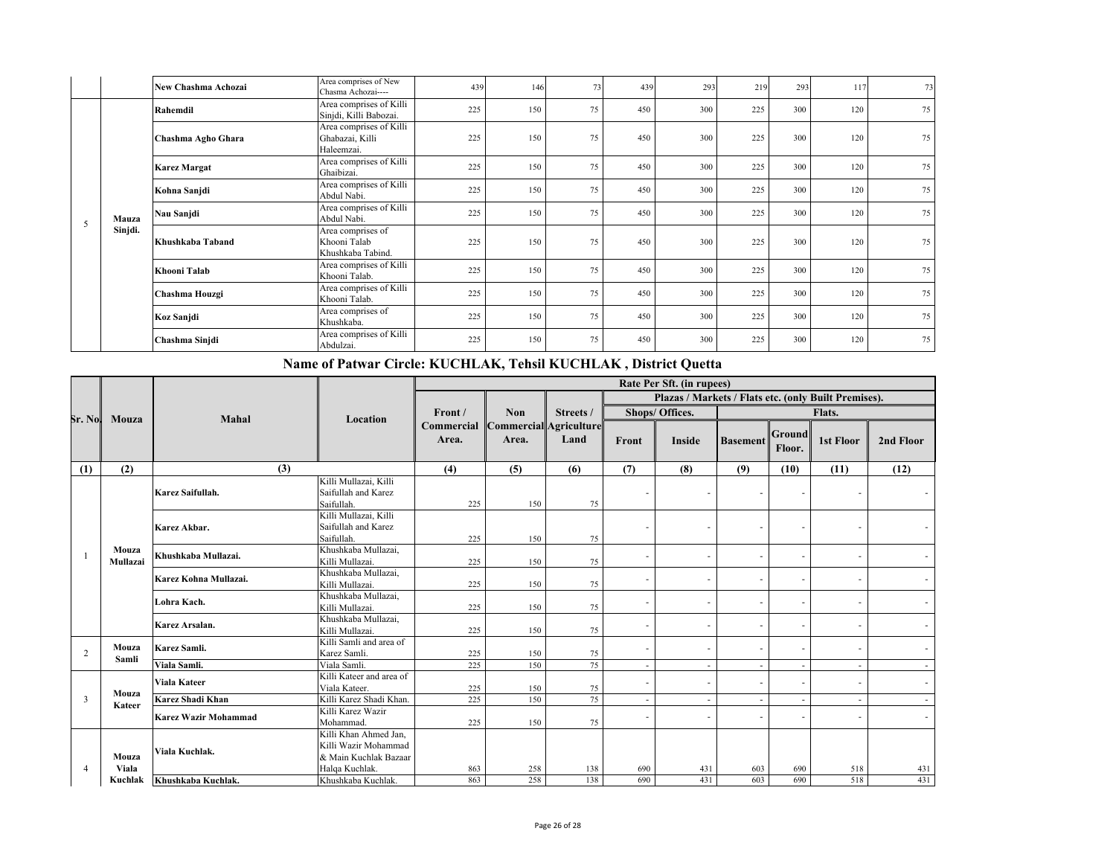|   |         | New Chashma Achozai | Area comprises of New<br>Chasma Achozai----              | 439 | 146 | 73 | 439 | 293 | 219 | 293 | 117 | 73 |
|---|---------|---------------------|----------------------------------------------------------|-----|-----|----|-----|-----|-----|-----|-----|----|
|   |         | Rahemdil            | Area comprises of Killi<br>Sinjdi, Killi Babozai.        | 225 | 150 | 75 | 450 | 300 | 225 | 300 | 120 | 75 |
|   |         | Chashma Agho Ghara  | Area comprises of Killi<br>Ghabazai, Killi<br>Haleemzai. | 225 | 150 | 75 | 450 | 300 | 225 | 300 | 120 | 75 |
| 5 |         | <b>Karez Margat</b> | Area comprises of Killi<br>Ghaibizai.                    | 225 | 150 | 75 | 450 | 300 | 225 | 300 | 120 | 75 |
|   | Mauza   | Kohna Sanjdi        | Area comprises of Killi<br>Abdul Nabi.                   | 225 | 150 | 75 | 450 | 300 | 225 | 300 | 120 | 75 |
|   |         | Nau Sanjdi          | Area comprises of Killi<br>Abdul Nabi.                   | 225 | 150 | 75 | 450 | 300 | 225 | 300 | 120 | 75 |
|   | Sinjdi. | Khushkaba Taband    | Area comprises of<br>Khooni Talab<br>Khushkaba Tabind.   | 225 | 150 | 75 | 450 | 300 | 225 | 300 | 120 | 75 |
|   |         | Khooni Talab        | Area comprises of Killi<br>Khooni Talab.                 | 225 | 150 | 75 | 450 | 300 | 225 | 300 | 120 | 75 |
|   |         | Chashma Houzgi      | Area comprises of Killi<br>Khooni Talab.                 | 225 | 150 | 75 | 450 | 300 | 225 | 300 | 120 | 75 |
|   |         | Koz Sanjdi          | Area comprises of<br>Khushkaba.                          | 225 | 150 | 75 | 450 | 300 | 225 | 300 | 120 | 75 |
|   |         | Chashma Sinjdi      | Area comprises of Killi<br>Abdulzai.                     | 225 | 150 | 75 | 450 | 300 | 225 | 300 | 120 | 75 |

## **Name of Patwar Circle: KUCHLAK, Tehsil KUCHLAK , District Quetta**

|                |                   | <b>Mahal</b>                |                                                                                          |                                                              |            |           |                                                      | Rate Per Sft. (in rupees) |                 |                         |           |           |  |  |  |  |  |
|----------------|-------------------|-----------------------------|------------------------------------------------------------------------------------------|--------------------------------------------------------------|------------|-----------|------------------------------------------------------|---------------------------|-----------------|-------------------------|-----------|-----------|--|--|--|--|--|
| Sr. No.        |                   |                             |                                                                                          |                                                              |            |           | Plazas / Markets / Flats etc. (only Built Premises). |                           |                 |                         |           |           |  |  |  |  |  |
|                |                   |                             | Location                                                                                 | Front /<br><b>Commercial Commercial Agriculture</b><br>Area. | <b>Non</b> | Streets / |                                                      | Shops/ Offices.           | Flats.          |                         |           |           |  |  |  |  |  |
|                | Mouza             |                             |                                                                                          |                                                              | Area.      | Land      | Front                                                | <b>Inside</b>             | <b>Basement</b> | <b>Ground</b><br>Floor. | 1st Floor | 2nd Floor |  |  |  |  |  |
| (1)            | (2)               | (3)                         |                                                                                          | (4)                                                          | (5)        | (6)       | (7)                                                  | (8)                       | (9)             | (10)                    | (11)      | (12)      |  |  |  |  |  |
|                |                   | Karez Saifullah.            | Killi Mullazai, Killi<br>Saifullah and Karez<br>Saifullah.                               | 225                                                          | 150        | 75        |                                                      |                           |                 |                         |           |           |  |  |  |  |  |
|                | Mouza<br>Mullazai | Karez Akbar.                | Killi Mullazai, Killi<br>Saifullah and Karez<br>Saifullah.                               | 225                                                          | 150        | 75        |                                                      |                           |                 |                         |           |           |  |  |  |  |  |
| $\overline{1}$ |                   | Khushkaba Mullazai.         | Khushkaba Mullazai,<br>Killi Mullazai.                                                   | 225                                                          | 150        | 75        |                                                      |                           |                 |                         | ٠         |           |  |  |  |  |  |
|                |                   | Karez Kohna Mullazai.       | Khushkaba Mullazai,<br>Killi Mullazai.                                                   | 225                                                          | 150        | 75        |                                                      |                           |                 |                         |           |           |  |  |  |  |  |
|                |                   | Lohra Kach.                 | Khushkaba Mullazai,<br>Killi Mullazai.                                                   | 225                                                          | 150        | 75        |                                                      |                           |                 |                         |           |           |  |  |  |  |  |
|                |                   | Karez Arsalan.              | Khushkaba Mullazai,<br>Killi Mullazai.                                                   | 225                                                          | 150        | 75        |                                                      |                           |                 |                         | $\sim$    |           |  |  |  |  |  |
| $\overline{c}$ | Mouza<br>Samli    | Karez Samli.                | Killi Samli and area of<br>Karez Samli.                                                  | 225                                                          | 150        | 75        |                                                      |                           |                 |                         | ٠         |           |  |  |  |  |  |
|                |                   | Viala Samli.                | Viala Samli.                                                                             | 225                                                          | 150        | 75        |                                                      |                           |                 |                         | $\sim$    |           |  |  |  |  |  |
|                | Mouza             | Viala Kateer                | Killi Kateer and area of<br>Viala Kateer.                                                | 225                                                          | 150        | 75        |                                                      |                           |                 |                         | ٠         |           |  |  |  |  |  |
| 3              | Kateer            | <b>Karez Shadi Khan</b>     | Killi Karez Shadi Khan.                                                                  | 225                                                          | 150        | 75        |                                                      |                           |                 |                         | $\sim$    |           |  |  |  |  |  |
|                |                   | <b>Karez Wazir Mohammad</b> | Killi Karez Wazir<br>Mohammad.                                                           | 225                                                          | 150        | 75        |                                                      |                           |                 |                         |           |           |  |  |  |  |  |
| $\overline{4}$ | Mouza<br>Viala    | Viala Kuchlak.              | Killi Khan Ahmed Jan.<br>Killi Wazir Mohammad<br>& Main Kuchlak Bazaar<br>Halqa Kuchlak. | 863                                                          | 258        | 138       | 690                                                  | 431                       | 603             | 690                     | 518       | 431       |  |  |  |  |  |
|                | Kuchlak           | Khushkaba Kuchlak.          | Khushkaba Kuchlak.                                                                       | 863                                                          | 258        | 138       | 690                                                  | 431                       | 603             | 690                     | 518       | 431       |  |  |  |  |  |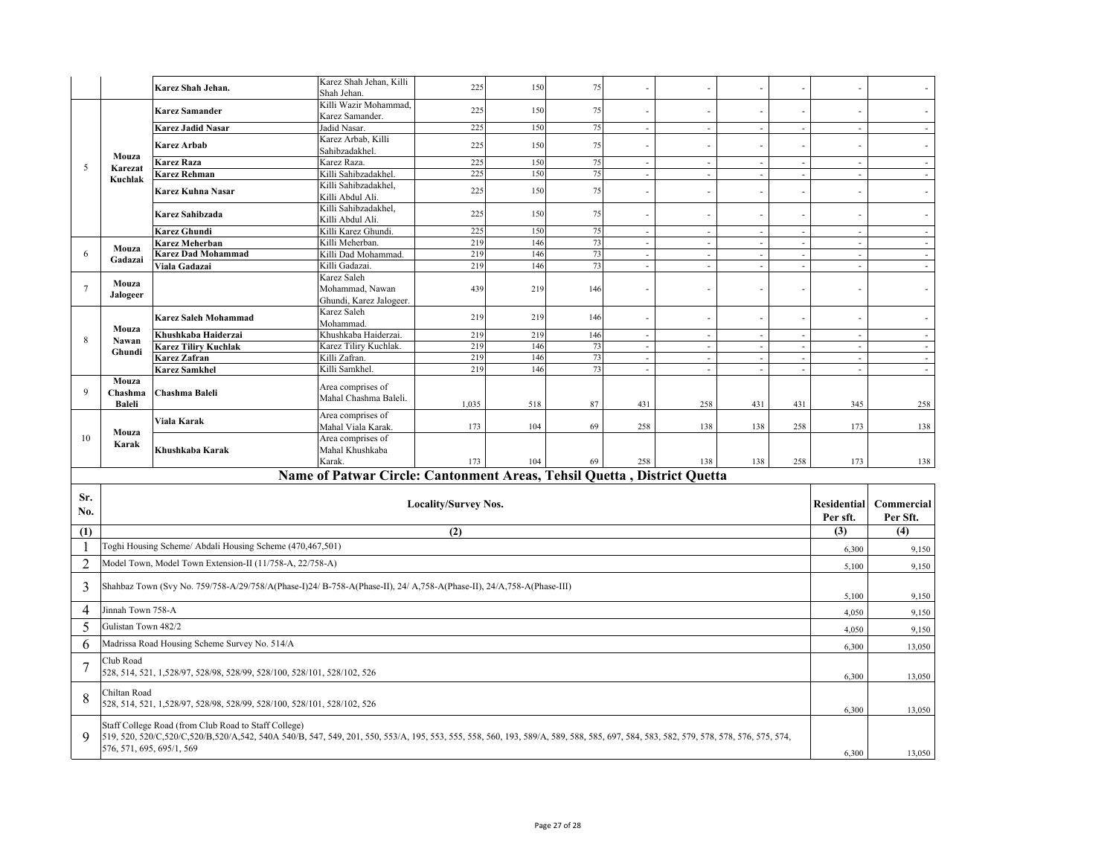|                |                                                                                                                                                                                                                                                                          | Karez Shah Jehan.                                                                                                    | Karez Shah Jehan, Killi                                                 | 225                         | 150 | 75  |        |                |                          |                          |                             |            |
|----------------|--------------------------------------------------------------------------------------------------------------------------------------------------------------------------------------------------------------------------------------------------------------------------|----------------------------------------------------------------------------------------------------------------------|-------------------------------------------------------------------------|-----------------------------|-----|-----|--------|----------------|--------------------------|--------------------------|-----------------------------|------------|
|                |                                                                                                                                                                                                                                                                          |                                                                                                                      | Shah Jehan.                                                             |                             |     |     |        |                |                          |                          |                             |            |
|                |                                                                                                                                                                                                                                                                          | <b>Karez Samander</b>                                                                                                | Killi Wazir Mohammad,<br>Karez Samander.                                | 225                         | 150 | 75  |        |                |                          |                          |                             |            |
|                |                                                                                                                                                                                                                                                                          | Karez Jadid Nasar                                                                                                    | Jadid Nasar.                                                            | 225                         | 150 | 75  |        | $\sim$         |                          |                          | $\sim$                      |            |
|                |                                                                                                                                                                                                                                                                          | Karez Arbab                                                                                                          | Karez Arbab, Killi<br>Sahibzadakhel.                                    | 225                         | 150 | 75  |        | $\overline{a}$ |                          |                          | $\sim$                      |            |
|                | Mouza                                                                                                                                                                                                                                                                    | Karez Raza                                                                                                           | Karez Raza.                                                             | 225                         | 150 | 75  | $\sim$ | $\mathcal{L}$  | $\overline{\phantom{a}}$ | $\sim$                   | $\mathcal{L}$               |            |
| 5              | Karezat                                                                                                                                                                                                                                                                  | Karez Rehman                                                                                                         | Killi Sahibzadakhel.                                                    | 225                         | 150 | 75  |        | $\sim$         | ÷,                       | ä,                       | $\sim$                      |            |
|                | Kuchlak                                                                                                                                                                                                                                                                  |                                                                                                                      | Killi Sahibzadakhel,                                                    |                             |     |     |        |                |                          |                          |                             |            |
|                |                                                                                                                                                                                                                                                                          | Karez Kuhna Nasar                                                                                                    | Killi Abdul Ali.                                                        | 225                         | 150 | 75  |        | $\sim$         |                          |                          | $\sim$                      |            |
|                |                                                                                                                                                                                                                                                                          | Karez Sahibzada                                                                                                      | Killi Sahibzadakhel,<br>Killi Abdul Ali.                                | 225                         | 150 | 75  |        |                |                          |                          | $\overline{\phantom{a}}$    |            |
|                |                                                                                                                                                                                                                                                                          | Karez Ghundi                                                                                                         | Killi Karez Ghundi.                                                     | 225                         | 150 | 75  | ÷.     | $\mathcal{L}$  | ÷.                       | ÷.                       | $\sim$                      |            |
|                | Mouza                                                                                                                                                                                                                                                                    | Karez Meherban                                                                                                       | Killi Meherban.                                                         | 219                         | 146 | 73  | $\sim$ | $\sim$         | $\overline{\phantom{a}}$ | ä,                       | $\mathcal{L}_{\mathcal{A}}$ | $\sim$     |
| 6              | Gadazai                                                                                                                                                                                                                                                                  | Karez Dad Mohammad                                                                                                   | Killi Dad Mohammad.                                                     | 219                         | 146 | 73  | $\sim$ | $\sim$         | $\overline{\phantom{a}}$ | $\sim$                   | $\sim$                      | $\sim$     |
|                |                                                                                                                                                                                                                                                                          | Viala Gadazai                                                                                                        | Killi Gadazai.                                                          | 219                         | 146 | 73  |        | $\sim$         | ÷,                       | $\overline{\phantom{a}}$ | $\sim$                      |            |
| 7              | Mouza<br>Jalogeer                                                                                                                                                                                                                                                        |                                                                                                                      | Karez Saleh<br>Mohammad, Nawan                                          | 439                         | 219 | 146 |        |                |                          |                          | ÷,                          |            |
|                |                                                                                                                                                                                                                                                                          |                                                                                                                      | Ghundi, Karez Jalogeer.                                                 |                             |     |     |        |                |                          |                          |                             |            |
|                |                                                                                                                                                                                                                                                                          | Karez Saleh Mohammad                                                                                                 | Karez Saleh<br>Mohammad.                                                | 219                         | 219 | 146 |        |                |                          |                          |                             |            |
|                | Mouza                                                                                                                                                                                                                                                                    | Khushkaba Haiderzai                                                                                                  | Khushkaba Haiderzai.                                                    | 219                         | 219 | 146 |        | $\sim$         |                          |                          | $\sim$                      |            |
| 8              | Nawan                                                                                                                                                                                                                                                                    | Karez Tiliry Kuchlak                                                                                                 | Karez Tiliry Kuchlak.                                                   | 219                         | 146 | 73  |        | $\sim$         | ÷.                       |                          | $\sim$                      |            |
|                | Ghundi                                                                                                                                                                                                                                                                   | Karez Zafran                                                                                                         | Killi Zafran.                                                           | 219                         | 146 | 73  |        | $\sim$         |                          |                          | $\sim$                      | $\sim$     |
|                |                                                                                                                                                                                                                                                                          | Karez Samkhel                                                                                                        | Killi Samkhel                                                           | 219                         | 146 | 73  | ×.     | $\sim$         | ÷.                       |                          | $\sim$                      | $\sim$     |
| 9              | Mouza<br>Chashma                                                                                                                                                                                                                                                         | Chashma Baleli                                                                                                       | Area comprises of<br>Mahal Chashma Baleli.                              |                             |     |     |        |                |                          |                          |                             |            |
|                | Baleli                                                                                                                                                                                                                                                                   |                                                                                                                      |                                                                         | 1,035                       | 518 | 87  | 431    | 258            | 431                      | 431                      | 345                         | 258        |
|                |                                                                                                                                                                                                                                                                          | Viala Karak                                                                                                          | Area comprises of                                                       |                             |     |     |        |                |                          |                          |                             |            |
|                | Mouza                                                                                                                                                                                                                                                                    |                                                                                                                      | Mahal Viala Karak.                                                      | 173                         | 104 | 69  | 258    | 138            | 138                      | 258                      | 173                         | 138        |
| 10             | Karak                                                                                                                                                                                                                                                                    |                                                                                                                      | Area comprises of                                                       |                             |     |     |        |                |                          |                          |                             |            |
|                |                                                                                                                                                                                                                                                                          | Khushkaba Karak                                                                                                      | Mahal Khushkaba                                                         |                             |     |     |        |                |                          |                          |                             |            |
|                |                                                                                                                                                                                                                                                                          |                                                                                                                      | Karak.                                                                  | 173                         | 104 | 69  | 258    | 138            | 138                      | 258                      | 173                         | 138        |
|                |                                                                                                                                                                                                                                                                          |                                                                                                                      | Name of Patwar Circle: Cantonment Areas, Tehsil Quetta, District Quetta |                             |     |     |        |                |                          |                          |                             |            |
| Sr.            |                                                                                                                                                                                                                                                                          |                                                                                                                      |                                                                         |                             |     |     |        |                |                          |                          |                             |            |
| No.            |                                                                                                                                                                                                                                                                          |                                                                                                                      |                                                                         | <b>Locality/Survey Nos.</b> |     |     |        |                |                          |                          | Residential                 | Commercial |
|                |                                                                                                                                                                                                                                                                          |                                                                                                                      |                                                                         |                             |     |     |        |                |                          |                          | Per sft.                    | Per Sft.   |
| (1)            |                                                                                                                                                                                                                                                                          |                                                                                                                      |                                                                         | (2)                         |     |     |        |                |                          |                          | (3)                         | (4)        |
| ı              |                                                                                                                                                                                                                                                                          | Toghi Housing Scheme/ Abdali Housing Scheme (470,467,501)                                                            |                                                                         |                             |     |     |        |                |                          |                          | 6,300                       | 9,150      |
| $\overline{2}$ |                                                                                                                                                                                                                                                                          | Model Town, Model Town Extension-II (11/758-A, 22/758-A)                                                             |                                                                         |                             |     |     |        |                |                          |                          | 5,100                       | 9,150      |
| 3              |                                                                                                                                                                                                                                                                          | Shahbaz Town (Svy No. 759/758-A/29/758/A(Phase-I)24/ B-758-A(Phase-II), 24/ A,758-A(Phase-II), 24/A,758-A(Phase-III) |                                                                         |                             |     |     |        |                |                          |                          | 5,100                       | 9,150      |
| $\overline{4}$ | Jinnah Town 758-A                                                                                                                                                                                                                                                        |                                                                                                                      |                                                                         |                             |     |     |        |                |                          |                          | 4,050                       | 9,150      |
| 5              | Gulistan Town 482/2                                                                                                                                                                                                                                                      |                                                                                                                      |                                                                         |                             |     |     |        |                |                          |                          | 4,050                       | 9,150      |
| 6              |                                                                                                                                                                                                                                                                          | Madrissa Road Housing Scheme Survey No. 514/A                                                                        |                                                                         |                             |     |     |        |                |                          |                          | 6,300                       | 13,050     |
|                | Club Road                                                                                                                                                                                                                                                                |                                                                                                                      |                                                                         |                             |     |     |        |                |                          |                          |                             |            |
| $\overline{7}$ |                                                                                                                                                                                                                                                                          | 528, 514, 521, 1,528/97, 528/98, 528/99, 528/100, 528/101, 528/102, 526                                              |                                                                         |                             |     |     |        |                |                          |                          | 6,300                       | 13,050     |
| 8              | Chiltan Road                                                                                                                                                                                                                                                             |                                                                                                                      |                                                                         |                             |     |     |        |                |                          |                          |                             |            |
|                |                                                                                                                                                                                                                                                                          | 528, 514, 521, 1,528/97, 528/98, 528/99, 528/100, 528/101, 528/102, 526                                              |                                                                         |                             |     |     |        |                |                          |                          | 6,300                       | 13,050     |
| 9              | Staff College Road (from Club Road to Staff College)<br>519, 520, 520/C,520/C,520/B,520/A,542, 540A 540/B, 547, 549, 201, 550, 553/A, 195, 553, 555, 558, 560, 193, 589/A, 589, 588, 585, 697, 584, 583, 582, 579, 578, 578, 576, 575, 574,<br>576, 571, 695, 695/1, 569 |                                                                                                                      |                                                                         |                             |     |     |        |                |                          |                          | 6,300                       | 13,050     |
|                |                                                                                                                                                                                                                                                                          |                                                                                                                      |                                                                         |                             |     |     |        |                |                          |                          |                             |            |